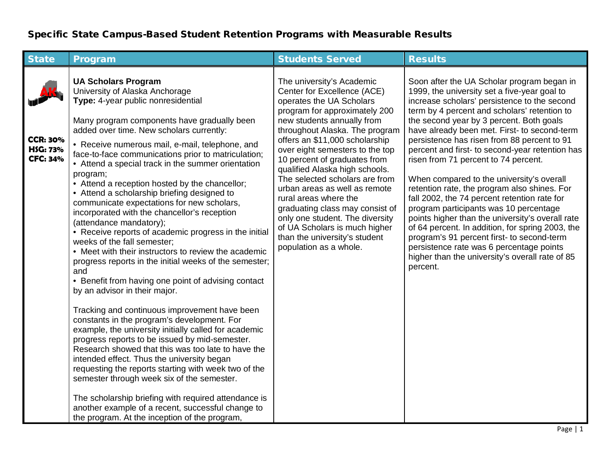## Specific State Campus-Based Student Retention Programs with Measurable Results

| <b>State</b>                                          | Program                                                                                                                                                                                                                                                                                                                                                                                                                                                                                                                                                                                                                                                                                                                                                                                                                                                                                                                                                                                                                                                                                                                                                                                                                                                                                                                                                                                                                                                                                         | <b>Students Served</b>                                                                                                                                                                                                                                                                                                                                                                                                                                                                                                                                                                     | <b>Results</b>                                                                                                                                                                                                                                                                                                                                                                                                                                                                                                                                                                                                                                                                                                                                                                                                                                                                           |
|-------------------------------------------------------|-------------------------------------------------------------------------------------------------------------------------------------------------------------------------------------------------------------------------------------------------------------------------------------------------------------------------------------------------------------------------------------------------------------------------------------------------------------------------------------------------------------------------------------------------------------------------------------------------------------------------------------------------------------------------------------------------------------------------------------------------------------------------------------------------------------------------------------------------------------------------------------------------------------------------------------------------------------------------------------------------------------------------------------------------------------------------------------------------------------------------------------------------------------------------------------------------------------------------------------------------------------------------------------------------------------------------------------------------------------------------------------------------------------------------------------------------------------------------------------------------|--------------------------------------------------------------------------------------------------------------------------------------------------------------------------------------------------------------------------------------------------------------------------------------------------------------------------------------------------------------------------------------------------------------------------------------------------------------------------------------------------------------------------------------------------------------------------------------------|------------------------------------------------------------------------------------------------------------------------------------------------------------------------------------------------------------------------------------------------------------------------------------------------------------------------------------------------------------------------------------------------------------------------------------------------------------------------------------------------------------------------------------------------------------------------------------------------------------------------------------------------------------------------------------------------------------------------------------------------------------------------------------------------------------------------------------------------------------------------------------------|
| <b>CCR: 30%</b><br><b>HSG: 73%</b><br><b>CFC: 34%</b> | <b>UA Scholars Program</b><br>University of Alaska Anchorage<br>Type: 4-year public nonresidential<br>Many program components have gradually been<br>added over time. New scholars currently:<br>• Receive numerous mail, e-mail, telephone, and<br>face-to-face communications prior to matriculation;<br>• Attend a special track in the summer orientation<br>program;<br>• Attend a reception hosted by the chancellor;<br>• Attend a scholarship briefing designed to<br>communicate expectations for new scholars,<br>incorporated with the chancellor's reception<br>(attendance mandatory);<br>• Receive reports of academic progress in the initial<br>weeks of the fall semester;<br>• Meet with their instructors to review the academic<br>progress reports in the initial weeks of the semester;<br>and<br>• Benefit from having one point of advising contact<br>by an advisor in their major.<br>Tracking and continuous improvement have been<br>constants in the program's development. For<br>example, the university initially called for academic<br>progress reports to be issued by mid-semester.<br>Research showed that this was too late to have the<br>intended effect. Thus the university began<br>requesting the reports starting with week two of the<br>semester through week six of the semester.<br>The scholarship briefing with required attendance is<br>another example of a recent, successful change to<br>the program. At the inception of the program, | The university's Academic<br>Center for Excellence (ACE)<br>operates the UA Scholars<br>program for approximately 200<br>new students annually from<br>throughout Alaska. The program<br>offers an \$11,000 scholarship<br>over eight semesters to the top<br>10 percent of graduates from<br>qualified Alaska high schools.<br>The selected scholars are from<br>urban areas as well as remote<br>rural areas where the<br>graduating class may consist of<br>only one student. The diversity<br>of UA Scholars is much higher<br>than the university's student<br>population as a whole. | Soon after the UA Scholar program began in<br>1999, the university set a five-year goal to<br>increase scholars' persistence to the second<br>term by 4 percent and scholars' retention to<br>the second year by 3 percent. Both goals<br>have already been met. First- to second-term<br>persistence has risen from 88 percent to 91<br>percent and first- to second-year retention has<br>risen from 71 percent to 74 percent.<br>When compared to the university's overall<br>retention rate, the program also shines. For<br>fall 2002, the 74 percent retention rate for<br>program participants was 10 percentage<br>points higher than the university's overall rate<br>of 64 percent. In addition, for spring 2003, the<br>program's 91 percent first- to second-term<br>persistence rate was 6 percentage points<br>higher than the university's overall rate of 85<br>percent. |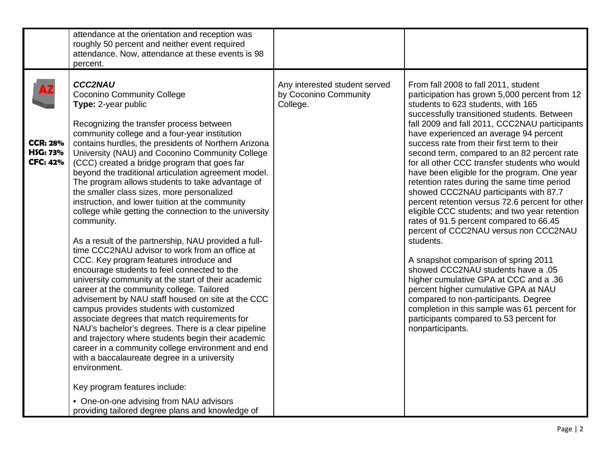|                                                       | attendance at the orientation and reception was<br>roughly 50 percent and neither event required<br>attendance. Now, attendance at these events is 98<br>percent.                                                                                                                                                                                                                                                                                                                                                                                                                                                                                                                                                                                                                                                                                                                                                                                                                                                                                                                                                                                                                                                                                                                                                                                                                                                                                  |                                                                    |                                                                                                                                                                                                                                                                                                                                                                                                                                                                                                                                                                                                                                                                                                                                                                                                                                                                                                                                                                                                                                                                                          |
|-------------------------------------------------------|----------------------------------------------------------------------------------------------------------------------------------------------------------------------------------------------------------------------------------------------------------------------------------------------------------------------------------------------------------------------------------------------------------------------------------------------------------------------------------------------------------------------------------------------------------------------------------------------------------------------------------------------------------------------------------------------------------------------------------------------------------------------------------------------------------------------------------------------------------------------------------------------------------------------------------------------------------------------------------------------------------------------------------------------------------------------------------------------------------------------------------------------------------------------------------------------------------------------------------------------------------------------------------------------------------------------------------------------------------------------------------------------------------------------------------------------------|--------------------------------------------------------------------|------------------------------------------------------------------------------------------------------------------------------------------------------------------------------------------------------------------------------------------------------------------------------------------------------------------------------------------------------------------------------------------------------------------------------------------------------------------------------------------------------------------------------------------------------------------------------------------------------------------------------------------------------------------------------------------------------------------------------------------------------------------------------------------------------------------------------------------------------------------------------------------------------------------------------------------------------------------------------------------------------------------------------------------------------------------------------------------|
| <b>CCR: 28%</b><br><b>HSG: 73%</b><br><b>CFC: 42%</b> | <b>CCC2NAU</b><br><b>Coconino Community College</b><br>Type: 2-year public<br>Recognizing the transfer process between<br>community college and a four-year institution<br>contains hurdles, the presidents of Northern Arizona<br>University (NAU) and Coconino Community College<br>(CCC) created a bridge program that goes far<br>beyond the traditional articulation agreement model.<br>The program allows students to take advantage of<br>the smaller class sizes, more personalized<br>instruction, and lower tuition at the community<br>college while getting the connection to the university<br>community.<br>As a result of the partnership, NAU provided a full-<br>time CCC2NAU advisor to work from an office at<br>CCC. Key program features introduce and<br>encourage students to feel connected to the<br>university community at the start of their academic<br>career at the community college. Tailored<br>advisement by NAU staff housed on site at the CCC<br>campus provides students with customized<br>associate degrees that match requirements for<br>NAU's bachelor's degrees. There is a clear pipeline<br>and trajectory where students begin their academic<br>career in a community college environment and end<br>with a baccalaureate degree in a university<br>environment.<br>Key program features include:<br>• One-on-one advising from NAU advisors<br>providing tailored degree plans and knowledge of | Any interested student served<br>by Coconino Community<br>College. | From fall 2008 to fall 2011, student<br>participation has grown 5,000 percent from 12<br>students to 623 students, with 165<br>successfully transitioned students. Between<br>fall 2009 and fall 2011, CCC2NAU participants<br>have experienced an average 94 percent<br>success rate from their first term to their<br>second term, compared to an 82 percent rate<br>for all other CCC transfer students who would<br>have been eligible for the program. One year<br>retention rates during the same time period<br>showed CCC2NAU participants with 87.7<br>percent retention versus 72.6 percent for other<br>eligible CCC students; and two year retention<br>rates of 91.5 percent compared to 66.45<br>percent of CCC2NAU versus non CCC2NAU<br>students.<br>A snapshot comparison of spring 2011<br>showed CCC2NAU students have a .05<br>higher cumulative GPA at CCC and a .36<br>percent higher cumulative GPA at NAU<br>compared to non-participants. Degree<br>completion in this sample was 61 percent for<br>participants compared to 53 percent for<br>nonparticipants. |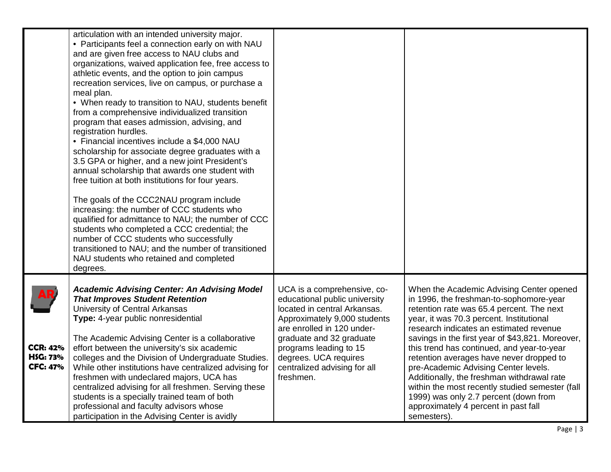|                                                       | articulation with an intended university major.<br>• Participants feel a connection early on with NAU<br>and are given free access to NAU clubs and<br>organizations, waived application fee, free access to<br>athletic events, and the option to join campus<br>recreation services, live on campus, or purchase a<br>meal plan.<br>• When ready to transition to NAU, students benefit<br>from a comprehensive individualized transition<br>program that eases admission, advising, and<br>registration hurdles.<br>• Financial incentives include a \$4,000 NAU<br>scholarship for associate degree graduates with a<br>3.5 GPA or higher, and a new joint President's<br>annual scholarship that awards one student with<br>free tuition at both institutions for four years.<br>The goals of the CCC2NAU program include<br>increasing: the number of CCC students who<br>qualified for admittance to NAU; the number of CCC<br>students who completed a CCC credential; the<br>number of CCC students who successfully<br>transitioned to NAU; and the number of transitioned<br>NAU students who retained and completed |                                                                                                                                                                                                                                                                                        |                                                                                                                                                                                                                                                                                                                                                                                                                                                                                                                                                                                                                |
|-------------------------------------------------------|---------------------------------------------------------------------------------------------------------------------------------------------------------------------------------------------------------------------------------------------------------------------------------------------------------------------------------------------------------------------------------------------------------------------------------------------------------------------------------------------------------------------------------------------------------------------------------------------------------------------------------------------------------------------------------------------------------------------------------------------------------------------------------------------------------------------------------------------------------------------------------------------------------------------------------------------------------------------------------------------------------------------------------------------------------------------------------------------------------------------------------|----------------------------------------------------------------------------------------------------------------------------------------------------------------------------------------------------------------------------------------------------------------------------------------|----------------------------------------------------------------------------------------------------------------------------------------------------------------------------------------------------------------------------------------------------------------------------------------------------------------------------------------------------------------------------------------------------------------------------------------------------------------------------------------------------------------------------------------------------------------------------------------------------------------|
|                                                       | degrees.                                                                                                                                                                                                                                                                                                                                                                                                                                                                                                                                                                                                                                                                                                                                                                                                                                                                                                                                                                                                                                                                                                                        |                                                                                                                                                                                                                                                                                        |                                                                                                                                                                                                                                                                                                                                                                                                                                                                                                                                                                                                                |
| <b>CCR: 42%</b><br><b>HSG: 73%</b><br><b>CFC: 47%</b> | <b>Academic Advising Center: An Advising Model</b><br><b>That Improves Student Retention</b><br>University of Central Arkansas<br>Type: 4-year public nonresidential<br>The Academic Advising Center is a collaborative<br>effort between the university's six academic<br>colleges and the Division of Undergraduate Studies.<br>While other institutions have centralized advising for<br>freshmen with undeclared majors, UCA has<br>centralized advising for all freshmen. Serving these<br>students is a specially trained team of both<br>professional and faculty advisors whose<br>participation in the Advising Center is avidly                                                                                                                                                                                                                                                                                                                                                                                                                                                                                       | UCA is a comprehensive, co-<br>educational public university<br>located in central Arkansas.<br>Approximately 9,000 students<br>are enrolled in 120 under-<br>graduate and 32 graduate<br>programs leading to 15<br>degrees. UCA requires<br>centralized advising for all<br>freshmen. | When the Academic Advising Center opened<br>in 1996, the freshman-to-sophomore-year<br>retention rate was 65.4 percent. The next<br>year, it was 70.3 percent. Institutional<br>research indicates an estimated revenue<br>savings in the first year of \$43,821. Moreover,<br>this trend has continued, and year-to-year<br>retention averages have never dropped to<br>pre-Academic Advising Center levels.<br>Additionally, the freshman withdrawal rate<br>within the most recently studied semester (fall<br>1999) was only 2.7 percent (down from<br>approximately 4 percent in past fall<br>semesters). |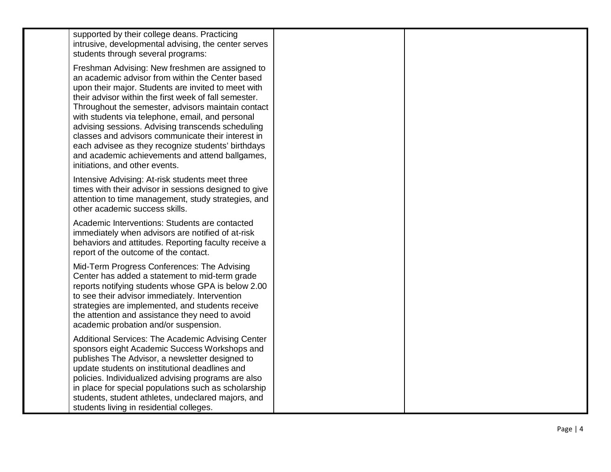| supported by their college deans. Practicing<br>intrusive, developmental advising, the center serves<br>students through several programs:                                                                                                                                                                                                                                                                                                                                                                                                                                          |  |
|-------------------------------------------------------------------------------------------------------------------------------------------------------------------------------------------------------------------------------------------------------------------------------------------------------------------------------------------------------------------------------------------------------------------------------------------------------------------------------------------------------------------------------------------------------------------------------------|--|
| Freshman Advising: New freshmen are assigned to<br>an academic advisor from within the Center based<br>upon their major. Students are invited to meet with<br>their advisor within the first week of fall semester.<br>Throughout the semester, advisors maintain contact<br>with students via telephone, email, and personal<br>advising sessions. Advising transcends scheduling<br>classes and advisors communicate their interest in<br>each advisee as they recognize students' birthdays<br>and academic achievements and attend ballgames,<br>initiations, and other events. |  |
| Intensive Advising: At-risk students meet three<br>times with their advisor in sessions designed to give<br>attention to time management, study strategies, and<br>other academic success skills.                                                                                                                                                                                                                                                                                                                                                                                   |  |
| Academic Interventions: Students are contacted<br>immediately when advisors are notified of at-risk<br>behaviors and attitudes. Reporting faculty receive a<br>report of the outcome of the contact.                                                                                                                                                                                                                                                                                                                                                                                |  |
| Mid-Term Progress Conferences: The Advising<br>Center has added a statement to mid-term grade<br>reports notifying students whose GPA is below 2.00<br>to see their advisor immediately. Intervention<br>strategies are implemented, and students receive<br>the attention and assistance they need to avoid<br>academic probation and/or suspension.                                                                                                                                                                                                                               |  |
| Additional Services: The Academic Advising Center<br>sponsors eight Academic Success Workshops and<br>publishes The Advisor, a newsletter designed to<br>update students on institutional deadlines and<br>policies. Individualized advising programs are also<br>in place for special populations such as scholarship<br>students, student athletes, undeclared majors, and<br>students living in residential colleges.                                                                                                                                                            |  |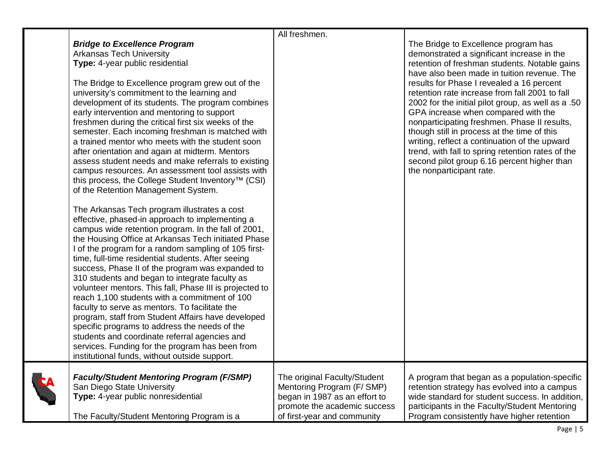|   |                                                                                                                                                                                                                                                                                                                                                                                                                                                                                                                                                                                                                                                                                                                                                                                                                                                             | All freshmen.                                                                                                                                             |                                                                                                                                                                                                                                                                                                                                                                                                                                                                                                                         |
|---|-------------------------------------------------------------------------------------------------------------------------------------------------------------------------------------------------------------------------------------------------------------------------------------------------------------------------------------------------------------------------------------------------------------------------------------------------------------------------------------------------------------------------------------------------------------------------------------------------------------------------------------------------------------------------------------------------------------------------------------------------------------------------------------------------------------------------------------------------------------|-----------------------------------------------------------------------------------------------------------------------------------------------------------|-------------------------------------------------------------------------------------------------------------------------------------------------------------------------------------------------------------------------------------------------------------------------------------------------------------------------------------------------------------------------------------------------------------------------------------------------------------------------------------------------------------------------|
|   | <b>Bridge to Excellence Program</b><br><b>Arkansas Tech University</b><br>Type: 4-year public residential                                                                                                                                                                                                                                                                                                                                                                                                                                                                                                                                                                                                                                                                                                                                                   |                                                                                                                                                           | The Bridge to Excellence program has<br>demonstrated a significant increase in the<br>retention of freshman students. Notable gains                                                                                                                                                                                                                                                                                                                                                                                     |
|   | The Bridge to Excellence program grew out of the<br>university's commitment to the learning and<br>development of its students. The program combines<br>early intervention and mentoring to support<br>freshmen during the critical first six weeks of the<br>semester. Each incoming freshman is matched with<br>a trained mentor who meets with the student soon<br>after orientation and again at midterm. Mentors<br>assess student needs and make referrals to existing<br>campus resources. An assessment tool assists with<br>this process, the College Student Inventory <sup>™</sup> (CSI)<br>of the Retention Management System.                                                                                                                                                                                                                  |                                                                                                                                                           | have also been made in tuition revenue. The<br>results for Phase I revealed a 16 percent<br>retention rate increase from fall 2001 to fall<br>2002 for the initial pilot group, as well as a .50<br>GPA increase when compared with the<br>nonparticipating freshmen. Phase II results,<br>though still in process at the time of this<br>writing, reflect a continuation of the upward<br>trend, with fall to spring retention rates of the<br>second pilot group 6.16 percent higher than<br>the nonparticipant rate. |
|   | The Arkansas Tech program illustrates a cost<br>effective, phased-in approach to implementing a<br>campus wide retention program. In the fall of 2001,<br>the Housing Office at Arkansas Tech initiated Phase<br>I of the program for a random sampling of 105 first-<br>time, full-time residential students. After seeing<br>success, Phase II of the program was expanded to<br>310 students and began to integrate faculty as<br>volunteer mentors. This fall, Phase III is projected to<br>reach 1,100 students with a commitment of 100<br>faculty to serve as mentors. To facilitate the<br>program, staff from Student Affairs have developed<br>specific programs to address the needs of the<br>students and coordinate referral agencies and<br>services. Funding for the program has been from<br>institutional funds, without outside support. |                                                                                                                                                           |                                                                                                                                                                                                                                                                                                                                                                                                                                                                                                                         |
| A | <b>Faculty/Student Mentoring Program (F/SMP)</b><br>San Diego State University<br>Type: 4-year public nonresidential<br>The Faculty/Student Mentoring Program is a                                                                                                                                                                                                                                                                                                                                                                                                                                                                                                                                                                                                                                                                                          | The original Faculty/Student<br>Mentoring Program (F/SMP)<br>began in 1987 as an effort to<br>promote the academic success<br>of first-year and community | A program that began as a population-specific<br>retention strategy has evolved into a campus<br>wide standard for student success. In addition,<br>participants in the Faculty/Student Mentoring<br>Program consistently have higher retention                                                                                                                                                                                                                                                                         |

**C**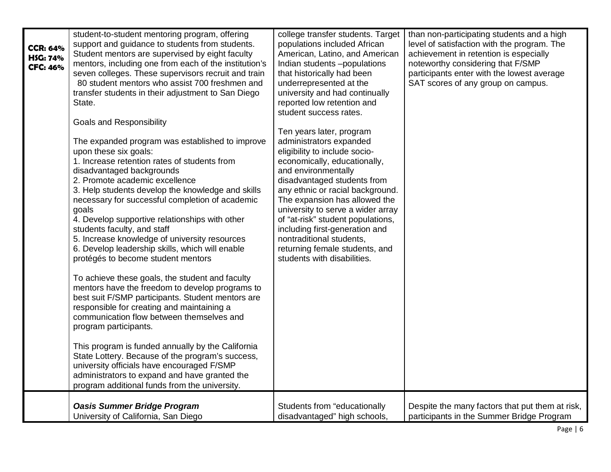| <b>CCR: 64%</b><br>H\$G: 74%<br><b>CFC: 46%</b> | student-to-student mentoring program, offering<br>support and guidance to students from students.<br>Student mentors are supervised by eight faculty<br>mentors, including one from each of the institution's<br>seven colleges. These supervisors recruit and train<br>80 student mentors who assist 700 freshmen and<br>transfer students in their adjustment to San Diego<br>State.<br><b>Goals and Responsibility</b><br>The expanded program was established to improve<br>upon these six goals:<br>1. Increase retention rates of students from<br>disadvantaged backgrounds<br>2. Promote academic excellence<br>3. Help students develop the knowledge and skills<br>necessary for successful completion of academic<br>goals<br>4. Develop supportive relationships with other<br>students faculty, and staff<br>5. Increase knowledge of university resources<br>6. Develop leadership skills, which will enable<br>protégés to become student mentors<br>To achieve these goals, the student and faculty<br>mentors have the freedom to develop programs to<br>best suit F/SMP participants. Student mentors are<br>responsible for creating and maintaining a<br>communication flow between themselves and<br>program participants.<br>This program is funded annually by the California<br>State Lottery. Because of the program's success,<br>university officials have encouraged F/SMP<br>administrators to expand and have granted the<br>program additional funds from the university. | college transfer students. Target<br>populations included African<br>American, Latino, and American<br>Indian students -populations<br>that historically had been<br>underrepresented at the<br>university and had continually<br>reported low retention and<br>student success rates.<br>Ten years later, program<br>administrators expanded<br>eligibility to include socio-<br>economically, educationally,<br>and environmentally<br>disadvantaged students from<br>any ethnic or racial background.<br>The expansion has allowed the<br>university to serve a wider array<br>of "at-risk" student populations,<br>including first-generation and<br>nontraditional students,<br>returning female students, and<br>students with disabilities. | than non-participating students and a high<br>level of satisfaction with the program. The<br>achievement in retention is especially<br>noteworthy considering that F/SMP<br>participants enter with the lowest average<br>SAT scores of any group on campus. |
|-------------------------------------------------|----------------------------------------------------------------------------------------------------------------------------------------------------------------------------------------------------------------------------------------------------------------------------------------------------------------------------------------------------------------------------------------------------------------------------------------------------------------------------------------------------------------------------------------------------------------------------------------------------------------------------------------------------------------------------------------------------------------------------------------------------------------------------------------------------------------------------------------------------------------------------------------------------------------------------------------------------------------------------------------------------------------------------------------------------------------------------------------------------------------------------------------------------------------------------------------------------------------------------------------------------------------------------------------------------------------------------------------------------------------------------------------------------------------------------------------------------------------------------------------------------------|----------------------------------------------------------------------------------------------------------------------------------------------------------------------------------------------------------------------------------------------------------------------------------------------------------------------------------------------------------------------------------------------------------------------------------------------------------------------------------------------------------------------------------------------------------------------------------------------------------------------------------------------------------------------------------------------------------------------------------------------------|--------------------------------------------------------------------------------------------------------------------------------------------------------------------------------------------------------------------------------------------------------------|
|                                                 | <b>Oasis Summer Bridge Program</b>                                                                                                                                                                                                                                                                                                                                                                                                                                                                                                                                                                                                                                                                                                                                                                                                                                                                                                                                                                                                                                                                                                                                                                                                                                                                                                                                                                                                                                                                       | Students from "educationally                                                                                                                                                                                                                                                                                                                                                                                                                                                                                                                                                                                                                                                                                                                       | Despite the many factors that put them at risk,                                                                                                                                                                                                              |
|                                                 | University of California, San Diego                                                                                                                                                                                                                                                                                                                                                                                                                                                                                                                                                                                                                                                                                                                                                                                                                                                                                                                                                                                                                                                                                                                                                                                                                                                                                                                                                                                                                                                                      | disadvantaged" high schools,                                                                                                                                                                                                                                                                                                                                                                                                                                                                                                                                                                                                                                                                                                                       | participants in the Summer Bridge Program                                                                                                                                                                                                                    |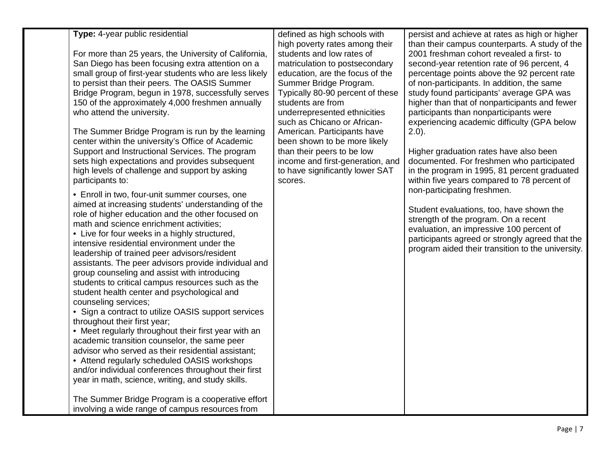| Type: 4-year public residential<br>For more than 25 years, the University of California,<br>San Diego has been focusing extra attention on a<br>small group of first-year students who are less likely<br>to persist than their peers. The OASIS Summer<br>Bridge Program, begun in 1978, successfully serves<br>150 of the approximately 4,000 freshmen annually<br>who attend the university.<br>The Summer Bridge Program is run by the learning<br>center within the university's Office of Academic<br>Support and Instructional Services. The program<br>sets high expectations and provides subsequent<br>high levels of challenge and support by asking<br>participants to:<br>• Enroll in two, four-unit summer courses, one<br>aimed at increasing students' understanding of the<br>role of higher education and the other focused on<br>math and science enrichment activities;<br>• Live for four weeks in a highly structured,<br>intensive residential environment under the<br>leadership of trained peer advisors/resident<br>assistants. The peer advisors provide individual and<br>group counseling and assist with introducing<br>students to critical campus resources such as the<br>student health center and psychological and<br>counseling services;<br>• Sign a contract to utilize OASIS support services<br>throughout their first year;<br>• Meet regularly throughout their first year with an<br>academic transition counselor, the same peer<br>advisor who served as their residential assistant;<br>• Attend regularly scheduled OASIS workshops<br>and/or individual conferences throughout their first<br>year in math, science, writing, and study skills.<br>The Summer Bridge Program is a cooperative effort | defined as high schools with<br>high poverty rates among their<br>students and low rates of<br>matriculation to postsecondary<br>education, are the focus of the<br>Summer Bridge Program.<br>Typically 80-90 percent of these<br>students are from<br>underrepresented ethnicities<br>such as Chicano or African-<br>American. Participants have<br>been shown to be more likely<br>than their peers to be low<br>income and first-generation, and<br>to have significantly lower SAT<br>scores. | persist and achieve at rates as high or higher<br>than their campus counterparts. A study of the<br>2001 freshman cohort revealed a first- to<br>second-year retention rate of 96 percent, 4<br>percentage points above the 92 percent rate<br>of non-participants. In addition, the same<br>study found participants' average GPA was<br>higher than that of nonparticipants and fewer<br>participants than nonparticipants were<br>experiencing academic difficulty (GPA below<br>$2.0$ ).<br>Higher graduation rates have also been<br>documented. For freshmen who participated<br>in the program in 1995, 81 percent graduated<br>within five years compared to 78 percent of<br>non-participating freshmen.<br>Student evaluations, too, have shown the<br>strength of the program. On a recent<br>evaluation, an impressive 100 percent of<br>participants agreed or strongly agreed that the<br>program aided their transition to the university. |
|--------------------------------------------------------------------------------------------------------------------------------------------------------------------------------------------------------------------------------------------------------------------------------------------------------------------------------------------------------------------------------------------------------------------------------------------------------------------------------------------------------------------------------------------------------------------------------------------------------------------------------------------------------------------------------------------------------------------------------------------------------------------------------------------------------------------------------------------------------------------------------------------------------------------------------------------------------------------------------------------------------------------------------------------------------------------------------------------------------------------------------------------------------------------------------------------------------------------------------------------------------------------------------------------------------------------------------------------------------------------------------------------------------------------------------------------------------------------------------------------------------------------------------------------------------------------------------------------------------------------------------------------------------------------------------------------------------------------------------------------------------|---------------------------------------------------------------------------------------------------------------------------------------------------------------------------------------------------------------------------------------------------------------------------------------------------------------------------------------------------------------------------------------------------------------------------------------------------------------------------------------------------|-----------------------------------------------------------------------------------------------------------------------------------------------------------------------------------------------------------------------------------------------------------------------------------------------------------------------------------------------------------------------------------------------------------------------------------------------------------------------------------------------------------------------------------------------------------------------------------------------------------------------------------------------------------------------------------------------------------------------------------------------------------------------------------------------------------------------------------------------------------------------------------------------------------------------------------------------------------|
| involving a wide range of campus resources from                                                                                                                                                                                                                                                                                                                                                                                                                                                                                                                                                                                                                                                                                                                                                                                                                                                                                                                                                                                                                                                                                                                                                                                                                                                                                                                                                                                                                                                                                                                                                                                                                                                                                                        |                                                                                                                                                                                                                                                                                                                                                                                                                                                                                                   |                                                                                                                                                                                                                                                                                                                                                                                                                                                                                                                                                                                                                                                                                                                                                                                                                                                                                                                                                           |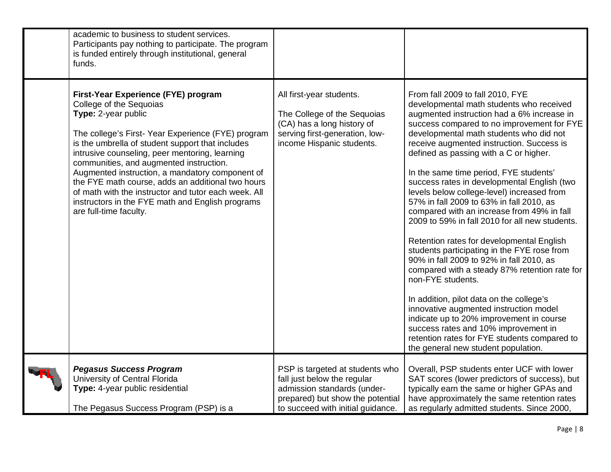| academic to business to student services.<br>Participants pay nothing to participate. The program<br>is funded entirely through institutional, general<br>funds.                                                                                                                                                                                                                                                                                                                                                                          |                                                                                                                                                                        |                                                                                                                                                                                                                                                                                                                                                                                                                                                                                                                                                                                                                                                                                                                                                                                                                                                                                                                                                                                                                                                                              |
|-------------------------------------------------------------------------------------------------------------------------------------------------------------------------------------------------------------------------------------------------------------------------------------------------------------------------------------------------------------------------------------------------------------------------------------------------------------------------------------------------------------------------------------------|------------------------------------------------------------------------------------------------------------------------------------------------------------------------|------------------------------------------------------------------------------------------------------------------------------------------------------------------------------------------------------------------------------------------------------------------------------------------------------------------------------------------------------------------------------------------------------------------------------------------------------------------------------------------------------------------------------------------------------------------------------------------------------------------------------------------------------------------------------------------------------------------------------------------------------------------------------------------------------------------------------------------------------------------------------------------------------------------------------------------------------------------------------------------------------------------------------------------------------------------------------|
| First-Year Experience (FYE) program<br>College of the Sequoias<br>Type: 2-year public<br>The college's First-Year Experience (FYE) program<br>is the umbrella of student support that includes<br>intrusive counseling, peer mentoring, learning<br>communities, and augmented instruction.<br>Augmented instruction, a mandatory component of<br>the FYE math course, adds an additional two hours<br>of math with the instructor and tutor each week. All<br>instructors in the FYE math and English programs<br>are full-time faculty. | All first-year students.<br>The College of the Sequoias<br>(CA) has a long history of<br>serving first-generation, low-<br>income Hispanic students.                   | From fall 2009 to fall 2010, FYE<br>developmental math students who received<br>augmented instruction had a 6% increase in<br>success compared to no improvement for FYE<br>developmental math students who did not<br>receive augmented instruction. Success is<br>defined as passing with a C or higher.<br>In the same time period, FYE students'<br>success rates in developmental English (two<br>levels below college-level) increased from<br>57% in fall 2009 to 63% in fall 2010, as<br>compared with an increase from 49% in fall<br>2009 to 59% in fall 2010 for all new students.<br>Retention rates for developmental English<br>students participating in the FYE rose from<br>90% in fall 2009 to 92% in fall 2010, as<br>compared with a steady 87% retention rate for<br>non-FYE students.<br>In addition, pilot data on the college's<br>innovative augmented instruction model<br>indicate up to 20% improvement in course<br>success rates and 10% improvement in<br>retention rates for FYE students compared to<br>the general new student population. |
| <b>Pegasus Success Program</b><br>University of Central Florida<br>Type: 4-year public residential<br>The Pegasus Success Program (PSP) is a                                                                                                                                                                                                                                                                                                                                                                                              | PSP is targeted at students who<br>fall just below the regular<br>admission standards (under-<br>prepared) but show the potential<br>to succeed with initial guidance. | Overall, PSP students enter UCF with lower<br>SAT scores (lower predictors of success), but<br>typically earn the same or higher GPAs and<br>have approximately the same retention rates<br>as regularly admitted students. Since 2000,                                                                                                                                                                                                                                                                                                                                                                                                                                                                                                                                                                                                                                                                                                                                                                                                                                      |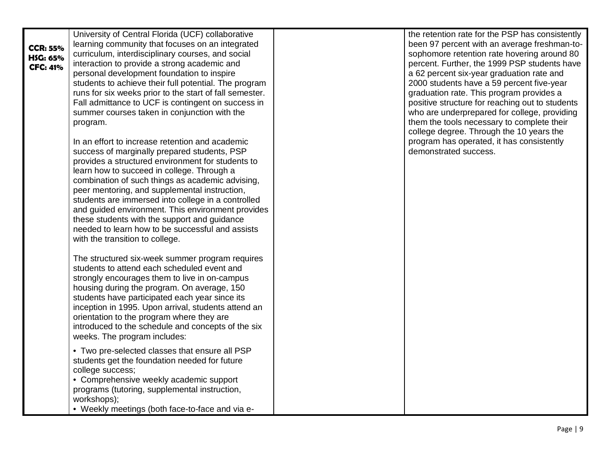|                 | University of Central Florida (UCF) collaborative       | the retention rate for the PSP has consistently |
|-----------------|---------------------------------------------------------|-------------------------------------------------|
| <b>CCR: 55%</b> | learning community that focuses on an integrated        | been 97 percent with an average freshman-to-    |
| HSG: 65%        | curriculum, interdisciplinary courses, and social       | sophomore retention rate hovering around 80     |
| <b>CFC: 41%</b> | interaction to provide a strong academic and            | percent. Further, the 1999 PSP students have    |
|                 | personal development foundation to inspire              | a 62 percent six-year graduation rate and       |
|                 | students to achieve their full potential. The program   | 2000 students have a 59 percent five-year       |
|                 | runs for six weeks prior to the start of fall semester. | graduation rate. This program provides a        |
|                 | Fall admittance to UCF is contingent on success in      | positive structure for reaching out to students |
|                 | summer courses taken in conjunction with the            | who are underprepared for college, providing    |
|                 | program.                                                | them the tools necessary to complete their      |
|                 |                                                         | college degree. Through the 10 years the        |
|                 | In an effort to increase retention and academic         | program has operated, it has consistently       |
|                 | success of marginally prepared students, PSP            | demonstrated success.                           |
|                 | provides a structured environment for students to       |                                                 |
|                 | learn how to succeed in college. Through a              |                                                 |
|                 | combination of such things as academic advising,        |                                                 |
|                 | peer mentoring, and supplemental instruction,           |                                                 |
|                 | students are immersed into college in a controlled      |                                                 |
|                 | and guided environment. This environment provides       |                                                 |
|                 | these students with the support and guidance            |                                                 |
|                 | needed to learn how to be successful and assists        |                                                 |
|                 | with the transition to college.                         |                                                 |
|                 | The structured six-week summer program requires         |                                                 |
|                 | students to attend each scheduled event and             |                                                 |
|                 | strongly encourages them to live in on-campus           |                                                 |
|                 | housing during the program. On average, 150             |                                                 |
|                 | students have participated each year since its          |                                                 |
|                 | inception in 1995. Upon arrival, students attend an     |                                                 |
|                 | orientation to the program where they are               |                                                 |
|                 | introduced to the schedule and concepts of the six      |                                                 |
|                 | weeks. The program includes:                            |                                                 |
|                 | • Two pre-selected classes that ensure all PSP          |                                                 |
|                 | students get the foundation needed for future           |                                                 |
|                 | college success;                                        |                                                 |
|                 | • Comprehensive weekly academic support                 |                                                 |
|                 | programs (tutoring, supplemental instruction,           |                                                 |
|                 | workshops);                                             |                                                 |
|                 | • Weekly meetings (both face-to-face and via e-         |                                                 |
|                 |                                                         |                                                 |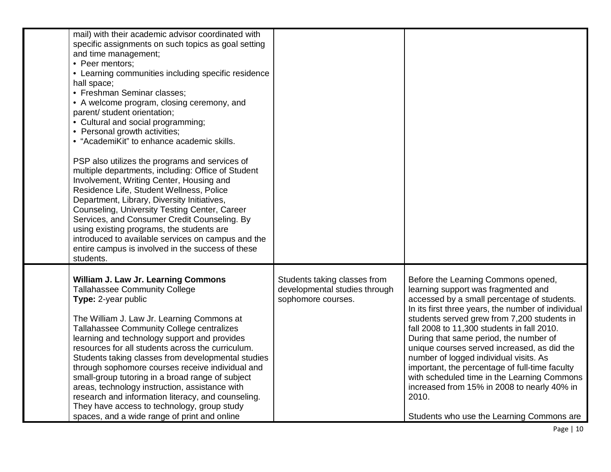| mail) with their academic advisor coordinated with<br>specific assignments on such topics as goal setting<br>and time management;<br>• Peer mentors;<br>• Learning communities including specific residence<br>hall space;<br>• Freshman Seminar classes:<br>• A welcome program, closing ceremony, and<br>parent/ student orientation;<br>• Cultural and social programming;<br>• Personal growth activities;<br>• "AcademiKit" to enhance academic skills.                                                                                                                                                                                                            |                                                                                     |                                                                                                                                                                                                                                                                                                                                                                                                                                                                                                                                                                                                                       |
|-------------------------------------------------------------------------------------------------------------------------------------------------------------------------------------------------------------------------------------------------------------------------------------------------------------------------------------------------------------------------------------------------------------------------------------------------------------------------------------------------------------------------------------------------------------------------------------------------------------------------------------------------------------------------|-------------------------------------------------------------------------------------|-----------------------------------------------------------------------------------------------------------------------------------------------------------------------------------------------------------------------------------------------------------------------------------------------------------------------------------------------------------------------------------------------------------------------------------------------------------------------------------------------------------------------------------------------------------------------------------------------------------------------|
| PSP also utilizes the programs and services of<br>multiple departments, including: Office of Student<br>Involvement, Writing Center, Housing and<br>Residence Life, Student Wellness, Police<br>Department, Library, Diversity Initiatives,<br>Counseling, University Testing Center, Career<br>Services, and Consumer Credit Counseling. By<br>using existing programs, the students are<br>introduced to available services on campus and the<br>entire campus is involved in the success of these<br>students.                                                                                                                                                       |                                                                                     |                                                                                                                                                                                                                                                                                                                                                                                                                                                                                                                                                                                                                       |
| William J. Law Jr. Learning Commons<br><b>Tallahassee Community College</b><br>Type: 2-year public<br>The William J. Law Jr. Learning Commons at<br>Tallahassee Community College centralizes<br>learning and technology support and provides<br>resources for all students across the curriculum.<br>Students taking classes from developmental studies<br>through sophomore courses receive individual and<br>small-group tutoring in a broad range of subject<br>areas, technology instruction, assistance with<br>research and information literacy, and counseling.<br>They have access to technology, group study<br>spaces, and a wide range of print and online | Students taking classes from<br>developmental studies through<br>sophomore courses. | Before the Learning Commons opened,<br>learning support was fragmented and<br>accessed by a small percentage of students.<br>In its first three years, the number of individual<br>students served grew from 7,200 students in<br>fall 2008 to 11,300 students in fall 2010.<br>During that same period, the number of<br>unique courses served increased, as did the<br>number of logged individual visits. As<br>important, the percentage of full-time faculty<br>with scheduled time in the Learning Commons<br>increased from 15% in 2008 to nearly 40% in<br>2010.<br>Students who use the Learning Commons are |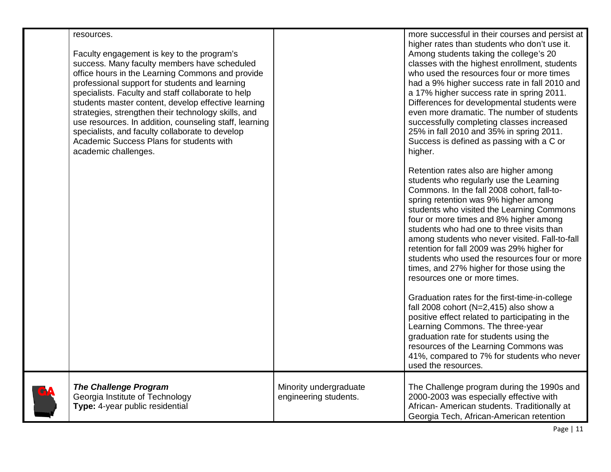| resources.<br>Faculty engagement is key to the program's<br>success. Many faculty members have scheduled<br>office hours in the Learning Commons and provide<br>professional support for students and learning<br>specialists. Faculty and staff collaborate to help<br>students master content, develop effective learning<br>strategies, strengthen their technology skills, and<br>use resources. In addition, counseling staff, learning<br>specialists, and faculty collaborate to develop<br>Academic Success Plans for students with<br>academic challenges. |                                                 | more successful in their courses and persist at<br>higher rates than students who don't use it.<br>Among students taking the college's 20<br>classes with the highest enrollment, students<br>who used the resources four or more times<br>had a 9% higher success rate in fall 2010 and<br>a 17% higher success rate in spring 2011.<br>Differences for developmental students were<br>even more dramatic. The number of students<br>successfully completing classes increased<br>25% in fall 2010 and 35% in spring 2011.<br>Success is defined as passing with a C or<br>higher.<br>Retention rates also are higher among<br>students who regularly use the Learning<br>Commons. In the fall 2008 cohort, fall-to- |
|---------------------------------------------------------------------------------------------------------------------------------------------------------------------------------------------------------------------------------------------------------------------------------------------------------------------------------------------------------------------------------------------------------------------------------------------------------------------------------------------------------------------------------------------------------------------|-------------------------------------------------|-----------------------------------------------------------------------------------------------------------------------------------------------------------------------------------------------------------------------------------------------------------------------------------------------------------------------------------------------------------------------------------------------------------------------------------------------------------------------------------------------------------------------------------------------------------------------------------------------------------------------------------------------------------------------------------------------------------------------|
|                                                                                                                                                                                                                                                                                                                                                                                                                                                                                                                                                                     |                                                 | spring retention was 9% higher among<br>students who visited the Learning Commons<br>four or more times and 8% higher among<br>students who had one to three visits than<br>among students who never visited. Fall-to-fall<br>retention for fall 2009 was 29% higher for<br>students who used the resources four or more<br>times, and 27% higher for those using the<br>resources one or more times.                                                                                                                                                                                                                                                                                                                 |
|                                                                                                                                                                                                                                                                                                                                                                                                                                                                                                                                                                     |                                                 | Graduation rates for the first-time-in-college<br>fall 2008 cohort (N=2,415) also show a<br>positive effect related to participating in the<br>Learning Commons. The three-year<br>graduation rate for students using the<br>resources of the Learning Commons was<br>41%, compared to 7% for students who never<br>used the resources.                                                                                                                                                                                                                                                                                                                                                                               |
| <b>The Challenge Program</b><br>Georgia Institute of Technology<br>Type: 4-year public residential                                                                                                                                                                                                                                                                                                                                                                                                                                                                  | Minority undergraduate<br>engineering students. | The Challenge program during the 1990s and<br>2000-2003 was especially effective with<br>African- American students. Traditionally at<br>Georgia Tech, African-American retention                                                                                                                                                                                                                                                                                                                                                                                                                                                                                                                                     |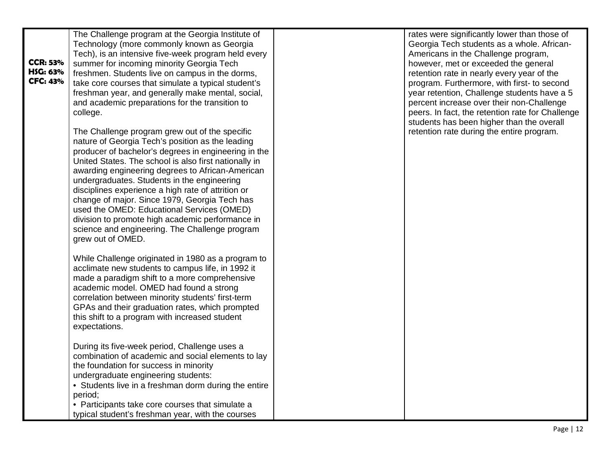| <b>CCR: 53%</b><br>HSG: 63%<br><b>CFC: 43%</b> | The Challenge program at the Georgia Institute of<br>Technology (more commonly known as Georgia<br>Tech), is an intensive five-week program held every<br>summer for incoming minority Georgia Tech<br>freshmen. Students live on campus in the dorms,<br>take core courses that simulate a typical student's<br>freshman year, and generally make mental, social,<br>and academic preparations for the transition to<br>college.                                                                                                                                                                      | rates were significantly lower than those of<br>Georgia Tech students as a whole. African-<br>Americans in the Challenge program,<br>however, met or exceeded the general<br>retention rate in nearly every year of the<br>program. Furthermore, with first- to second<br>year retention, Challenge students have a 5<br>percent increase over their non-Challenge<br>peers. In fact, the retention rate for Challenge<br>students has been higher than the overall |
|------------------------------------------------|--------------------------------------------------------------------------------------------------------------------------------------------------------------------------------------------------------------------------------------------------------------------------------------------------------------------------------------------------------------------------------------------------------------------------------------------------------------------------------------------------------------------------------------------------------------------------------------------------------|---------------------------------------------------------------------------------------------------------------------------------------------------------------------------------------------------------------------------------------------------------------------------------------------------------------------------------------------------------------------------------------------------------------------------------------------------------------------|
|                                                | The Challenge program grew out of the specific<br>nature of Georgia Tech's position as the leading<br>producer of bachelor's degrees in engineering in the<br>United States. The school is also first nationally in<br>awarding engineering degrees to African-American<br>undergraduates. Students in the engineering<br>disciplines experience a high rate of attrition or<br>change of major. Since 1979, Georgia Tech has<br>used the OMED: Educational Services (OMED)<br>division to promote high academic performance in<br>science and engineering. The Challenge program<br>grew out of OMED. | retention rate during the entire program.                                                                                                                                                                                                                                                                                                                                                                                                                           |
|                                                | While Challenge originated in 1980 as a program to<br>acclimate new students to campus life, in 1992 it<br>made a paradigm shift to a more comprehensive<br>academic model. OMED had found a strong<br>correlation between minority students' first-term<br>GPAs and their graduation rates, which prompted<br>this shift to a program with increased student<br>expectations.                                                                                                                                                                                                                         |                                                                                                                                                                                                                                                                                                                                                                                                                                                                     |
|                                                | During its five-week period, Challenge uses a<br>combination of academic and social elements to lay<br>the foundation for success in minority<br>undergraduate engineering students:<br>• Students live in a freshman dorm during the entire<br>period;<br>• Participants take core courses that simulate a<br>typical student's freshman year, with the courses                                                                                                                                                                                                                                       |                                                                                                                                                                                                                                                                                                                                                                                                                                                                     |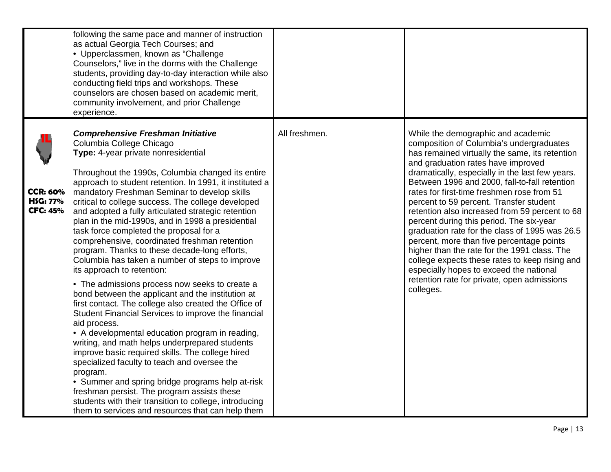|                                                       | following the same pace and manner of instruction<br>as actual Georgia Tech Courses; and<br>• Upperclassmen, known as "Challenge<br>Counselors," live in the dorms with the Challenge<br>students, providing day-to-day interaction while also<br>conducting field trips and workshops. These<br>counselors are chosen based on academic merit,<br>community involvement, and prior Challenge<br>experience.                                                                                                                                                                                                                                                                                                                                                                                                                                                                                                                                                                                                                                                                                                                                                                                                                                                                                                                                              |               |                                                                                                                                                                                                                                                                                                                                                                                                                                                                                                                                                                                                                                                                                                                                                                           |
|-------------------------------------------------------|-----------------------------------------------------------------------------------------------------------------------------------------------------------------------------------------------------------------------------------------------------------------------------------------------------------------------------------------------------------------------------------------------------------------------------------------------------------------------------------------------------------------------------------------------------------------------------------------------------------------------------------------------------------------------------------------------------------------------------------------------------------------------------------------------------------------------------------------------------------------------------------------------------------------------------------------------------------------------------------------------------------------------------------------------------------------------------------------------------------------------------------------------------------------------------------------------------------------------------------------------------------------------------------------------------------------------------------------------------------|---------------|---------------------------------------------------------------------------------------------------------------------------------------------------------------------------------------------------------------------------------------------------------------------------------------------------------------------------------------------------------------------------------------------------------------------------------------------------------------------------------------------------------------------------------------------------------------------------------------------------------------------------------------------------------------------------------------------------------------------------------------------------------------------------|
| <b>CCR: 60%</b><br><b>HSG: 77%</b><br><b>CFC: 45%</b> | <b>Comprehensive Freshman Initiative</b><br>Columbia College Chicago<br>Type: 4-year private nonresidential<br>Throughout the 1990s, Columbia changed its entire<br>approach to student retention. In 1991, it instituted a<br>mandatory Freshman Seminar to develop skills<br>critical to college success. The college developed<br>and adopted a fully articulated strategic retention<br>plan in the mid-1990s, and in 1998 a presidential<br>task force completed the proposal for a<br>comprehensive, coordinated freshman retention<br>program. Thanks to these decade-long efforts,<br>Columbia has taken a number of steps to improve<br>its approach to retention:<br>• The admissions process now seeks to create a<br>bond between the applicant and the institution at<br>first contact. The college also created the Office of<br>Student Financial Services to improve the financial<br>aid process.<br>• A developmental education program in reading,<br>writing, and math helps underprepared students<br>improve basic required skills. The college hired<br>specialized faculty to teach and oversee the<br>program.<br>• Summer and spring bridge programs help at-risk<br>freshman persist. The program assists these<br>students with their transition to college, introducing<br>them to services and resources that can help them | All freshmen. | While the demographic and academic<br>composition of Columbia's undergraduates<br>has remained virtually the same, its retention<br>and graduation rates have improved<br>dramatically, especially in the last few years.<br>Between 1996 and 2000, fall-to-fall retention<br>rates for first-time freshmen rose from 51<br>percent to 59 percent. Transfer student<br>retention also increased from 59 percent to 68<br>percent during this period. The six-year<br>graduation rate for the class of 1995 was 26.5<br>percent, more than five percentage points<br>higher than the rate for the 1991 class. The<br>college expects these rates to keep rising and<br>especially hopes to exceed the national<br>retention rate for private, open admissions<br>colleges. |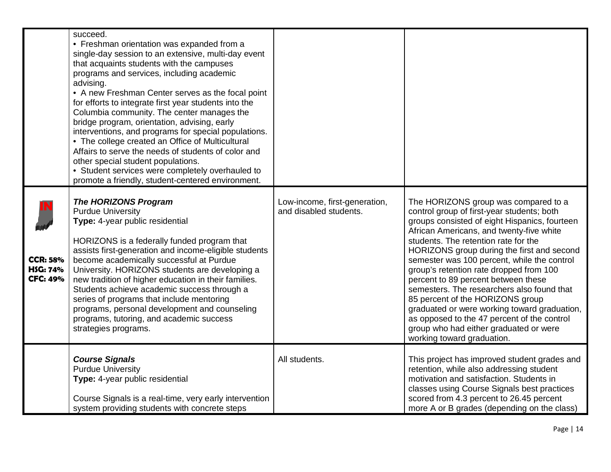|                                                | succeed.<br>• Freshman orientation was expanded from a<br>single-day session to an extensive, multi-day event<br>that acquaints students with the campuses<br>programs and services, including academic<br>advising.<br>• A new Freshman Center serves as the focal point<br>for efforts to integrate first year students into the<br>Columbia community. The center manages the<br>bridge program, orientation, advising, early<br>interventions, and programs for special populations.<br>• The college created an Office of Multicultural<br>Affairs to serve the needs of students of color and<br>other special student populations.<br>• Student services were completely overhauled to<br>promote a friendly, student-centered environment. |                                                         |                                                                                                                                                                                                                                                                                                                                                                                                                                                                                                                                                                                                                                                                 |
|------------------------------------------------|----------------------------------------------------------------------------------------------------------------------------------------------------------------------------------------------------------------------------------------------------------------------------------------------------------------------------------------------------------------------------------------------------------------------------------------------------------------------------------------------------------------------------------------------------------------------------------------------------------------------------------------------------------------------------------------------------------------------------------------------------|---------------------------------------------------------|-----------------------------------------------------------------------------------------------------------------------------------------------------------------------------------------------------------------------------------------------------------------------------------------------------------------------------------------------------------------------------------------------------------------------------------------------------------------------------------------------------------------------------------------------------------------------------------------------------------------------------------------------------------------|
| <b>CCR: 58%</b><br>HSG: 74%<br><b>CFC: 49%</b> | <b>The HORIZONS Program</b><br><b>Purdue University</b><br>Type: 4-year public residential<br>HORIZONS is a federally funded program that<br>assists first-generation and income-eligible students<br>become academically successful at Purdue<br>University. HORIZONS students are developing a<br>new tradition of higher education in their families.<br>Students achieve academic success through a<br>series of programs that include mentoring<br>programs, personal development and counseling<br>programs, tutoring, and academic success<br>strategies programs.                                                                                                                                                                          | Low-income, first-generation,<br>and disabled students. | The HORIZONS group was compared to a<br>control group of first-year students; both<br>groups consisted of eight Hispanics, fourteen<br>African Americans, and twenty-five white<br>students. The retention rate for the<br>HORIZONS group during the first and second<br>semester was 100 percent, while the control<br>group's retention rate dropped from 100<br>percent to 89 percent between these<br>semesters. The researchers also found that<br>85 percent of the HORIZONS group<br>graduated or were working toward graduation,<br>as opposed to the 47 percent of the control<br>group who had either graduated or were<br>working toward graduation. |
|                                                | <b>Course Signals</b><br><b>Purdue University</b><br>Type: 4-year public residential<br>Course Signals is a real-time, very early intervention<br>system providing students with concrete steps                                                                                                                                                                                                                                                                                                                                                                                                                                                                                                                                                    | All students.                                           | This project has improved student grades and<br>retention, while also addressing student<br>motivation and satisfaction. Students in<br>classes using Course Signals best practices<br>scored from 4.3 percent to 26.45 percent<br>more A or B grades (depending on the class)                                                                                                                                                                                                                                                                                                                                                                                  |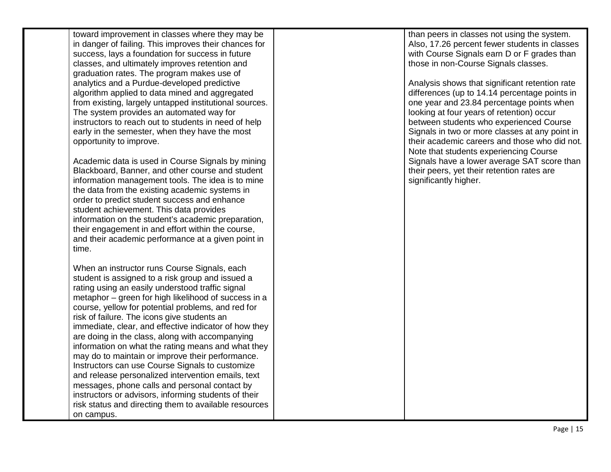toward improvement in classes where they may be in danger of failing. This improves their chances for success, lays a foundation for success in future classes, and ultimately improves retention and graduation rates. The program makes use of analytics and a Purdue -developed predictive algorithm applied to data mined and aggregated from existing, largely untapped institutional sources. The system provides an automated way for instructors to reach out to students in need of help early in the semester, when they have the most opportunity to improve.

Academic data is used in Course Signals by mining Blackboard, Banner, and other course and student information management tools. The idea is to mine the data from the existing academic systems in order to predict student success and enhance student achievement. This data provides information on the student's academic preparation, their engagement in and effort within the course, and their academic performance at a given point in time.

When an instructor runs Course Signals, each student is assigned to a risk group and issued a rating using an easily understood traffic signal metaphor – green for high likelihood of success in a course, yellow for potential problems, and red for risk of failure. The icons give students an immediate, clear, and effective indicator of how they are doing in the class, along with accompanying information on what the rating means and what they may do to maintain or improve their performance. Instructors can use Course Signals to customize and release personalized intervention emails, text messages, phone calls and personal contact by instructors or advisors, informing students of their risk status and directing them to available resources on campus.

than peers in classes not using the system. Also, 17.26 percent fewer students in classes with Course Signals earn D or F grades than those in non -Course Signals classes.

Analysis shows that significant retention rate differences (up to 14.14 percentage points in one year and 23.84 percentage points when looking at four years of retention) occur between students who experienced Course Signals in two or more classes at any point in their academic careers and those who did not. Note that students experiencing Course Signals have a lower average SAT score than their peers, yet their retention rates are significantly higher.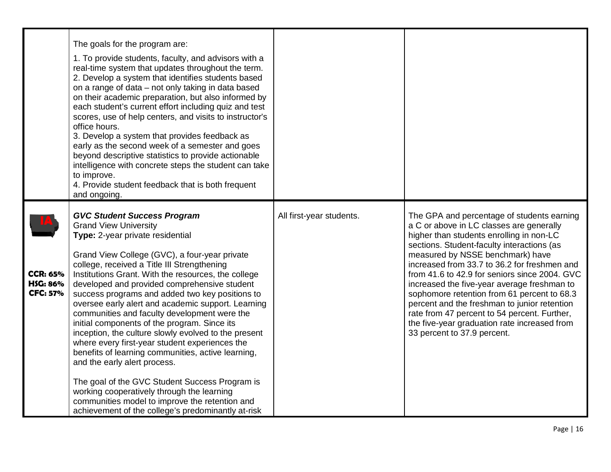|                                                       | The goals for the program are:<br>1. To provide students, faculty, and advisors with a<br>real-time system that updates throughout the term.<br>2. Develop a system that identifies students based<br>on a range of data - not only taking in data based<br>on their academic preparation, but also informed by<br>each student's current effort including quiz and test<br>scores, use of help centers, and visits to instructor's<br>office hours.<br>3. Develop a system that provides feedback as<br>early as the second week of a semester and goes<br>beyond descriptive statistics to provide actionable<br>intelligence with concrete steps the student can take<br>to improve.<br>4. Provide student feedback that is both frequent<br>and ongoing.             |                          |                                                                                                                                                                                                                                                                                                                                                                                                                                                                                                                                                                                                    |
|-------------------------------------------------------|--------------------------------------------------------------------------------------------------------------------------------------------------------------------------------------------------------------------------------------------------------------------------------------------------------------------------------------------------------------------------------------------------------------------------------------------------------------------------------------------------------------------------------------------------------------------------------------------------------------------------------------------------------------------------------------------------------------------------------------------------------------------------|--------------------------|----------------------------------------------------------------------------------------------------------------------------------------------------------------------------------------------------------------------------------------------------------------------------------------------------------------------------------------------------------------------------------------------------------------------------------------------------------------------------------------------------------------------------------------------------------------------------------------------------|
| <b>CCR: 65%</b><br><b>HSG: 86%</b><br><b>CFC: 57%</b> | <b>GVC Student Success Program</b><br><b>Grand View University</b><br>Type: 2-year private residential<br>Grand View College (GVC), a four-year private<br>college, received a Title III Strengthening<br>Institutions Grant. With the resources, the college<br>developed and provided comprehensive student<br>success programs and added two key positions to<br>oversee early alert and academic support. Learning<br>communities and faculty development were the<br>initial components of the program. Since its<br>inception, the culture slowly evolved to the present<br>where every first-year student experiences the<br>benefits of learning communities, active learning,<br>and the early alert process.<br>The goal of the GVC Student Success Program is | All first-year students. | The GPA and percentage of students earning<br>a C or above in LC classes are generally<br>higher than students enrolling in non-LC<br>sections. Student-faculty interactions (as<br>measured by NSSE benchmark) have<br>increased from 33.7 to 36.2 for freshmen and<br>from 41.6 to 42.9 for seniors since 2004. GVC<br>increased the five-year average freshman to<br>sophomore retention from 61 percent to 68.3<br>percent and the freshman to junior retention<br>rate from 47 percent to 54 percent. Further,<br>the five-year graduation rate increased from<br>33 percent to 37.9 percent. |
|                                                       | working cooperatively through the learning<br>communities model to improve the retention and<br>achievement of the college's predominantly at-risk                                                                                                                                                                                                                                                                                                                                                                                                                                                                                                                                                                                                                       |                          |                                                                                                                                                                                                                                                                                                                                                                                                                                                                                                                                                                                                    |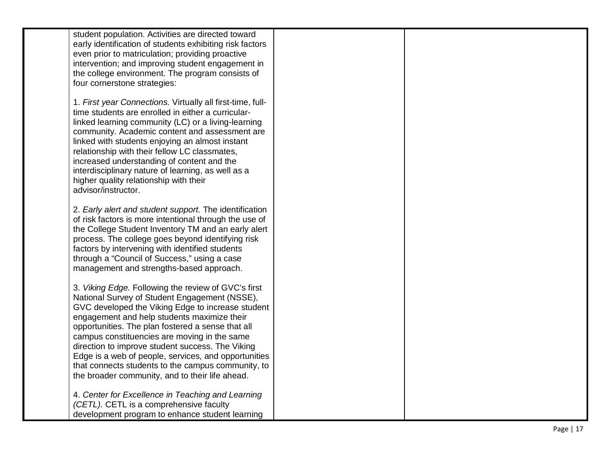| student population. Activities are directed toward<br>early identification of students exhibiting risk factors<br>even prior to matriculation; providing proactive<br>intervention; and improving student engagement in<br>the college environment. The program consists of<br>four cornerstone strategies:                                                                                                                                                                                                                        |  |
|------------------------------------------------------------------------------------------------------------------------------------------------------------------------------------------------------------------------------------------------------------------------------------------------------------------------------------------------------------------------------------------------------------------------------------------------------------------------------------------------------------------------------------|--|
| 1. First year Connections. Virtually all first-time, full-<br>time students are enrolled in either a curricular-<br>linked learning community (LC) or a living-learning<br>community. Academic content and assessment are<br>linked with students enjoying an almost instant<br>relationship with their fellow LC classmates,<br>increased understanding of content and the<br>interdisciplinary nature of learning, as well as a<br>higher quality relationship with their<br>advisor/instructor.                                 |  |
| 2. Early alert and student support. The identification<br>of risk factors is more intentional through the use of<br>the College Student Inventory TM and an early alert<br>process. The college goes beyond identifying risk<br>factors by intervening with identified students<br>through a "Council of Success," using a case<br>management and strengths-based approach.                                                                                                                                                        |  |
| 3. Viking Edge. Following the review of GVC's first<br>National Survey of Student Engagement (NSSE),<br>GVC developed the Viking Edge to increase student<br>engagement and help students maximize their<br>opportunities. The plan fostered a sense that all<br>campus constituencies are moving in the same<br>direction to improve student success. The Viking<br>Edge is a web of people, services, and opportunities<br>that connects students to the campus community, to<br>the broader community, and to their life ahead. |  |
| 4. Center for Excellence in Teaching and Learning<br>(CETL). CETL is a comprehensive faculty<br>development program to enhance student learning                                                                                                                                                                                                                                                                                                                                                                                    |  |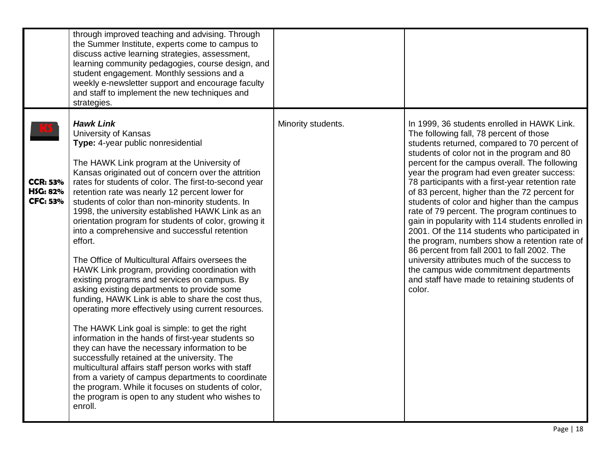|                                                       | through improved teaching and advising. Through<br>the Summer Institute, experts come to campus to<br>discuss active learning strategies, assessment,<br>learning community pedagogies, course design, and<br>student engagement. Monthly sessions and a<br>weekly e-newsletter support and encourage faculty<br>and staff to implement the new techniques and<br>strategies.                                                                                                                                                                                                                                                                                                                                                                                                                                                                                                                                                                                                                                                                                                                                                                                                                                                                                                             |                    |                                                                                                                                                                                                                                                                                                                                                                                                                                                                                                                                                                                                                                                                                                                                                                                                                                                    |
|-------------------------------------------------------|-------------------------------------------------------------------------------------------------------------------------------------------------------------------------------------------------------------------------------------------------------------------------------------------------------------------------------------------------------------------------------------------------------------------------------------------------------------------------------------------------------------------------------------------------------------------------------------------------------------------------------------------------------------------------------------------------------------------------------------------------------------------------------------------------------------------------------------------------------------------------------------------------------------------------------------------------------------------------------------------------------------------------------------------------------------------------------------------------------------------------------------------------------------------------------------------------------------------------------------------------------------------------------------------|--------------------|----------------------------------------------------------------------------------------------------------------------------------------------------------------------------------------------------------------------------------------------------------------------------------------------------------------------------------------------------------------------------------------------------------------------------------------------------------------------------------------------------------------------------------------------------------------------------------------------------------------------------------------------------------------------------------------------------------------------------------------------------------------------------------------------------------------------------------------------------|
| <b>CCR: 53%</b><br><b>HSG: 82%</b><br><b>CFC: 53%</b> | <b>Hawk Link</b><br>University of Kansas<br>Type: 4-year public nonresidential<br>The HAWK Link program at the University of<br>Kansas originated out of concern over the attrition<br>rates for students of color. The first-to-second year<br>retention rate was nearly 12 percent lower for<br>students of color than non-minority students. In<br>1998, the university established HAWK Link as an<br>orientation program for students of color, growing it<br>into a comprehensive and successful retention<br>effort.<br>The Office of Multicultural Affairs oversees the<br>HAWK Link program, providing coordination with<br>existing programs and services on campus. By<br>asking existing departments to provide some<br>funding, HAWK Link is able to share the cost thus,<br>operating more effectively using current resources.<br>The HAWK Link goal is simple: to get the right<br>information in the hands of first-year students so<br>they can have the necessary information to be<br>successfully retained at the university. The<br>multicultural affairs staff person works with staff<br>from a variety of campus departments to coordinate<br>the program. While it focuses on students of color,<br>the program is open to any student who wishes to<br>enroll. | Minority students. | In 1999, 36 students enrolled in HAWK Link.<br>The following fall, 78 percent of those<br>students returned, compared to 70 percent of<br>students of color not in the program and 80<br>percent for the campus overall. The following<br>year the program had even greater success:<br>78 participants with a first-year retention rate<br>of 83 percent, higher than the 72 percent for<br>students of color and higher than the campus<br>rate of 79 percent. The program continues to<br>gain in popularity with 114 students enrolled in<br>2001. Of the 114 students who participated in<br>the program, numbers show a retention rate of<br>86 percent from fall 2001 to fall 2002. The<br>university attributes much of the success to<br>the campus wide commitment departments<br>and staff have made to retaining students of<br>color. |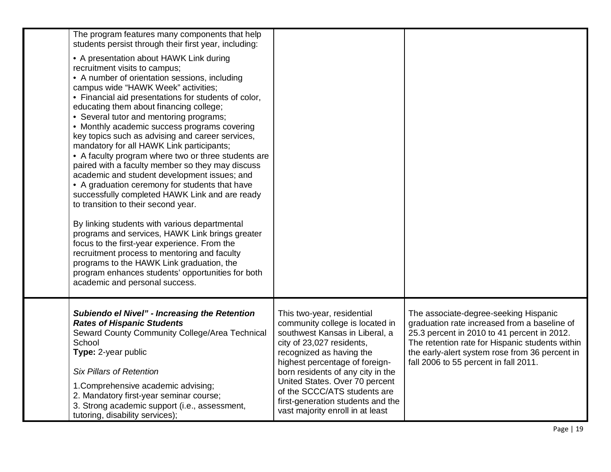| The program features many components that help<br>students persist through their first year, including:<br>• A presentation about HAWK Link during<br>recruitment visits to campus;<br>• A number of orientation sessions, including<br>campus wide "HAWK Week" activities;<br>• Financial aid presentations for students of color,<br>educating them about financing college;<br>• Several tutor and mentoring programs;<br>• Monthly academic success programs covering<br>key topics such as advising and career services,<br>mandatory for all HAWK Link participants;<br>• A faculty program where two or three students are<br>paired with a faculty member so they may discuss<br>academic and student development issues; and<br>• A graduation ceremony for students that have<br>successfully completed HAWK Link and are ready<br>to transition to their second year.<br>By linking students with various departmental<br>programs and services, HAWK Link brings greater<br>focus to the first-year experience. From the<br>recruitment process to mentoring and faculty<br>programs to the HAWK Link graduation, the<br>program enhances students' opportunities for both<br>academic and personal success. |                                                                                                                                                                                                                                                                                                                                                                            |                                                                                                                                                                                                                                                                                    |
|--------------------------------------------------------------------------------------------------------------------------------------------------------------------------------------------------------------------------------------------------------------------------------------------------------------------------------------------------------------------------------------------------------------------------------------------------------------------------------------------------------------------------------------------------------------------------------------------------------------------------------------------------------------------------------------------------------------------------------------------------------------------------------------------------------------------------------------------------------------------------------------------------------------------------------------------------------------------------------------------------------------------------------------------------------------------------------------------------------------------------------------------------------------------------------------------------------------------------|----------------------------------------------------------------------------------------------------------------------------------------------------------------------------------------------------------------------------------------------------------------------------------------------------------------------------------------------------------------------------|------------------------------------------------------------------------------------------------------------------------------------------------------------------------------------------------------------------------------------------------------------------------------------|
| <b>Subiendo el Nivel" - Increasing the Retention</b><br><b>Rates of Hispanic Students</b><br>Seward County Community College/Area Technical<br>School<br>Type: 2-year public<br><b>Six Pillars of Retention</b><br>1. Comprehensive academic advising;<br>2. Mandatory first-year seminar course;<br>3. Strong academic support (i.e., assessment,<br>tutoring, disability services);                                                                                                                                                                                                                                                                                                                                                                                                                                                                                                                                                                                                                                                                                                                                                                                                                                    | This two-year, residential<br>community college is located in<br>southwest Kansas in Liberal, a<br>city of 23,027 residents,<br>recognized as having the<br>highest percentage of foreign-<br>born residents of any city in the<br>United States. Over 70 percent<br>of the SCCC/ATS students are<br>first-generation students and the<br>vast majority enroll in at least | The associate-degree-seeking Hispanic<br>graduation rate increased from a baseline of<br>25.3 percent in 2010 to 41 percent in 2012.<br>The retention rate for Hispanic students within<br>the early-alert system rose from 36 percent in<br>fall 2006 to 55 percent in fall 2011. |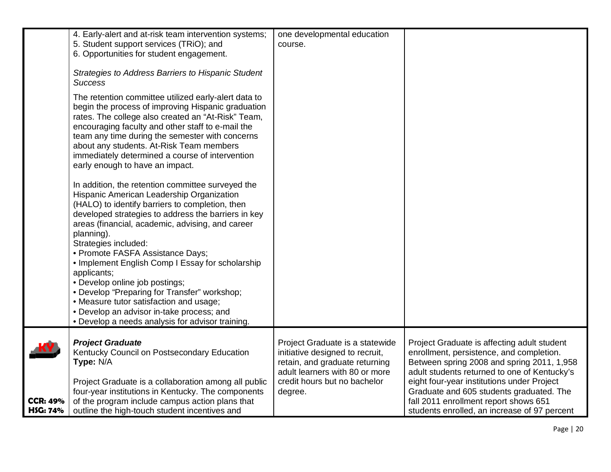|                                    | 4. Early-alert and at-risk team intervention systems;<br>5. Student support services (TRiO); and<br>6. Opportunities for student engagement.<br>Strategies to Address Barriers to Hispanic Student                                                                                                                                                                                                                                                                                                                                                                                                                                      | one developmental education<br>course.                                                                                                                                            |                                                                                                                                                                                                                                                                                                                                                                          |
|------------------------------------|-----------------------------------------------------------------------------------------------------------------------------------------------------------------------------------------------------------------------------------------------------------------------------------------------------------------------------------------------------------------------------------------------------------------------------------------------------------------------------------------------------------------------------------------------------------------------------------------------------------------------------------------|-----------------------------------------------------------------------------------------------------------------------------------------------------------------------------------|--------------------------------------------------------------------------------------------------------------------------------------------------------------------------------------------------------------------------------------------------------------------------------------------------------------------------------------------------------------------------|
|                                    | <b>Success</b><br>The retention committee utilized early-alert data to<br>begin the process of improving Hispanic graduation<br>rates. The college also created an "At-Risk" Team,<br>encouraging faculty and other staff to e-mail the<br>team any time during the semester with concerns<br>about any students. At-Risk Team members<br>immediately determined a course of intervention<br>early enough to have an impact.                                                                                                                                                                                                            |                                                                                                                                                                                   |                                                                                                                                                                                                                                                                                                                                                                          |
|                                    | In addition, the retention committee surveyed the<br>Hispanic American Leadership Organization<br>(HALO) to identify barriers to completion, then<br>developed strategies to address the barriers in key<br>areas (financial, academic, advising, and career<br>planning).<br>Strategies included:<br>• Promote FASFA Assistance Days;<br>• Implement English Comp I Essay for scholarship<br>applicants;<br>• Develop online job postings;<br>• Develop "Preparing for Transfer" workshop;<br>• Measure tutor satisfaction and usage;<br>• Develop an advisor in-take process; and<br>• Develop a needs analysis for advisor training. |                                                                                                                                                                                   |                                                                                                                                                                                                                                                                                                                                                                          |
| <b>CCR: 49%</b><br><b>HSG: 74%</b> | <b>Project Graduate</b><br>Kentucky Council on Postsecondary Education<br>Type: N/A<br>Project Graduate is a collaboration among all public<br>four-year institutions in Kentucky. The components<br>of the program include campus action plans that<br>outline the high-touch student incentives and                                                                                                                                                                                                                                                                                                                                   | Project Graduate is a statewide<br>initiative designed to recruit,<br>retain, and graduate returning<br>adult learners with 80 or more<br>credit hours but no bachelor<br>degree. | Project Graduate is affecting adult student<br>enrollment, persistence, and completion.<br>Between spring 2008 and spring 2011, 1,958<br>adult students returned to one of Kentucky's<br>eight four-year institutions under Project<br>Graduate and 605 students graduated. The<br>fall 2011 enrollment report shows 651<br>students enrolled, an increase of 97 percent |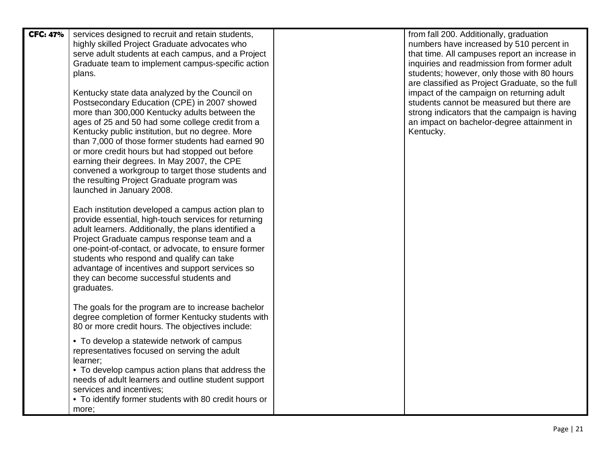| <b>CFC: 47%</b> | services designed to recruit and retain students,<br>highly skilled Project Graduate advocates who<br>serve adult students at each campus, and a Project<br>Graduate team to implement campus-specific action<br>plans.<br>Kentucky state data analyzed by the Council on<br>Postsecondary Education (CPE) in 2007 showed<br>more than 300,000 Kentucky adults between the<br>ages of 25 and 50 had some college credit from a<br>Kentucky public institution, but no degree. More<br>than 7,000 of those former students had earned 90<br>or more credit hours but had stopped out before<br>earning their degrees. In May 2007, the CPE<br>convened a workgroup to target those students and<br>the resulting Project Graduate program was<br>launched in January 2008.<br>Each institution developed a campus action plan to<br>provide essential, high-touch services for returning<br>adult learners. Additionally, the plans identified a<br>Project Graduate campus response team and a<br>one-point-of-contact, or advocate, to ensure former<br>students who respond and qualify can take<br>advantage of incentives and support services so<br>they can become successful students and<br>graduates.<br>The goals for the program are to increase bachelor<br>degree completion of former Kentucky students with | from fall 200. Additionally, graduation<br>numbers have increased by 510 percent in<br>that time. All campuses report an increase in<br>inquiries and readmission from former adult<br>students; however, only those with 80 hours<br>are classified as Project Graduate, so the full<br>impact of the campaign on returning adult<br>students cannot be measured but there are<br>strong indicators that the campaign is having<br>an impact on bachelor-degree attainment in<br>Kentucky. |
|-----------------|----------------------------------------------------------------------------------------------------------------------------------------------------------------------------------------------------------------------------------------------------------------------------------------------------------------------------------------------------------------------------------------------------------------------------------------------------------------------------------------------------------------------------------------------------------------------------------------------------------------------------------------------------------------------------------------------------------------------------------------------------------------------------------------------------------------------------------------------------------------------------------------------------------------------------------------------------------------------------------------------------------------------------------------------------------------------------------------------------------------------------------------------------------------------------------------------------------------------------------------------------------------------------------------------------------------------------|---------------------------------------------------------------------------------------------------------------------------------------------------------------------------------------------------------------------------------------------------------------------------------------------------------------------------------------------------------------------------------------------------------------------------------------------------------------------------------------------|
|                 | 80 or more credit hours. The objectives include:                                                                                                                                                                                                                                                                                                                                                                                                                                                                                                                                                                                                                                                                                                                                                                                                                                                                                                                                                                                                                                                                                                                                                                                                                                                                           |                                                                                                                                                                                                                                                                                                                                                                                                                                                                                             |
|                 | • To develop a statewide network of campus<br>representatives focused on serving the adult<br>learner;<br>• To develop campus action plans that address the<br>needs of adult learners and outline student support<br>services and incentives;<br>• To identify former students with 80 credit hours or<br>more;                                                                                                                                                                                                                                                                                                                                                                                                                                                                                                                                                                                                                                                                                                                                                                                                                                                                                                                                                                                                           |                                                                                                                                                                                                                                                                                                                                                                                                                                                                                             |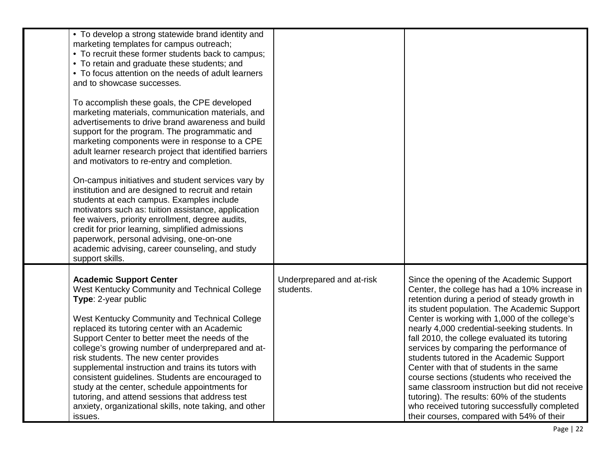| On-campus initiatives and student services vary by<br>institution and are designed to recruit and retain<br>students at each campus. Examples include<br>motivators such as: tuition assistance, application<br>fee waivers, priority enrollment, degree audits,<br>credit for prior learning, simplified admissions<br>paperwork, personal advising, one-on-one<br>academic advising, career counseling, and study<br>support skills.<br><b>Academic Support Center</b><br>West Kentucky Community and Technical College<br>Type: 2-year public<br>West Kentucky Community and Technical College<br>replaced its tutoring center with an Academic<br>Support Center to better meet the needs of the<br>college's growing number of underprepared and at-<br>risk students. The new center provides | Underprepared and at-risk<br>students. | Since the opening of the Academic Support<br>Center, the college has had a 10% increase in<br>retention during a period of steady growth in<br>its student population. The Academic Support<br>Center is working with 1,000 of the college's<br>nearly 4,000 credential-seeking students. In<br>fall 2010, the college evaluated its tutoring<br>services by comparing the performance of<br>students tutored in the Academic Support |
|-----------------------------------------------------------------------------------------------------------------------------------------------------------------------------------------------------------------------------------------------------------------------------------------------------------------------------------------------------------------------------------------------------------------------------------------------------------------------------------------------------------------------------------------------------------------------------------------------------------------------------------------------------------------------------------------------------------------------------------------------------------------------------------------------------|----------------------------------------|---------------------------------------------------------------------------------------------------------------------------------------------------------------------------------------------------------------------------------------------------------------------------------------------------------------------------------------------------------------------------------------------------------------------------------------|
| marketing materials, communication materials, and<br>advertisements to drive brand awareness and build<br>support for the program. The programmatic and<br>marketing components were in response to a CPE<br>adult learner research project that identified barriers<br>and motivators to re-entry and completion.                                                                                                                                                                                                                                                                                                                                                                                                                                                                                  |                                        |                                                                                                                                                                                                                                                                                                                                                                                                                                       |
| • To develop a strong statewide brand identity and<br>marketing templates for campus outreach;<br>• To recruit these former students back to campus;<br>• To retain and graduate these students; and<br>• To focus attention on the needs of adult learners<br>and to showcase successes.<br>To accomplish these goals, the CPE developed                                                                                                                                                                                                                                                                                                                                                                                                                                                           |                                        |                                                                                                                                                                                                                                                                                                                                                                                                                                       |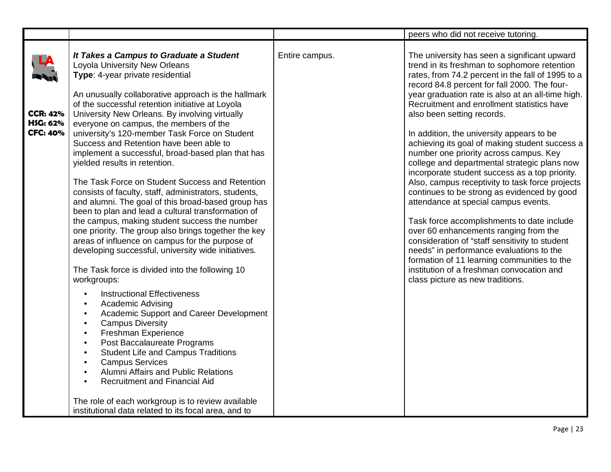|                                                |                                                                                                                                                                                                                                                                                                                                                                                                                                                                                                                                                                                                                                                                                                                                                                                |                | peers who did not receive tutoring.                                                                                                                                                                                                                                                                                                                                                                                                                                                                                                                                                                                                                                                                                                                                   |
|------------------------------------------------|--------------------------------------------------------------------------------------------------------------------------------------------------------------------------------------------------------------------------------------------------------------------------------------------------------------------------------------------------------------------------------------------------------------------------------------------------------------------------------------------------------------------------------------------------------------------------------------------------------------------------------------------------------------------------------------------------------------------------------------------------------------------------------|----------------|-----------------------------------------------------------------------------------------------------------------------------------------------------------------------------------------------------------------------------------------------------------------------------------------------------------------------------------------------------------------------------------------------------------------------------------------------------------------------------------------------------------------------------------------------------------------------------------------------------------------------------------------------------------------------------------------------------------------------------------------------------------------------|
| <b>CCR: 42%</b><br>HSG: 62%<br><b>CFC: 40%</b> | It Takes a Campus to Graduate a Student<br>Loyola University New Orleans<br>Type: 4-year private residential<br>An unusually collaborative approach is the hallmark<br>of the successful retention initiative at Loyola<br>University New Orleans. By involving virtually<br>everyone on campus, the members of the<br>university's 120-member Task Force on Student<br>Success and Retention have been able to<br>implement a successful, broad-based plan that has<br>yielded results in retention.<br>The Task Force on Student Success and Retention<br>consists of faculty, staff, administrators, students,<br>and alumni. The goal of this broad-based group has<br>been to plan and lead a cultural transformation of<br>the campus, making student success the number | Entire campus. | The university has seen a significant upward<br>trend in its freshman to sophomore retention<br>rates, from 74.2 percent in the fall of 1995 to a<br>record 84.8 percent for fall 2000. The four-<br>year graduation rate is also at an all-time high.<br>Recruitment and enrollment statistics have<br>also been setting records.<br>In addition, the university appears to be<br>achieving its goal of making student success a<br>number one priority across campus. Key<br>college and departmental strategic plans now<br>incorporate student success as a top priority.<br>Also, campus receptivity to task force projects<br>continues to be strong as evidenced by good<br>attendance at special campus events.<br>Task force accomplishments to date include |
|                                                | one priority. The group also brings together the key<br>areas of influence on campus for the purpose of<br>developing successful, university wide initiatives.<br>The Task force is divided into the following 10<br>workgroups:<br><b>Instructional Effectiveness</b><br>$\bullet$<br><b>Academic Advising</b><br>$\bullet$<br>Academic Support and Career Development<br>$\bullet$<br><b>Campus Diversity</b><br>$\bullet$<br>Freshman Experience<br>$\bullet$<br>Post Baccalaureate Programs<br>$\bullet$<br><b>Student Life and Campus Traditions</b><br>$\bullet$<br><b>Campus Services</b><br>$\bullet$<br><b>Alumni Affairs and Public Relations</b><br>$\bullet$<br><b>Recruitment and Financial Aid</b>                                                               |                | over 60 enhancements ranging from the<br>consideration of "staff sensitivity to student<br>needs" in performance evaluations to the<br>formation of 11 learning communities to the<br>institution of a freshman convocation and<br>class picture as new traditions.                                                                                                                                                                                                                                                                                                                                                                                                                                                                                                   |
|                                                | The role of each workgroup is to review available<br>institutional data related to its focal area, and to                                                                                                                                                                                                                                                                                                                                                                                                                                                                                                                                                                                                                                                                      |                |                                                                                                                                                                                                                                                                                                                                                                                                                                                                                                                                                                                                                                                                                                                                                                       |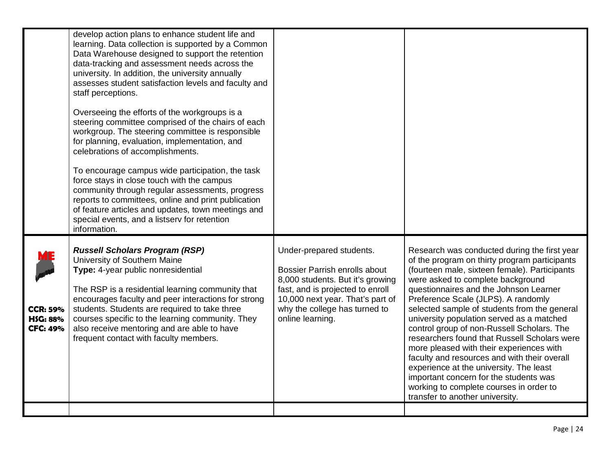|                                                       | develop action plans to enhance student life and<br>learning. Data collection is supported by a Common<br>Data Warehouse designed to support the retention<br>data-tracking and assessment needs across the<br>university. In addition, the university annually<br>assesses student satisfaction levels and faculty and<br>staff perceptions.<br>Overseeing the efforts of the workgroups is a<br>steering committee comprised of the chairs of each<br>workgroup. The steering committee is responsible<br>for planning, evaluation, implementation, and<br>celebrations of accomplishments.<br>To encourage campus wide participation, the task<br>force stays in close touch with the campus<br>community through regular assessments, progress<br>reports to committees, online and print publication<br>of feature articles and updates, town meetings and<br>special events, and a listserv for retention<br>information. |                                                                                                                                                                                                                                   |                                                                                                                                                                                                                                                                                                                                                                                                                                                                                                                                                                                                                                                                                                                                |
|-------------------------------------------------------|---------------------------------------------------------------------------------------------------------------------------------------------------------------------------------------------------------------------------------------------------------------------------------------------------------------------------------------------------------------------------------------------------------------------------------------------------------------------------------------------------------------------------------------------------------------------------------------------------------------------------------------------------------------------------------------------------------------------------------------------------------------------------------------------------------------------------------------------------------------------------------------------------------------------------------|-----------------------------------------------------------------------------------------------------------------------------------------------------------------------------------------------------------------------------------|--------------------------------------------------------------------------------------------------------------------------------------------------------------------------------------------------------------------------------------------------------------------------------------------------------------------------------------------------------------------------------------------------------------------------------------------------------------------------------------------------------------------------------------------------------------------------------------------------------------------------------------------------------------------------------------------------------------------------------|
| <b>CCR: 59%</b><br><b>HSG: 88%</b><br><b>CFC: 49%</b> | <b>Russell Scholars Program (RSP)</b><br>University of Southern Maine<br>Type: 4-year public nonresidential<br>The RSP is a residential learning community that<br>encourages faculty and peer interactions for strong<br>students. Students are required to take three<br>courses specific to the learning community. They<br>also receive mentoring and are able to have<br>frequent contact with faculty members.                                                                                                                                                                                                                                                                                                                                                                                                                                                                                                            | Under-prepared students.<br><b>Bossier Parrish enrolls about</b><br>8,000 students. But it's growing<br>fast, and is projected to enroll<br>10,000 next year. That's part of<br>why the college has turned to<br>online learning. | Research was conducted during the first year<br>of the program on thirty program participants<br>(fourteen male, sixteen female). Participants<br>were asked to complete background<br>questionnaires and the Johnson Learner<br>Preference Scale (JLPS). A randomly<br>selected sample of students from the general<br>university population served as a matched<br>control group of non-Russell Scholars. The<br>researchers found that Russell Scholars were<br>more pleased with their experiences with<br>faculty and resources and with their overall<br>experience at the university. The least<br>important concern for the students was<br>working to complete courses in order to<br>transfer to another university. |
|                                                       |                                                                                                                                                                                                                                                                                                                                                                                                                                                                                                                                                                                                                                                                                                                                                                                                                                                                                                                                 |                                                                                                                                                                                                                                   |                                                                                                                                                                                                                                                                                                                                                                                                                                                                                                                                                                                                                                                                                                                                |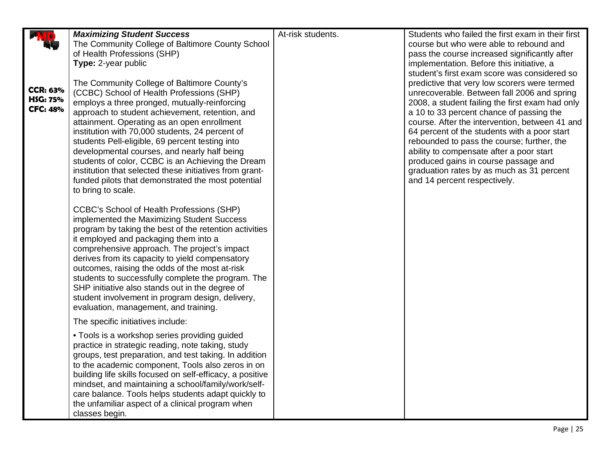|                                                       |                                                                                                                                                                                                                                                                                                                                                                                                                                                                                                                                                                                               | At-risk students. | Students who failed the first exam in their first                                                                                                                                                                                                                                                                                                                                                                                                                                                                                                           |
|-------------------------------------------------------|-----------------------------------------------------------------------------------------------------------------------------------------------------------------------------------------------------------------------------------------------------------------------------------------------------------------------------------------------------------------------------------------------------------------------------------------------------------------------------------------------------------------------------------------------------------------------------------------------|-------------------|-------------------------------------------------------------------------------------------------------------------------------------------------------------------------------------------------------------------------------------------------------------------------------------------------------------------------------------------------------------------------------------------------------------------------------------------------------------------------------------------------------------------------------------------------------------|
|                                                       | <b>Maximizing Student Success</b><br>The Community College of Baltimore County School                                                                                                                                                                                                                                                                                                                                                                                                                                                                                                         |                   | course but who were able to rebound and                                                                                                                                                                                                                                                                                                                                                                                                                                                                                                                     |
|                                                       | of Health Professions (SHP)                                                                                                                                                                                                                                                                                                                                                                                                                                                                                                                                                                   |                   | pass the course increased significantly after                                                                                                                                                                                                                                                                                                                                                                                                                                                                                                               |
|                                                       | Type: 2-year public                                                                                                                                                                                                                                                                                                                                                                                                                                                                                                                                                                           |                   | implementation. Before this initiative, a                                                                                                                                                                                                                                                                                                                                                                                                                                                                                                                   |
| <b>CCR: 63%</b><br><b>HSG: 75%</b><br><b>CFC: 48%</b> | The Community College of Baltimore County's<br>(CCBC) School of Health Professions (SHP)<br>employs a three pronged, mutually-reinforcing<br>approach to student achievement, retention, and<br>attainment. Operating as an open enrollment<br>institution with 70,000 students, 24 percent of<br>students Pell-eligible, 69 percent testing into<br>developmental courses, and nearly half being<br>students of color, CCBC is an Achieving the Dream<br>institution that selected these initiatives from grant-<br>funded pilots that demonstrated the most potential<br>to bring to scale. |                   | student's first exam score was considered so<br>predictive that very low scorers were termed<br>unrecoverable. Between fall 2006 and spring<br>2008, a student failing the first exam had only<br>a 10 to 33 percent chance of passing the<br>course. After the intervention, between 41 and<br>64 percent of the students with a poor start<br>rebounded to pass the course; further, the<br>ability to compensate after a poor start<br>produced gains in course passage and<br>graduation rates by as much as 31 percent<br>and 14 percent respectively. |
|                                                       | <b>CCBC's School of Health Professions (SHP)</b><br>implemented the Maximizing Student Success<br>program by taking the best of the retention activities<br>it employed and packaging them into a<br>comprehensive approach. The project's impact<br>derives from its capacity to yield compensatory<br>outcomes, raising the odds of the most at-risk<br>students to successfully complete the program. The<br>SHP initiative also stands out in the degree of<br>student involvement in program design, delivery,<br>evaluation, management, and training.                                  |                   |                                                                                                                                                                                                                                                                                                                                                                                                                                                                                                                                                             |
|                                                       | The specific initiatives include:                                                                                                                                                                                                                                                                                                                                                                                                                                                                                                                                                             |                   |                                                                                                                                                                                                                                                                                                                                                                                                                                                                                                                                                             |
|                                                       | • Tools is a workshop series providing guided<br>practice in strategic reading, note taking, study<br>groups, test preparation, and test taking. In addition<br>to the academic component, Tools also zeros in on<br>building life skills focused on self-efficacy, a positive<br>mindset, and maintaining a school/family/work/self-<br>care balance. Tools helps students adapt quickly to<br>the unfamiliar aspect of a clinical program when<br>classes begin.                                                                                                                            |                   |                                                                                                                                                                                                                                                                                                                                                                                                                                                                                                                                                             |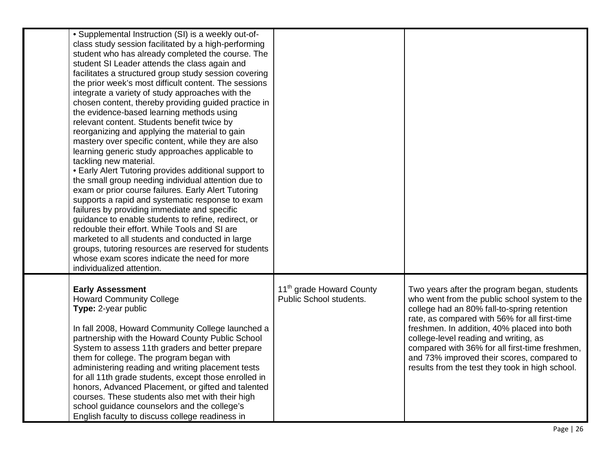| • Supplemental Instruction (SI) is a weekly out-of-<br>class study session facilitated by a high-performing<br>student who has already completed the course. The<br>student SI Leader attends the class again and<br>facilitates a structured group study session covering<br>the prior week's most difficult content. The sessions<br>integrate a variety of study approaches with the<br>chosen content, thereby providing guided practice in<br>the evidence-based learning methods using<br>relevant content. Students benefit twice by<br>reorganizing and applying the material to gain<br>mastery over specific content, while they are also<br>learning generic study approaches applicable to<br>tackling new material.<br>• Early Alert Tutoring provides additional support to<br>the small group needing individual attention due to<br>exam or prior course failures. Early Alert Tutoring<br>supports a rapid and systematic response to exam<br>failures by providing immediate and specific<br>guidance to enable students to refine, redirect, or<br>redouble their effort. While Tools and SI are<br>marketed to all students and conducted in large<br>groups, tutoring resources are reserved for students<br>whose exam scores indicate the need for more |                                                                        |                                                                                                                                                                                                                                                                                                                                                                                                                                         |
|--------------------------------------------------------------------------------------------------------------------------------------------------------------------------------------------------------------------------------------------------------------------------------------------------------------------------------------------------------------------------------------------------------------------------------------------------------------------------------------------------------------------------------------------------------------------------------------------------------------------------------------------------------------------------------------------------------------------------------------------------------------------------------------------------------------------------------------------------------------------------------------------------------------------------------------------------------------------------------------------------------------------------------------------------------------------------------------------------------------------------------------------------------------------------------------------------------------------------------------------------------------------------------|------------------------------------------------------------------------|-----------------------------------------------------------------------------------------------------------------------------------------------------------------------------------------------------------------------------------------------------------------------------------------------------------------------------------------------------------------------------------------------------------------------------------------|
| individualized attention.<br><b>Early Assessment</b><br><b>Howard Community College</b><br>Type: 2-year public<br>In fall 2008, Howard Community College launched a<br>partnership with the Howard County Public School<br>System to assess 11th graders and better prepare<br>them for college. The program began with<br>administering reading and writing placement tests<br>for all 11th grade students, except those enrolled in<br>honors, Advanced Placement, or gifted and talented<br>courses. These students also met with their high<br>school guidance counselors and the college's<br>English faculty to discuss college readiness in                                                                                                                                                                                                                                                                                                                                                                                                                                                                                                                                                                                                                             | 11 <sup>th</sup> grade Howard County<br><b>Public School students.</b> | Two years after the program began, students<br>who went from the public school system to the<br>college had an 80% fall-to-spring retention<br>rate, as compared with 56% for all first-time<br>freshmen. In addition, 40% placed into both<br>college-level reading and writing, as<br>compared with 36% for all first-time freshmen,<br>and 73% improved their scores, compared to<br>results from the test they took in high school. |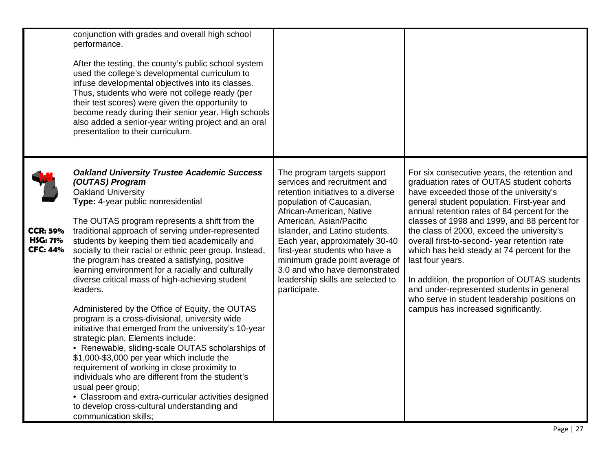|                                                       | conjunction with grades and overall high school<br>performance.<br>After the testing, the county's public school system<br>used the college's developmental curriculum to<br>infuse developmental objectives into its classes.<br>Thus, students who were not college ready (per<br>their test scores) were given the opportunity to<br>become ready during their senior year. High schools<br>also added a senior-year writing project and an oral<br>presentation to their curriculum.                                                                                                                                                                                                                                                                                                                                                                                                                                                                                                                                                                                                         |                                                                                                                                                                                                                                                                                                                                                                                                                    |                                                                                                                                                                                                                                                                                                                                                                                                                                                                                                                                                                                                                                          |
|-------------------------------------------------------|--------------------------------------------------------------------------------------------------------------------------------------------------------------------------------------------------------------------------------------------------------------------------------------------------------------------------------------------------------------------------------------------------------------------------------------------------------------------------------------------------------------------------------------------------------------------------------------------------------------------------------------------------------------------------------------------------------------------------------------------------------------------------------------------------------------------------------------------------------------------------------------------------------------------------------------------------------------------------------------------------------------------------------------------------------------------------------------------------|--------------------------------------------------------------------------------------------------------------------------------------------------------------------------------------------------------------------------------------------------------------------------------------------------------------------------------------------------------------------------------------------------------------------|------------------------------------------------------------------------------------------------------------------------------------------------------------------------------------------------------------------------------------------------------------------------------------------------------------------------------------------------------------------------------------------------------------------------------------------------------------------------------------------------------------------------------------------------------------------------------------------------------------------------------------------|
| <b>CCR: 59%</b><br><b>HSG: 71%</b><br><b>CFC: 44%</b> | <b>Oakland University Trustee Academic Success</b><br>(OUTAS) Program<br><b>Oakland University</b><br>Type: 4-year public nonresidential<br>The OUTAS program represents a shift from the<br>traditional approach of serving under-represented<br>students by keeping them tied academically and<br>socially to their racial or ethnic peer group. Instead,<br>the program has created a satisfying, positive<br>learning environment for a racially and culturally<br>diverse critical mass of high-achieving student<br>leaders.<br>Administered by the Office of Equity, the OUTAS<br>program is a cross-divisional, university wide<br>initiative that emerged from the university's 10-year<br>strategic plan. Elements include:<br>• Renewable, sliding-scale OUTAS scholarships of<br>\$1,000-\$3,000 per year which include the<br>requirement of working in close proximity to<br>individuals who are different from the student's<br>usual peer group;<br>• Classroom and extra-curricular activities designed<br>to develop cross-cultural understanding and<br>communication skills: | The program targets support<br>services and recruitment and<br>retention initiatives to a diverse<br>population of Caucasian,<br>African-American, Native<br>American, Asian/Pacific<br>Islander, and Latino students.<br>Each year, approximately 30-40<br>first-year students who have a<br>minimum grade point average of<br>3.0 and who have demonstrated<br>leadership skills are selected to<br>participate. | For six consecutive years, the retention and<br>graduation rates of OUTAS student cohorts<br>have exceeded those of the university's<br>general student population. First-year and<br>annual retention rates of 84 percent for the<br>classes of 1998 and 1999, and 88 percent for<br>the class of 2000, exceed the university's<br>overall first-to-second- year retention rate<br>which has held steady at 74 percent for the<br>last four years.<br>In addition, the proportion of OUTAS students<br>and under-represented students in general<br>who serve in student leadership positions on<br>campus has increased significantly. |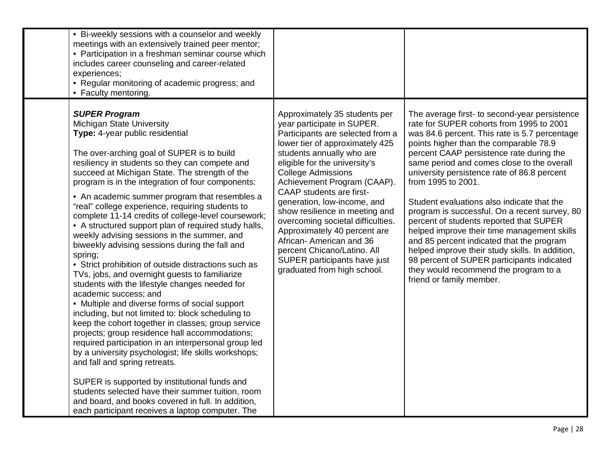| • Bi-weekly sessions with a counselor and weekly<br>meetings with an extensively trained peer mentor;<br>• Participation in a freshman seminar course which<br>includes career counseling and career-related<br>experiences;<br>• Regular monitoring of academic progress; and<br>• Faculty mentoring.                                                                                                                                                                                                                                                                                                                                                                                                                                                                                                                                                                                                                                                                                                                                                                                                                                                                                                                                                                                                                                                                                            |                                                                                                                                                                                                                                                                                                                                                                                                                                                                                                                                                                |                                                                                                                                                                                                                                                                                                                                                                                                                                                                                                                                                                                                                                                                                                                                                                 |
|---------------------------------------------------------------------------------------------------------------------------------------------------------------------------------------------------------------------------------------------------------------------------------------------------------------------------------------------------------------------------------------------------------------------------------------------------------------------------------------------------------------------------------------------------------------------------------------------------------------------------------------------------------------------------------------------------------------------------------------------------------------------------------------------------------------------------------------------------------------------------------------------------------------------------------------------------------------------------------------------------------------------------------------------------------------------------------------------------------------------------------------------------------------------------------------------------------------------------------------------------------------------------------------------------------------------------------------------------------------------------------------------------|----------------------------------------------------------------------------------------------------------------------------------------------------------------------------------------------------------------------------------------------------------------------------------------------------------------------------------------------------------------------------------------------------------------------------------------------------------------------------------------------------------------------------------------------------------------|-----------------------------------------------------------------------------------------------------------------------------------------------------------------------------------------------------------------------------------------------------------------------------------------------------------------------------------------------------------------------------------------------------------------------------------------------------------------------------------------------------------------------------------------------------------------------------------------------------------------------------------------------------------------------------------------------------------------------------------------------------------------|
| <b>SUPER Program</b><br>Michigan State University<br>Type: 4-year public residential<br>The over-arching goal of SUPER is to build<br>resiliency in students so they can compete and<br>succeed at Michigan State. The strength of the<br>program is in the integration of four components:<br>• An academic summer program that resembles a<br>"real" college experience, requiring students to<br>complete 11-14 credits of college-level coursework;<br>• A structured support plan of required study halls,<br>weekly advising sessions in the summer, and<br>biweekly advising sessions during the fall and<br>spring;<br>• Strict prohibition of outside distractions such as<br>TVs, jobs, and overnight guests to familiarize<br>students with the lifestyle changes needed for<br>academic success; and<br>• Multiple and diverse forms of social support<br>including, but not limited to: block scheduling to<br>keep the cohort together in classes; group service<br>projects; group residence hall accommodations;<br>required participation in an interpersonal group led<br>by a university psychologist; life skills workshops;<br>and fall and spring retreats.<br>SUPER is supported by institutional funds and<br>students selected have their summer tuition, room<br>and board, and books covered in full. In addition,<br>each participant receives a laptop computer. The | Approximately 35 students per<br>year participate in SUPER.<br>Participants are selected from a<br>lower tier of approximately 425<br>students annually who are<br>eligible for the university's<br><b>College Admissions</b><br>Achievement Program (CAAP).<br><b>CAAP</b> students are first-<br>generation, low-income, and<br>show resilience in meeting and<br>overcoming societal difficulties.<br>Approximately 40 percent are<br>African-American and 36<br>percent Chicano/Latino. All<br>SUPER participants have just<br>graduated from high school. | The average first- to second-year persistence<br>rate for SUPER cohorts from 1995 to 2001<br>was 84.6 percent. This rate is 5.7 percentage<br>points higher than the comparable 78.9<br>percent CAAP persistence rate during the<br>same period and comes close to the overall<br>university persistence rate of 86.8 percent<br>from 1995 to 2001.<br>Student evaluations also indicate that the<br>program is successful. On a recent survey, 80<br>percent of students reported that SUPER<br>helped improve their time management skills<br>and 85 percent indicated that the program<br>helped improve their study skills. In addition,<br>98 percent of SUPER participants indicated<br>they would recommend the program to a<br>friend or family member. |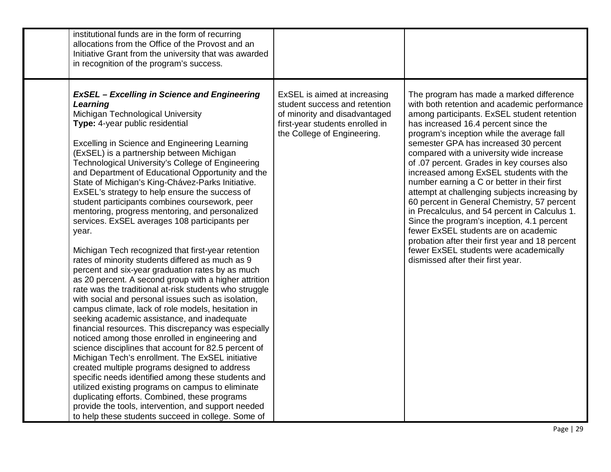| institutional funds are in the form of recurring<br>allocations from the Office of the Provost and an<br>Initiative Grant from the university that was awarded<br>in recognition of the program's success.                                                                                                                                                                                                                                                                                                                                                                                                                                                                                                                                                                                                                                                                                                                                                                                                                                                                                                                                                                                                                                                                                                                                                                                                                                                                                                                                                                                                                |                                                                                                                                                                  |                                                                                                                                                                                                                                                                                                                                                                                                                                                                                                                                                                                                                                                                                                                                                                                                                                     |
|---------------------------------------------------------------------------------------------------------------------------------------------------------------------------------------------------------------------------------------------------------------------------------------------------------------------------------------------------------------------------------------------------------------------------------------------------------------------------------------------------------------------------------------------------------------------------------------------------------------------------------------------------------------------------------------------------------------------------------------------------------------------------------------------------------------------------------------------------------------------------------------------------------------------------------------------------------------------------------------------------------------------------------------------------------------------------------------------------------------------------------------------------------------------------------------------------------------------------------------------------------------------------------------------------------------------------------------------------------------------------------------------------------------------------------------------------------------------------------------------------------------------------------------------------------------------------------------------------------------------------|------------------------------------------------------------------------------------------------------------------------------------------------------------------|-------------------------------------------------------------------------------------------------------------------------------------------------------------------------------------------------------------------------------------------------------------------------------------------------------------------------------------------------------------------------------------------------------------------------------------------------------------------------------------------------------------------------------------------------------------------------------------------------------------------------------------------------------------------------------------------------------------------------------------------------------------------------------------------------------------------------------------|
| <b>ExSEL</b> - Excelling in Science and Engineering<br>Learning<br>Michigan Technological University<br>Type: 4-year public residential<br><b>Excelling in Science and Engineering Learning</b><br>(ExSEL) is a partnership between Michigan<br>Technological University's College of Engineering<br>and Department of Educational Opportunity and the<br>State of Michigan's King-Chávez-Parks Initiative.<br>ExSEL's strategy to help ensure the success of<br>student participants combines coursework, peer<br>mentoring, progress mentoring, and personalized<br>services. ExSEL averages 108 participants per<br>year.<br>Michigan Tech recognized that first-year retention<br>rates of minority students differed as much as 9<br>percent and six-year graduation rates by as much<br>as 20 percent. A second group with a higher attrition<br>rate was the traditional at-risk students who struggle<br>with social and personal issues such as isolation,<br>campus climate, lack of role models, hesitation in<br>seeking academic assistance, and inadequate<br>financial resources. This discrepancy was especially<br>noticed among those enrolled in engineering and<br>science disciplines that account for 82.5 percent of<br>Michigan Tech's enrollment. The ExSEL initiative<br>created multiple programs designed to address<br>specific needs identified among these students and<br>utilized existing programs on campus to eliminate<br>duplicating efforts. Combined, these programs<br>provide the tools, intervention, and support needed<br>to help these students succeed in college. Some of | ExSEL is aimed at increasing<br>student success and retention<br>of minority and disadvantaged<br>first-year students enrolled in<br>the College of Engineering. | The program has made a marked difference<br>with both retention and academic performance<br>among participants. ExSEL student retention<br>has increased 16.4 percent since the<br>program's inception while the average fall<br>semester GPA has increased 30 percent<br>compared with a university wide increase<br>of .07 percent. Grades in key courses also<br>increased among ExSEL students with the<br>number earning a C or better in their first<br>attempt at challenging subjects increasing by<br>60 percent in General Chemistry, 57 percent<br>in Precalculus, and 54 percent in Calculus 1.<br>Since the program's inception, 4.1 percent<br>fewer ExSEL students are on academic<br>probation after their first year and 18 percent<br>fewer ExSEL students were academically<br>dismissed after their first year. |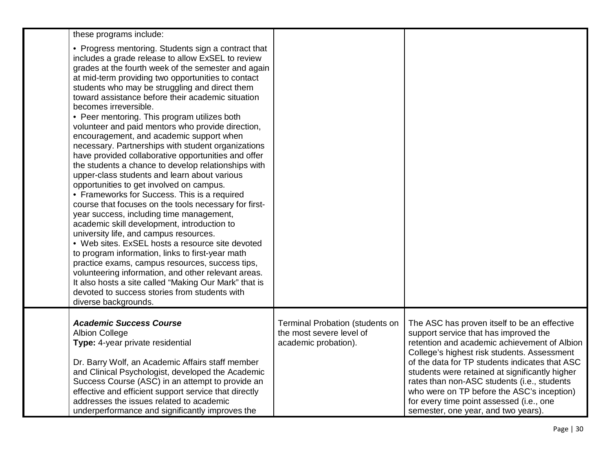| these programs include:                                                                                                                                                                                                                                                                                                                                                                                                                                                                                                                                                                                                                                                                                                                                                                                                                                                                                                                                                                                                                                                                                                                                                                                                                                                                                                                                                  |                                                                                            |                                                                                                                                                                                                                                                                                                                                                                                                                                                                          |
|--------------------------------------------------------------------------------------------------------------------------------------------------------------------------------------------------------------------------------------------------------------------------------------------------------------------------------------------------------------------------------------------------------------------------------------------------------------------------------------------------------------------------------------------------------------------------------------------------------------------------------------------------------------------------------------------------------------------------------------------------------------------------------------------------------------------------------------------------------------------------------------------------------------------------------------------------------------------------------------------------------------------------------------------------------------------------------------------------------------------------------------------------------------------------------------------------------------------------------------------------------------------------------------------------------------------------------------------------------------------------|--------------------------------------------------------------------------------------------|--------------------------------------------------------------------------------------------------------------------------------------------------------------------------------------------------------------------------------------------------------------------------------------------------------------------------------------------------------------------------------------------------------------------------------------------------------------------------|
| • Progress mentoring. Students sign a contract that<br>includes a grade release to allow ExSEL to review<br>grades at the fourth week of the semester and again<br>at mid-term providing two opportunities to contact<br>students who may be struggling and direct them<br>toward assistance before their academic situation<br>becomes irreversible.<br>• Peer mentoring. This program utilizes both<br>volunteer and paid mentors who provide direction,<br>encouragement, and academic support when<br>necessary. Partnerships with student organizations<br>have provided collaborative opportunities and offer<br>the students a chance to develop relationships with<br>upper-class students and learn about various<br>opportunities to get involved on campus.<br>• Frameworks for Success. This is a required<br>course that focuses on the tools necessary for first-<br>year success, including time management,<br>academic skill development, introduction to<br>university life, and campus resources.<br>• Web sites. ExSEL hosts a resource site devoted<br>to program information, links to first-year math<br>practice exams, campus resources, success tips,<br>volunteering information, and other relevant areas.<br>It also hosts a site called "Making Our Mark" that is<br>devoted to success stories from students with<br>diverse backgrounds. |                                                                                            |                                                                                                                                                                                                                                                                                                                                                                                                                                                                          |
| <b>Academic Success Course</b><br><b>Albion College</b><br>Type: 4-year private residential<br>Dr. Barry Wolf, an Academic Affairs staff member<br>and Clinical Psychologist, developed the Academic<br>Success Course (ASC) in an attempt to provide an<br>effective and efficient support service that directly<br>addresses the issues related to academic<br>underperformance and significantly improves the                                                                                                                                                                                                                                                                                                                                                                                                                                                                                                                                                                                                                                                                                                                                                                                                                                                                                                                                                         | <b>Terminal Probation (students on</b><br>the most severe level of<br>academic probation). | The ASC has proven itself to be an effective<br>support service that has improved the<br>retention and academic achievement of Albion<br>College's highest risk students. Assessment<br>of the data for TP students indicates that ASC<br>students were retained at significantly higher<br>rates than non-ASC students (i.e., students<br>who were on TP before the ASC's inception)<br>for every time point assessed (i.e., one<br>semester, one year, and two years). |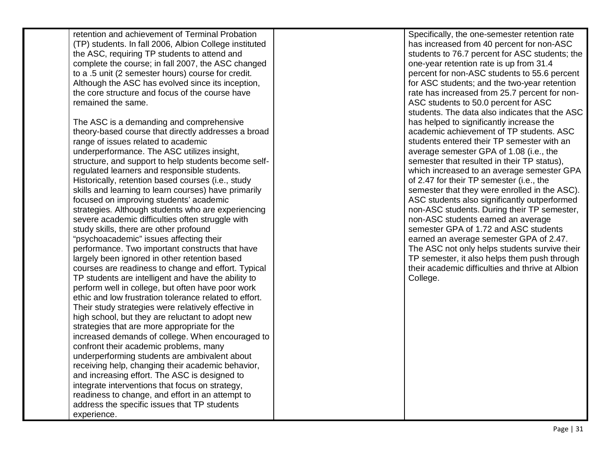| retention and achievement of Terminal Probation        | Specifically, the one-semester retention rate    |
|--------------------------------------------------------|--------------------------------------------------|
| (TP) students. In fall 2006, Albion College instituted | has increased from 40 percent for non-ASC        |
| the ASC, requiring TP students to attend and           | students to 76.7 percent for ASC students; the   |
| complete the course; in fall 2007, the ASC changed     | one-year retention rate is up from 31.4          |
| to a .5 unit (2 semester hours) course for credit.     | percent for non-ASC students to 55.6 percent     |
| Although the ASC has evolved since its inception,      | for ASC students; and the two-year retention     |
| the core structure and focus of the course have        | rate has increased from 25.7 percent for non-    |
| remained the same.                                     | ASC students to 50.0 percent for ASC             |
|                                                        | students. The data also indicates that the ASC   |
| The ASC is a demanding and comprehensive               | has helped to significantly increase the         |
| theory-based course that directly addresses a broad    | academic achievement of TP students. ASC         |
| range of issues related to academic                    | students entered their TP semester with an       |
| underperformance. The ASC utilizes insight,            | average semester GPA of 1.08 (i.e., the          |
| structure, and support to help students become self-   | semester that resulted in their TP status),      |
| regulated learners and responsible students.           | which increased to an average semester GPA       |
| Historically, retention based courses (i.e., study     | of 2.47 for their TP semester (i.e., the         |
| skills and learning to learn courses) have primarily   | semester that they were enrolled in the ASC).    |
| focused on improving students' academic                | ASC students also significantly outperformed     |
| strategies. Although students who are experiencing     | non-ASC students. During their TP semester,      |
| severe academic difficulties often struggle with       | non-ASC students earned an average               |
| study skills, there are other profound                 | semester GPA of 1.72 and ASC students            |
| "psychoacademic" issues affecting their                | earned an average semester GPA of 2.47.          |
| performance. Two important constructs that have        | The ASC not only helps students survive their    |
| largely been ignored in other retention based          | TP semester, it also helps them push through     |
| courses are readiness to change and effort. Typical    | their academic difficulties and thrive at Albion |
| TP students are intelligent and have the ability to    | College.                                         |
| perform well in college, but often have poor work      |                                                  |
| ethic and low frustration tolerance related to effort. |                                                  |
| Their study strategies were relatively effective in    |                                                  |
| high school, but they are reluctant to adopt new       |                                                  |
| strategies that are more appropriate for the           |                                                  |
| increased demands of college. When encouraged to       |                                                  |
| confront their academic problems, many                 |                                                  |
| underperforming students are ambivalent about          |                                                  |
| receiving help, changing their academic behavior,      |                                                  |
| and increasing effort. The ASC is designed to          |                                                  |
| integrate interventions that focus on strategy,        |                                                  |
| readiness to change, and effort in an attempt to       |                                                  |
| address the specific issues that TP students           |                                                  |
| experience.                                            |                                                  |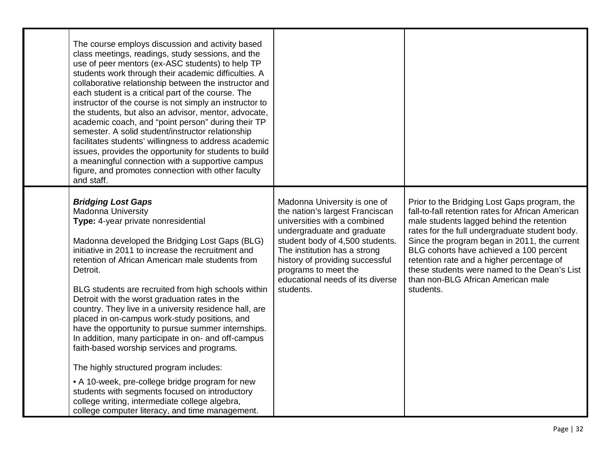| The course employs discussion and activity based<br>class meetings, readings, study sessions, and the<br>use of peer mentors (ex-ASC students) to help TP<br>students work through their academic difficulties. A<br>collaborative relationship between the instructor and<br>each student is a critical part of the course. The<br>instructor of the course is not simply an instructor to<br>the students, but also an advisor, mentor, advocate,<br>academic coach, and "point person" during their TP<br>semester. A solid student/instructor relationship<br>facilitates students' willingness to address academic<br>issues, provides the opportunity for students to build<br>a meaningful connection with a supportive campus<br>figure, and promotes connection with other faculty<br>and staff.                                                                                          |                                                                                                                                                                                                                                                                                                              |                                                                                                                                                                                                                                                                                                                                                                                                                                             |
|----------------------------------------------------------------------------------------------------------------------------------------------------------------------------------------------------------------------------------------------------------------------------------------------------------------------------------------------------------------------------------------------------------------------------------------------------------------------------------------------------------------------------------------------------------------------------------------------------------------------------------------------------------------------------------------------------------------------------------------------------------------------------------------------------------------------------------------------------------------------------------------------------|--------------------------------------------------------------------------------------------------------------------------------------------------------------------------------------------------------------------------------------------------------------------------------------------------------------|---------------------------------------------------------------------------------------------------------------------------------------------------------------------------------------------------------------------------------------------------------------------------------------------------------------------------------------------------------------------------------------------------------------------------------------------|
| <b>Bridging Lost Gaps</b><br>Madonna University<br>Type: 4-year private nonresidential<br>Madonna developed the Bridging Lost Gaps (BLG)<br>initiative in 2011 to increase the recruitment and<br>retention of African American male students from<br>Detroit.<br>BLG students are recruited from high schools within<br>Detroit with the worst graduation rates in the<br>country. They live in a university residence hall, are<br>placed in on-campus work-study positions, and<br>have the opportunity to pursue summer internships.<br>In addition, many participate in on- and off-campus<br>faith-based worship services and programs.<br>The highly structured program includes:<br>• A 10-week, pre-college bridge program for new<br>students with segments focused on introductory<br>college writing, intermediate college algebra,<br>college computer literacy, and time management. | Madonna University is one of<br>the nation's largest Franciscan<br>universities with a combined<br>undergraduate and graduate<br>student body of 4,500 students.<br>The institution has a strong<br>history of providing successful<br>programs to meet the<br>educational needs of its diverse<br>students. | Prior to the Bridging Lost Gaps program, the<br>fall-to-fall retention rates for African American<br>male students lagged behind the retention<br>rates for the full undergraduate student body.<br>Since the program began in 2011, the current<br>BLG cohorts have achieved a 100 percent<br>retention rate and a higher percentage of<br>these students were named to the Dean's List<br>than non-BLG African American male<br>students. |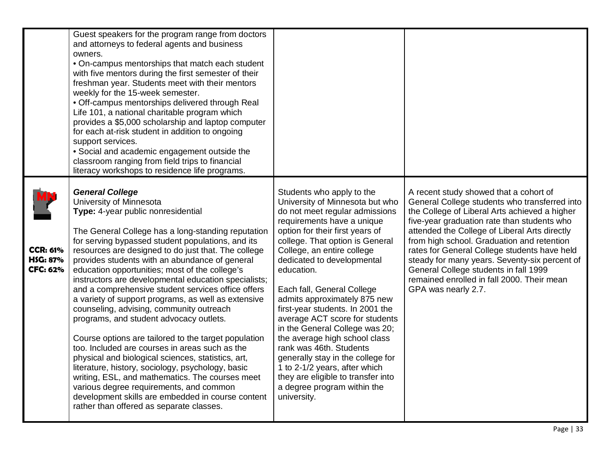|                                                       | Guest speakers for the program range from doctors<br>and attorneys to federal agents and business<br>owners.<br>• On-campus mentorships that match each student<br>with five mentors during the first semester of their<br>freshman year. Students meet with their mentors<br>weekly for the 15-week semester.<br>• Off-campus mentorships delivered through Real<br>Life 101, a national charitable program which<br>provides a \$5,000 scholarship and laptop computer<br>for each at-risk student in addition to ongoing<br>support services.<br>• Social and academic engagement outside the<br>classroom ranging from field trips to financial<br>literacy workshops to residence life programs.                                                                                                                                                                                                                                                                                                                                         |                                                                                                                                                                                                                                                                                                                                                                                                                                                                                                                                                                                                                                                                          |                                                                                                                                                                                                                                                                                                                                                                                                                                                                                                       |
|-------------------------------------------------------|-----------------------------------------------------------------------------------------------------------------------------------------------------------------------------------------------------------------------------------------------------------------------------------------------------------------------------------------------------------------------------------------------------------------------------------------------------------------------------------------------------------------------------------------------------------------------------------------------------------------------------------------------------------------------------------------------------------------------------------------------------------------------------------------------------------------------------------------------------------------------------------------------------------------------------------------------------------------------------------------------------------------------------------------------|--------------------------------------------------------------------------------------------------------------------------------------------------------------------------------------------------------------------------------------------------------------------------------------------------------------------------------------------------------------------------------------------------------------------------------------------------------------------------------------------------------------------------------------------------------------------------------------------------------------------------------------------------------------------------|-------------------------------------------------------------------------------------------------------------------------------------------------------------------------------------------------------------------------------------------------------------------------------------------------------------------------------------------------------------------------------------------------------------------------------------------------------------------------------------------------------|
| <b>CCR: 61%</b><br><b>HSG: 87%</b><br><b>CFC: 62%</b> | <b>General College</b><br>University of Minnesota<br>Type: 4-year public nonresidential<br>The General College has a long-standing reputation<br>for serving bypassed student populations, and its<br>resources are designed to do just that. The college<br>provides students with an abundance of general<br>education opportunities; most of the college's<br>instructors are developmental education specialists;<br>and a comprehensive student services office offers<br>a variety of support programs, as well as extensive<br>counseling, advising, community outreach<br>programs, and student advocacy outlets.<br>Course options are tailored to the target population<br>too. Included are courses in areas such as the<br>physical and biological sciences, statistics, art,<br>literature, history, sociology, psychology, basic<br>writing, ESL, and mathematics. The courses meet<br>various degree requirements, and common<br>development skills are embedded in course content<br>rather than offered as separate classes. | Students who apply to the<br>University of Minnesota but who<br>do not meet regular admissions<br>requirements have a unique<br>option for their first years of<br>college. That option is General<br>College, an entire college<br>dedicated to developmental<br>education.<br>Each fall, General College<br>admits approximately 875 new<br>first-year students. In 2001 the<br>average ACT score for students<br>in the General College was 20;<br>the average high school class<br>rank was 46th. Students<br>generally stay in the college for<br>1 to 2-1/2 years, after which<br>they are eligible to transfer into<br>a degree program within the<br>university. | A recent study showed that a cohort of<br>General College students who transferred into<br>the College of Liberal Arts achieved a higher<br>five-year graduation rate than students who<br>attended the College of Liberal Arts directly<br>from high school. Graduation and retention<br>rates for General College students have held<br>steady for many years. Seventy-six percent of<br>General College students in fall 1999<br>remained enrolled in fall 2000. Their mean<br>GPA was nearly 2.7. |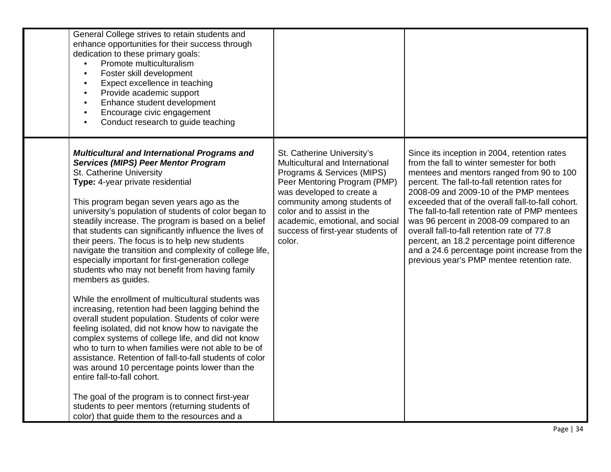| General College strives to retain students and<br>enhance opportunities for their success through<br>dedication to these primary goals:<br>Promote multiculturalism<br>Foster skill development<br>$\bullet$<br>Expect excellence in teaching<br>$\bullet$<br>Provide academic support<br>$\bullet$<br>Enhance student development<br>$\bullet$<br>Encourage civic engagement<br>$\bullet$<br>Conduct research to guide teaching<br>$\bullet$                                                                                                                                                                                                                                                                                                                                                                                                                                                                                                                                                                                                                                                                                                                                                                                                                              |                                                                                                                                                                                                                                                                                                         |                                                                                                                                                                                                                                                                                                                                                                                                                                                                                                                                                                                    |
|----------------------------------------------------------------------------------------------------------------------------------------------------------------------------------------------------------------------------------------------------------------------------------------------------------------------------------------------------------------------------------------------------------------------------------------------------------------------------------------------------------------------------------------------------------------------------------------------------------------------------------------------------------------------------------------------------------------------------------------------------------------------------------------------------------------------------------------------------------------------------------------------------------------------------------------------------------------------------------------------------------------------------------------------------------------------------------------------------------------------------------------------------------------------------------------------------------------------------------------------------------------------------|---------------------------------------------------------------------------------------------------------------------------------------------------------------------------------------------------------------------------------------------------------------------------------------------------------|------------------------------------------------------------------------------------------------------------------------------------------------------------------------------------------------------------------------------------------------------------------------------------------------------------------------------------------------------------------------------------------------------------------------------------------------------------------------------------------------------------------------------------------------------------------------------------|
| <b>Multicultural and International Programs and</b><br><b>Services (MIPS) Peer Mentor Program</b><br>St. Catherine University<br>Type: 4-year private residential<br>This program began seven years ago as the<br>university's population of students of color began to<br>steadily increase. The program is based on a belief<br>that students can significantly influence the lives of<br>their peers. The focus is to help new students<br>navigate the transition and complexity of college life,<br>especially important for first-generation college<br>students who may not benefit from having family<br>members as guides.<br>While the enrollment of multicultural students was<br>increasing, retention had been lagging behind the<br>overall student population. Students of color were<br>feeling isolated, did not know how to navigate the<br>complex systems of college life, and did not know<br>who to turn to when families were not able to be of<br>assistance. Retention of fall-to-fall students of color<br>was around 10 percentage points lower than the<br>entire fall-to-fall cohort.<br>The goal of the program is to connect first-year<br>students to peer mentors (returning students of<br>color) that guide them to the resources and a | St. Catherine University's<br>Multicultural and International<br>Programs & Services (MIPS)<br>Peer Mentoring Program (PMP)<br>was developed to create a<br>community among students of<br>color and to assist in the<br>academic, emotional, and social<br>success of first-year students of<br>color. | Since its inception in 2004, retention rates<br>from the fall to winter semester for both<br>mentees and mentors ranged from 90 to 100<br>percent. The fall-to-fall retention rates for<br>2008-09 and 2009-10 of the PMP mentees<br>exceeded that of the overall fall-to-fall cohort.<br>The fall-to-fall retention rate of PMP mentees<br>was 96 percent in 2008-09 compared to an<br>overall fall-to-fall retention rate of 77.8<br>percent, an 18.2 percentage point difference<br>and a 24.6 percentage point increase from the<br>previous year's PMP mentee retention rate. |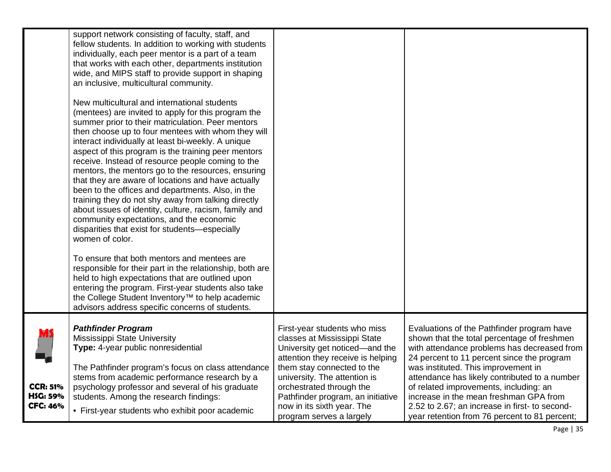|                                                | support network consisting of faculty, staff, and<br>fellow students. In addition to working with students<br>individually, each peer mentor is a part of a team<br>that works with each other, departments institution<br>wide, and MIPS staff to provide support in shaping<br>an inclusive, multicultural community.<br>New multicultural and international students<br>(mentees) are invited to apply for this program the<br>summer prior to their matriculation. Peer mentors<br>then choose up to four mentees with whom they will<br>interact individually at least bi-weekly. A unique<br>aspect of this program is the training peer mentors<br>receive. Instead of resource people coming to the<br>mentors, the mentors go to the resources, ensuring<br>that they are aware of locations and have actually<br>been to the offices and departments. Also, in the<br>training they do not shy away from talking directly<br>about issues of identity, culture, racism, family and<br>community expectations, and the economic<br>disparities that exist for students-especially<br>women of color.<br>To ensure that both mentors and mentees are<br>responsible for their part in the relationship, both are<br>held to high expectations that are outlined upon<br>entering the program. First-year students also take<br>the College Student Inventory <sup>™</sup> to help academic<br>advisors address specific concerns of students. |                                                                                                                                                                                                                                                                                                                              |                                                                                                                                                                                                                                                                                                                                                                                                                                                                       |
|------------------------------------------------|-------------------------------------------------------------------------------------------------------------------------------------------------------------------------------------------------------------------------------------------------------------------------------------------------------------------------------------------------------------------------------------------------------------------------------------------------------------------------------------------------------------------------------------------------------------------------------------------------------------------------------------------------------------------------------------------------------------------------------------------------------------------------------------------------------------------------------------------------------------------------------------------------------------------------------------------------------------------------------------------------------------------------------------------------------------------------------------------------------------------------------------------------------------------------------------------------------------------------------------------------------------------------------------------------------------------------------------------------------------------------------------------------------------------------------------------------------|------------------------------------------------------------------------------------------------------------------------------------------------------------------------------------------------------------------------------------------------------------------------------------------------------------------------------|-----------------------------------------------------------------------------------------------------------------------------------------------------------------------------------------------------------------------------------------------------------------------------------------------------------------------------------------------------------------------------------------------------------------------------------------------------------------------|
| <b>CCR: 51%</b><br>HSG: 59%<br><b>CFC: 46%</b> | <b>Pathfinder Program</b><br>Mississippi State University<br>Type: 4-year public nonresidential<br>The Pathfinder program's focus on class attendance<br>stems from academic performance research by a<br>psychology professor and several of his graduate<br>students. Among the research findings:<br>• First-year students who exhibit poor academic                                                                                                                                                                                                                                                                                                                                                                                                                                                                                                                                                                                                                                                                                                                                                                                                                                                                                                                                                                                                                                                                                               | First-year students who miss<br>classes at Mississippi State<br>University get noticed-and the<br>attention they receive is helping<br>them stay connected to the<br>university. The attention is<br>orchestrated through the<br>Pathfinder program, an initiative<br>now in its sixth year. The<br>program serves a largely | Evaluations of the Pathfinder program have<br>shown that the total percentage of freshmen<br>with attendance problems has decreased from<br>24 percent to 11 percent since the program<br>was instituted. This improvement in<br>attendance has likely contributed to a number<br>of related improvements, including: an<br>increase in the mean freshman GPA from<br>2.52 to 2.67; an increase in first- to second-<br>year retention from 76 percent to 81 percent; |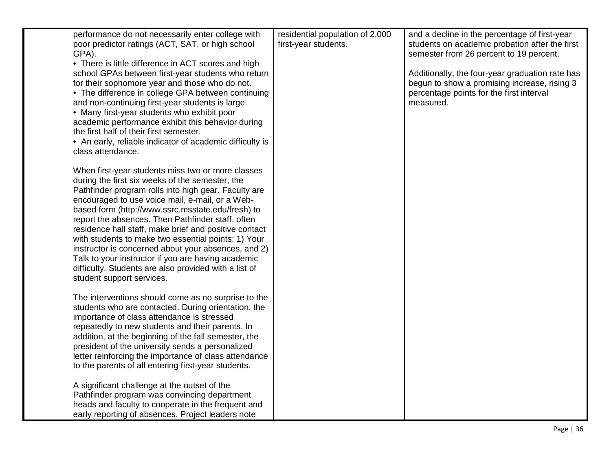| performance do not necessarily enter college with<br>poor predictor ratings (ACT, SAT, or high school<br>GPA).                                                                                                                                                                                                                                                                                                                                                                                                                                                                                                                               | residential population of 2,000<br>first-year students. | and a decline in the percentage of first-year<br>students on academic probation after the first<br>semester from 26 percent to 19 percent.               |
|----------------------------------------------------------------------------------------------------------------------------------------------------------------------------------------------------------------------------------------------------------------------------------------------------------------------------------------------------------------------------------------------------------------------------------------------------------------------------------------------------------------------------------------------------------------------------------------------------------------------------------------------|---------------------------------------------------------|----------------------------------------------------------------------------------------------------------------------------------------------------------|
| • There is little difference in ACT scores and high<br>school GPAs between first-year students who return<br>for their sophomore year and those who do not.<br>• The difference in college GPA between continuing<br>and non-continuing first-year students is large.<br>• Many first-year students who exhibit poor<br>academic performance exhibit this behavior during<br>the first half of their first semester.<br>• An early, reliable indicator of academic difficulty is<br>class attendance.                                                                                                                                        |                                                         | Additionally, the four-year graduation rate has<br>begun to show a promising increase, rising 3<br>percentage points for the first interval<br>measured. |
| When first-year students miss two or more classes<br>during the first six weeks of the semester, the<br>Pathfinder program rolls into high gear. Faculty are<br>encouraged to use voice mail, e-mail, or a Web-<br>based form (http://www.ssrc.msstate.edu/fresh) to<br>report the absences. Then Pathfinder staff, often<br>residence hall staff, make brief and positive contact<br>with students to make two essential points: 1) Your<br>instructor is concerned about your absences, and 2)<br>Talk to your instructor if you are having academic<br>difficulty. Students are also provided with a list of<br>student support services. |                                                         |                                                                                                                                                          |
| The interventions should come as no surprise to the<br>students who are contacted. During orientation, the<br>importance of class attendance is stressed<br>repeatedly to new students and their parents. In<br>addition, at the beginning of the fall semester, the<br>president of the university sends a personalized<br>letter reinforcing the importance of class attendance<br>to the parents of all entering first-year students.                                                                                                                                                                                                     |                                                         |                                                                                                                                                          |
| A significant challenge at the outset of the<br>Pathfinder program was convincing department<br>heads and faculty to cooperate in the frequent and<br>early reporting of absences. Project leaders note                                                                                                                                                                                                                                                                                                                                                                                                                                      |                                                         |                                                                                                                                                          |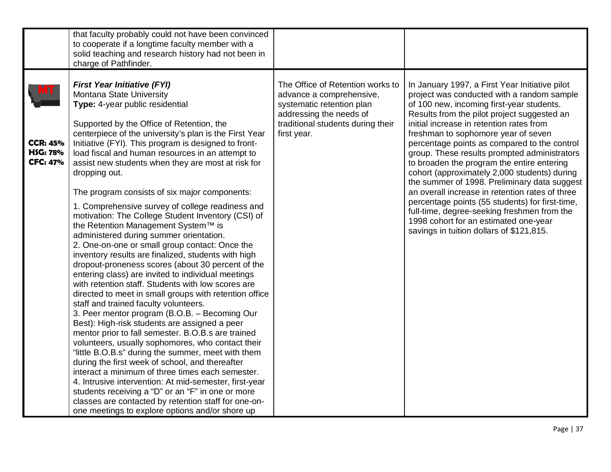|                                                       | that faculty probably could not have been convinced<br>to cooperate if a longtime faculty member with a<br>solid teaching and research history had not been in<br>charge of Pathfinder.                                                                                                                                                                                                                                                                                                                                                                                                                                                                                                                                                                                                                                                                                                                                                                                                                                                                                                                                                                                                                                                                                                                                                                                                                                                                                                                                                                                                                                   |                                                                                                                                                                          |                                                                                                                                                                                                                                                                                                                                                                                                                                                                                                                                                                                                                                                                                                                                                                     |
|-------------------------------------------------------|---------------------------------------------------------------------------------------------------------------------------------------------------------------------------------------------------------------------------------------------------------------------------------------------------------------------------------------------------------------------------------------------------------------------------------------------------------------------------------------------------------------------------------------------------------------------------------------------------------------------------------------------------------------------------------------------------------------------------------------------------------------------------------------------------------------------------------------------------------------------------------------------------------------------------------------------------------------------------------------------------------------------------------------------------------------------------------------------------------------------------------------------------------------------------------------------------------------------------------------------------------------------------------------------------------------------------------------------------------------------------------------------------------------------------------------------------------------------------------------------------------------------------------------------------------------------------------------------------------------------------|--------------------------------------------------------------------------------------------------------------------------------------------------------------------------|---------------------------------------------------------------------------------------------------------------------------------------------------------------------------------------------------------------------------------------------------------------------------------------------------------------------------------------------------------------------------------------------------------------------------------------------------------------------------------------------------------------------------------------------------------------------------------------------------------------------------------------------------------------------------------------------------------------------------------------------------------------------|
| <b>CCR: 45%</b><br><b>HSG: 78%</b><br><b>CFC: 47%</b> | <b>First Year Initiative (FYI)</b><br>Montana State University<br>Type: 4-year public residential<br>Supported by the Office of Retention, the<br>centerpiece of the university's plan is the First Year<br>Initiative (FYI). This program is designed to front-<br>load fiscal and human resources in an attempt to<br>assist new students when they are most at risk for<br>dropping out.<br>The program consists of six major components:<br>1. Comprehensive survey of college readiness and<br>motivation: The College Student Inventory (CSI) of<br>the Retention Management System™ is<br>administered during summer orientation.<br>2. One-on-one or small group contact: Once the<br>inventory results are finalized, students with high<br>dropout-proneness scores (about 30 percent of the<br>entering class) are invited to individual meetings<br>with retention staff. Students with low scores are<br>directed to meet in small groups with retention office<br>staff and trained faculty volunteers.<br>3. Peer mentor program (B.O.B. - Becoming Our<br>Best): High-risk students are assigned a peer<br>mentor prior to fall semester. B.O.B.s are trained<br>volunteers, usually sophomores, who contact their<br>"little B.O.B.s" during the summer, meet with them<br>during the first week of school, and thereafter<br>interact a minimum of three times each semester.<br>4. Intrusive intervention: At mid-semester, first-year<br>students receiving a "D" or an "F" in one or more<br>classes are contacted by retention staff for one-on-<br>one meetings to explore options and/or shore up | The Office of Retention works to<br>advance a comprehensive,<br>systematic retention plan<br>addressing the needs of<br>traditional students during their<br>first year. | In January 1997, a First Year Initiative pilot<br>project was conducted with a random sample<br>of 100 new, incoming first-year students.<br>Results from the pilot project suggested an<br>initial increase in retention rates from<br>freshman to sophomore year of seven<br>percentage points as compared to the control<br>group. These results prompted administrators<br>to broaden the program the entire entering<br>cohort (approximately 2,000 students) during<br>the summer of 1998. Preliminary data suggest<br>an overall increase in retention rates of three<br>percentage points (55 students) for first-time,<br>full-time, degree-seeking freshmen from the<br>1998 cohort for an estimated one-year<br>savings in tuition dollars of \$121,815. |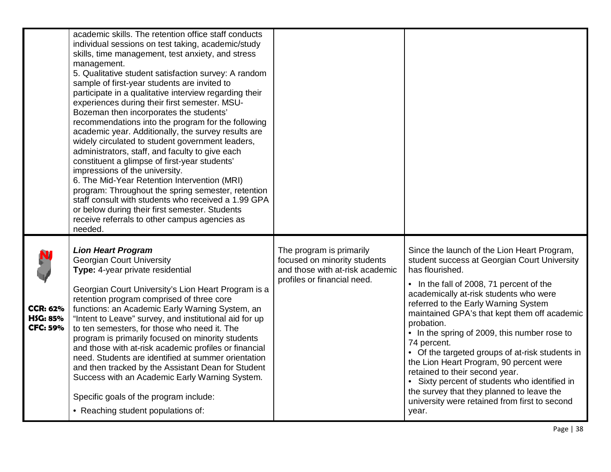|                                                       | academic skills. The retention office staff conducts<br>individual sessions on test taking, academic/study<br>skills, time management, test anxiety, and stress<br>management.<br>5. Qualitative student satisfaction survey: A random<br>sample of first-year students are invited to<br>participate in a qualitative interview regarding their<br>experiences during their first semester. MSU-<br>Bozeman then incorporates the students'<br>recommendations into the program for the following<br>academic year. Additionally, the survey results are<br>widely circulated to student government leaders,<br>administrators, staff, and faculty to give each<br>constituent a glimpse of first-year students'<br>impressions of the university.<br>6. The Mid-Year Retention Intervention (MRI)<br>program: Throughout the spring semester, retention<br>staff consult with students who received a 1.99 GPA<br>or below during their first semester. Students<br>receive referrals to other campus agencies as |                                                                                                                            |                                                                                                                                                                                                                                                                                                                                                                                                                                                                                                                                                                                                                                                                   |
|-------------------------------------------------------|---------------------------------------------------------------------------------------------------------------------------------------------------------------------------------------------------------------------------------------------------------------------------------------------------------------------------------------------------------------------------------------------------------------------------------------------------------------------------------------------------------------------------------------------------------------------------------------------------------------------------------------------------------------------------------------------------------------------------------------------------------------------------------------------------------------------------------------------------------------------------------------------------------------------------------------------------------------------------------------------------------------------|----------------------------------------------------------------------------------------------------------------------------|-------------------------------------------------------------------------------------------------------------------------------------------------------------------------------------------------------------------------------------------------------------------------------------------------------------------------------------------------------------------------------------------------------------------------------------------------------------------------------------------------------------------------------------------------------------------------------------------------------------------------------------------------------------------|
| <b>CCR: 62%</b><br><b>HSG: 85%</b><br><b>CFC: 59%</b> | needed.<br><b>Lion Heart Program</b><br><b>Georgian Court University</b><br>Type: 4-year private residential<br>Georgian Court University's Lion Heart Program is a<br>retention program comprised of three core<br>functions: an Academic Early Warning System, an<br>"Intent to Leave" survey, and institutional aid for up<br>to ten semesters, for those who need it. The<br>program is primarily focused on minority students<br>and those with at-risk academic profiles or financial<br>need. Students are identified at summer orientation<br>and then tracked by the Assistant Dean for Student<br>Success with an Academic Early Warning System.<br>Specific goals of the program include:<br>• Reaching student populations of:                                                                                                                                                                                                                                                                          | The program is primarily<br>focused on minority students<br>and those with at-risk academic<br>profiles or financial need. | Since the launch of the Lion Heart Program,<br>student success at Georgian Court University<br>has flourished.<br>• In the fall of 2008, 71 percent of the<br>academically at-risk students who were<br>referred to the Early Warning System<br>maintained GPA's that kept them off academic<br>probation.<br>• In the spring of 2009, this number rose to<br>74 percent.<br>• Of the targeted groups of at-risk students in<br>the Lion Heart Program, 90 percent were<br>retained to their second year.<br>• Sixty percent of students who identified in<br>the survey that they planned to leave the<br>university were retained from first to second<br>year. |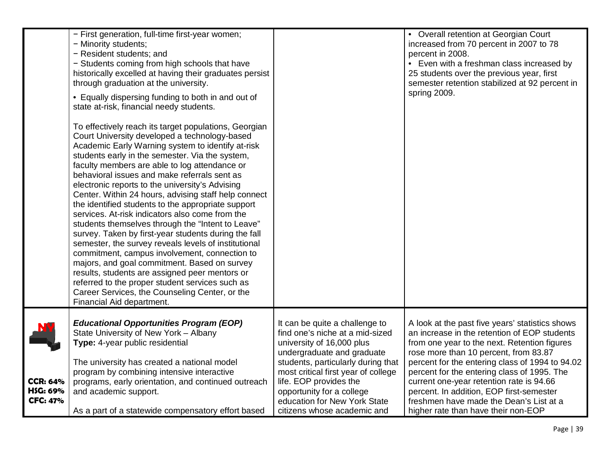|                                                | - First generation, full-time first-year women;<br>- Minority students;<br>- Resident students; and<br>- Students coming from high schools that have<br>historically excelled at having their graduates persist<br>through graduation at the university.<br>• Equally dispersing funding to both in and out of<br>state at-risk, financial needy students.<br>To effectively reach its target populations, Georgian<br>Court University developed a technology-based<br>Academic Early Warning system to identify at-risk<br>students early in the semester. Via the system,<br>faculty members are able to log attendance or<br>behavioral issues and make referrals sent as<br>electronic reports to the university's Advising<br>Center. Within 24 hours, advising staff help connect<br>the identified students to the appropriate support<br>services. At-risk indicators also come from the<br>students themselves through the "Intent to Leave"<br>survey. Taken by first-year students during the fall<br>semester, the survey reveals levels of institutional<br>commitment, campus involvement, connection to<br>majors, and goal commitment. Based on survey<br>results, students are assigned peer mentors or<br>referred to the proper student services such as<br>Career Services, the Counseling Center, or the<br>Financial Aid department. |                                                                                                                                                                                                                                                                                                                                 | • Overall retention at Georgian Court<br>increased from 70 percent in 2007 to 78<br>percent in 2008.<br>• Even with a freshman class increased by<br>25 students over the previous year, first<br>semester retention stabilized at 92 percent in<br>spring 2009.                                                                                                                                                                                                     |
|------------------------------------------------|-------------------------------------------------------------------------------------------------------------------------------------------------------------------------------------------------------------------------------------------------------------------------------------------------------------------------------------------------------------------------------------------------------------------------------------------------------------------------------------------------------------------------------------------------------------------------------------------------------------------------------------------------------------------------------------------------------------------------------------------------------------------------------------------------------------------------------------------------------------------------------------------------------------------------------------------------------------------------------------------------------------------------------------------------------------------------------------------------------------------------------------------------------------------------------------------------------------------------------------------------------------------------------------------------------------------------------------------------------------|---------------------------------------------------------------------------------------------------------------------------------------------------------------------------------------------------------------------------------------------------------------------------------------------------------------------------------|----------------------------------------------------------------------------------------------------------------------------------------------------------------------------------------------------------------------------------------------------------------------------------------------------------------------------------------------------------------------------------------------------------------------------------------------------------------------|
| <b>CCR: 64%</b><br>HSG: 69%<br><b>CFC: 47%</b> | <b>Educational Opportunities Program (EOP)</b><br>State University of New York - Albany<br>Type: 4-year public residential<br>The university has created a national model<br>program by combining intensive interactive<br>programs, early orientation, and continued outreach<br>and academic support.<br>As a part of a statewide compensatory effort based                                                                                                                                                                                                                                                                                                                                                                                                                                                                                                                                                                                                                                                                                                                                                                                                                                                                                                                                                                                               | It can be quite a challenge to<br>find one's niche at a mid-sized<br>university of 16,000 plus<br>undergraduate and graduate<br>students, particularly during that<br>most critical first year of college<br>life. EOP provides the<br>opportunity for a college<br>education for New York State<br>citizens whose academic and | A look at the past five years' statistics shows<br>an increase in the retention of EOP students<br>from one year to the next. Retention figures<br>rose more than 10 percent, from 83.87<br>percent for the entering class of 1994 to 94.02<br>percent for the entering class of 1995. The<br>current one-year retention rate is 94.66<br>percent. In addition, EOP first-semester<br>freshmen have made the Dean's List at a<br>higher rate than have their non-EOP |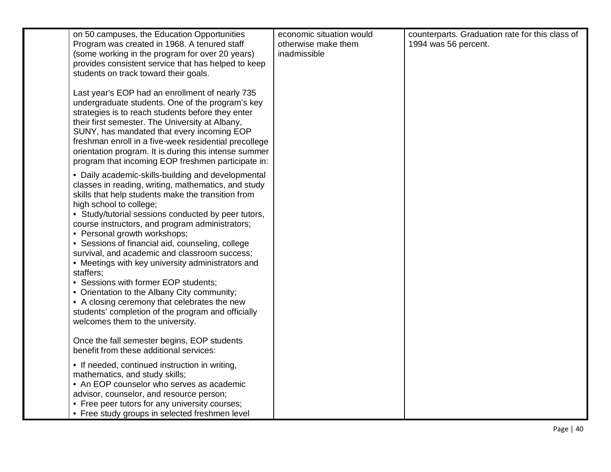| on 50 campuses, the Education Opportunities<br>Program was created in 1968. A tenured staff<br>(some working in the program for over 20 years)<br>provides consistent service that has helped to keep<br>students on track toward their goals.<br>Last year's EOP had an enrollment of nearly 735<br>undergraduate students. One of the program's key<br>strategies is to reach students before they enter<br>their first semester. The University at Albany,<br>SUNY, has mandated that every incoming EOP<br>freshman enroll in a five-week residential precollege<br>orientation program. It is during this intense summer<br>program that incoming EOP freshmen participate in:                                                          | economic situation would<br>otherwise make them<br>inadmissible | counterparts. Graduation rate for this class of<br>1994 was 56 percent. |
|----------------------------------------------------------------------------------------------------------------------------------------------------------------------------------------------------------------------------------------------------------------------------------------------------------------------------------------------------------------------------------------------------------------------------------------------------------------------------------------------------------------------------------------------------------------------------------------------------------------------------------------------------------------------------------------------------------------------------------------------|-----------------------------------------------------------------|-------------------------------------------------------------------------|
| • Daily academic-skills-building and developmental<br>classes in reading, writing, mathematics, and study<br>skills that help students make the transition from<br>high school to college;<br>• Study/tutorial sessions conducted by peer tutors,<br>course instructors, and program administrators;<br>• Personal growth workshops;<br>• Sessions of financial aid, counseling, college<br>survival, and academic and classroom success;<br>• Meetings with key university administrators and<br>staffers;<br>• Sessions with former EOP students;<br>• Orientation to the Albany City community;<br>• A closing ceremony that celebrates the new<br>students' completion of the program and officially<br>welcomes them to the university. |                                                                 |                                                                         |
| Once the fall semester begins, EOP students<br>benefit from these additional services:                                                                                                                                                                                                                                                                                                                                                                                                                                                                                                                                                                                                                                                       |                                                                 |                                                                         |
| • If needed, continued instruction in writing,<br>mathematics, and study skills;<br>• An EOP counselor who serves as academic<br>advisor, counselor, and resource person;<br>• Free peer tutors for any university courses;<br>• Free study groups in selected freshmen level                                                                                                                                                                                                                                                                                                                                                                                                                                                                |                                                                 |                                                                         |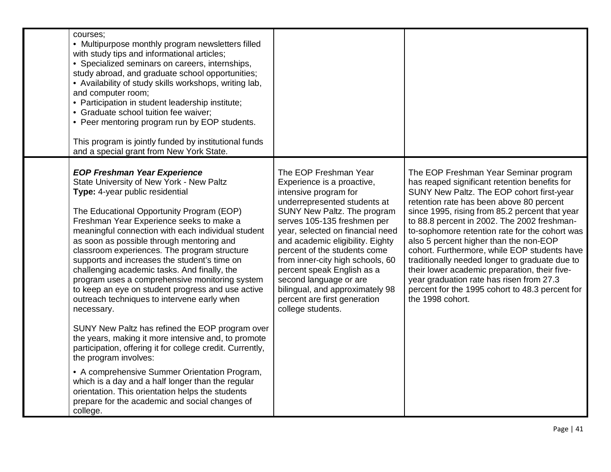| courses;<br>• Multipurpose monthly program newsletters filled<br>with study tips and informational articles;<br>• Specialized seminars on careers, internships,<br>study abroad, and graduate school opportunities;<br>• Availability of study skills workshops, writing lab,<br>and computer room;<br>• Participation in student leadership institute;<br>• Graduate school tuition fee waiver;<br>• Peer mentoring program run by EOP students.<br>This program is jointly funded by institutional funds<br>and a special grant from New York State.                                                                             |                                                                                                                                                                                                                                                                                                                                                                                                                                                                        |                                                                                                                                                                                                                                                                                                                                                                                                                                                                                                                                                                                                                                                    |
|------------------------------------------------------------------------------------------------------------------------------------------------------------------------------------------------------------------------------------------------------------------------------------------------------------------------------------------------------------------------------------------------------------------------------------------------------------------------------------------------------------------------------------------------------------------------------------------------------------------------------------|------------------------------------------------------------------------------------------------------------------------------------------------------------------------------------------------------------------------------------------------------------------------------------------------------------------------------------------------------------------------------------------------------------------------------------------------------------------------|----------------------------------------------------------------------------------------------------------------------------------------------------------------------------------------------------------------------------------------------------------------------------------------------------------------------------------------------------------------------------------------------------------------------------------------------------------------------------------------------------------------------------------------------------------------------------------------------------------------------------------------------------|
| <b>EOP Freshman Year Experience</b><br>State University of New York - New Paltz<br>Type: 4-year public residential<br>The Educational Opportunity Program (EOP)<br>Freshman Year Experience seeks to make a<br>meaningful connection with each individual student<br>as soon as possible through mentoring and<br>classroom experiences. The program structure<br>supports and increases the student's time on<br>challenging academic tasks. And finally, the<br>program uses a comprehensive monitoring system<br>to keep an eye on student progress and use active<br>outreach techniques to intervene early when<br>necessary. | The EOP Freshman Year<br>Experience is a proactive,<br>intensive program for<br>underrepresented students at<br>SUNY New Paltz. The program<br>serves 105-135 freshmen per<br>year, selected on financial need<br>and academic eligibility. Eighty<br>percent of the students come<br>from inner-city high schools, 60<br>percent speak English as a<br>second language or are<br>bilingual, and approximately 98<br>percent are first generation<br>college students. | The EOP Freshman Year Seminar program<br>has reaped significant retention benefits for<br>SUNY New Paltz. The EOP cohort first-year<br>retention rate has been above 80 percent<br>since 1995, rising from 85.2 percent that year<br>to 88.8 percent in 2002. The 2002 freshman-<br>to-sophomore retention rate for the cohort was<br>also 5 percent higher than the non-EOP<br>cohort. Furthermore, while EOP students have<br>traditionally needed longer to graduate due to<br>their lower academic preparation, their five-<br>year graduation rate has risen from 27.3<br>percent for the 1995 cohort to 48.3 percent for<br>the 1998 cohort. |
| SUNY New Paltz has refined the EOP program over<br>the years, making it more intensive and, to promote<br>participation, offering it for college credit. Currently,<br>the program involves:                                                                                                                                                                                                                                                                                                                                                                                                                                       |                                                                                                                                                                                                                                                                                                                                                                                                                                                                        |                                                                                                                                                                                                                                                                                                                                                                                                                                                                                                                                                                                                                                                    |
| • A comprehensive Summer Orientation Program,<br>which is a day and a half longer than the regular<br>orientation. This orientation helps the students<br>prepare for the academic and social changes of<br>college.                                                                                                                                                                                                                                                                                                                                                                                                               |                                                                                                                                                                                                                                                                                                                                                                                                                                                                        |                                                                                                                                                                                                                                                                                                                                                                                                                                                                                                                                                                                                                                                    |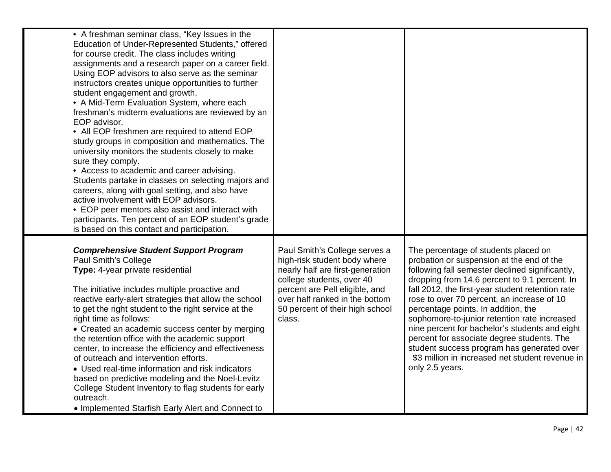| • A freshman seminar class, "Key Issues in the<br>Education of Under-Represented Students," offered<br>for course credit. The class includes writing<br>assignments and a research paper on a career field.<br>Using EOP advisors to also serve as the seminar<br>instructors creates unique opportunities to further<br>student engagement and growth.<br>• A Mid-Term Evaluation System, where each<br>freshman's midterm evaluations are reviewed by an<br>EOP advisor.<br>• All EOP freshmen are required to attend EOP<br>study groups in composition and mathematics. The<br>university monitors the students closely to make<br>sure they comply.<br>• Access to academic and career advising.<br>Students partake in classes on selecting majors and<br>careers, along with goal setting, and also have<br>active involvement with EOP advisors.<br>• EOP peer mentors also assist and interact with<br>participants. Ten percent of an EOP student's grade<br>is based on this contact and participation. |                                                                                                                                                                                                                                                 |                                                                                                                                                                                                                                                                                                                                                                                                                                                                                                                                                                                                    |
|--------------------------------------------------------------------------------------------------------------------------------------------------------------------------------------------------------------------------------------------------------------------------------------------------------------------------------------------------------------------------------------------------------------------------------------------------------------------------------------------------------------------------------------------------------------------------------------------------------------------------------------------------------------------------------------------------------------------------------------------------------------------------------------------------------------------------------------------------------------------------------------------------------------------------------------------------------------------------------------------------------------------|-------------------------------------------------------------------------------------------------------------------------------------------------------------------------------------------------------------------------------------------------|----------------------------------------------------------------------------------------------------------------------------------------------------------------------------------------------------------------------------------------------------------------------------------------------------------------------------------------------------------------------------------------------------------------------------------------------------------------------------------------------------------------------------------------------------------------------------------------------------|
| <b>Comprehensive Student Support Program</b><br>Paul Smith's College<br>Type: 4-year private residential<br>The initiative includes multiple proactive and<br>reactive early-alert strategies that allow the school<br>to get the right student to the right service at the<br>right time as follows:<br>• Created an academic success center by merging<br>the retention office with the academic support<br>center, to increase the efficiency and effectiveness<br>of outreach and intervention efforts.<br>• Used real-time information and risk indicators<br>based on predictive modeling and the Noel-Levitz<br>College Student Inventory to flag students for early<br>outreach.<br>• Implemented Starfish Early Alert and Connect to                                                                                                                                                                                                                                                                      | Paul Smith's College serves a<br>high-risk student body where<br>nearly half are first-generation<br>college students, over 40<br>percent are Pell eligible, and<br>over half ranked in the bottom<br>50 percent of their high school<br>class. | The percentage of students placed on<br>probation or suspension at the end of the<br>following fall semester declined significantly,<br>dropping from 14.6 percent to 9.1 percent. In<br>fall 2012, the first-year student retention rate<br>rose to over 70 percent, an increase of 10<br>percentage points. In addition, the<br>sophomore-to-junior retention rate increased<br>nine percent for bachelor's students and eight<br>percent for associate degree students. The<br>student success program has generated over<br>\$3 million in increased net student revenue in<br>only 2.5 years. |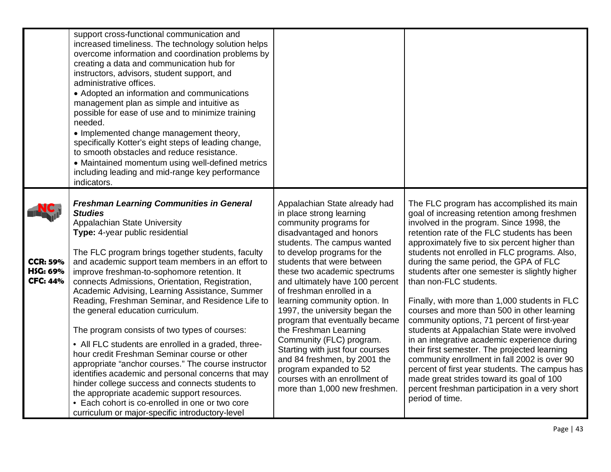|                                                | support cross-functional communication and<br>increased timeliness. The technology solution helps<br>overcome information and coordination problems by<br>creating a data and communication hub for<br>instructors, advisors, student support, and<br>administrative offices.<br>• Adopted an information and communications<br>management plan as simple and intuitive as<br>possible for ease of use and to minimize training<br>needed.<br>• Implemented change management theory,<br>specifically Kotter's eight steps of leading change,<br>to smooth obstacles and reduce resistance.<br>• Maintained momentum using well-defined metrics<br>including leading and mid-range key performance<br>indicators. |                                                                                                                                                                                                                                                                                                                                                                                                                                                                                                                                                                    |                                                                                                                                                                                                                                                                                                                                                                                                                                                                                                                                                                                                                                                                                                                                                                                                            |
|------------------------------------------------|-------------------------------------------------------------------------------------------------------------------------------------------------------------------------------------------------------------------------------------------------------------------------------------------------------------------------------------------------------------------------------------------------------------------------------------------------------------------------------------------------------------------------------------------------------------------------------------------------------------------------------------------------------------------------------------------------------------------|--------------------------------------------------------------------------------------------------------------------------------------------------------------------------------------------------------------------------------------------------------------------------------------------------------------------------------------------------------------------------------------------------------------------------------------------------------------------------------------------------------------------------------------------------------------------|------------------------------------------------------------------------------------------------------------------------------------------------------------------------------------------------------------------------------------------------------------------------------------------------------------------------------------------------------------------------------------------------------------------------------------------------------------------------------------------------------------------------------------------------------------------------------------------------------------------------------------------------------------------------------------------------------------------------------------------------------------------------------------------------------------|
| <b>CCR: 59%</b><br>HSG: 69%<br><b>CFC: 44%</b> | <b>Freshman Learning Communities in General</b><br><b>Studies</b><br>Appalachian State University<br>Type: 4-year public residential<br>The FLC program brings together students, faculty<br>and academic support team members in an effort to<br>improve freshman-to-sophomore retention. It<br>connects Admissions, Orientation, Registration,<br>Academic Advising, Learning Assistance, Summer<br>Reading, Freshman Seminar, and Residence Life to<br>the general education curriculum.<br>The program consists of two types of courses:<br>• All FLC students are enrolled in a graded, three-<br>hour credit Freshman Seminar course or other<br>appropriate "anchor courses." The course instructor        | Appalachian State already had<br>in place strong learning<br>community programs for<br>disadvantaged and honors<br>students. The campus wanted<br>to develop programs for the<br>students that were between<br>these two academic spectrums<br>and ultimately have 100 percent<br>of freshman enrolled in a<br>learning community option. In<br>1997, the university began the<br>program that eventually became<br>the Freshman Learning<br>Community (FLC) program.<br>Starting with just four courses<br>and 84 freshmen, by 2001 the<br>program expanded to 52 | The FLC program has accomplished its main<br>goal of increasing retention among freshmen<br>involved in the program. Since 1998, the<br>retention rate of the FLC students has been<br>approximately five to six percent higher than<br>students not enrolled in FLC programs. Also,<br>during the same period, the GPA of FLC<br>students after one semester is slightly higher<br>than non-FLC students.<br>Finally, with more than 1,000 students in FLC<br>courses and more than 500 in other learning<br>community options, 71 percent of first-year<br>students at Appalachian State were involved<br>in an integrative academic experience during<br>their first semester. The projected learning<br>community enrollment in fall 2002 is over 90<br>percent of first year students. The campus has |
|                                                | identifies academic and personal concerns that may<br>hinder college success and connects students to<br>the appropriate academic support resources.<br>• Each cohort is co-enrolled in one or two core<br>curriculum or major-specific introductory-level                                                                                                                                                                                                                                                                                                                                                                                                                                                        | courses with an enrollment of<br>more than 1,000 new freshmen.                                                                                                                                                                                                                                                                                                                                                                                                                                                                                                     | made great strides toward its goal of 100<br>percent freshman participation in a very short<br>period of time.                                                                                                                                                                                                                                                                                                                                                                                                                                                                                                                                                                                                                                                                                             |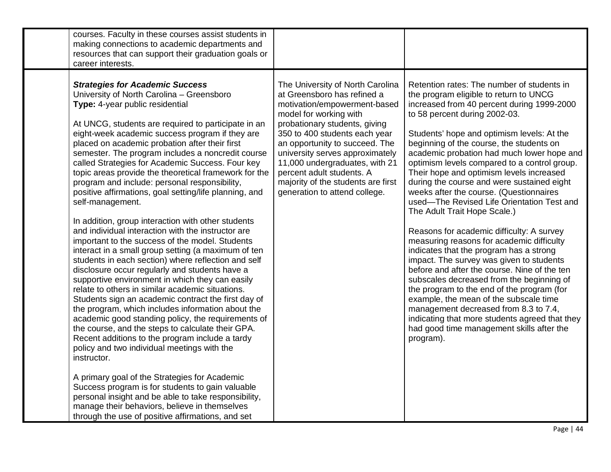| courses. Faculty in these courses assist students in<br>making connections to academic departments and<br>resources that can support their graduation goals or<br>career interests.                                                                                                                                                                                                                                                                                                                                                                                                                                                                                                                                                                                                                                                                                                                                                                                                                                                                                                                                                                                                                                                                                                                                                                                                                                                                                                                                                                                                                                                  |                                                                                                                                                                                                                                                                                                                                                                                                        |                                                                                                                                                                                                                                                                                                                                                                                                                                                                                                                                                                                                                                                                                                                                                                                                                                                                                                                                                                                                                                                                                                           |
|--------------------------------------------------------------------------------------------------------------------------------------------------------------------------------------------------------------------------------------------------------------------------------------------------------------------------------------------------------------------------------------------------------------------------------------------------------------------------------------------------------------------------------------------------------------------------------------------------------------------------------------------------------------------------------------------------------------------------------------------------------------------------------------------------------------------------------------------------------------------------------------------------------------------------------------------------------------------------------------------------------------------------------------------------------------------------------------------------------------------------------------------------------------------------------------------------------------------------------------------------------------------------------------------------------------------------------------------------------------------------------------------------------------------------------------------------------------------------------------------------------------------------------------------------------------------------------------------------------------------------------------|--------------------------------------------------------------------------------------------------------------------------------------------------------------------------------------------------------------------------------------------------------------------------------------------------------------------------------------------------------------------------------------------------------|-----------------------------------------------------------------------------------------------------------------------------------------------------------------------------------------------------------------------------------------------------------------------------------------------------------------------------------------------------------------------------------------------------------------------------------------------------------------------------------------------------------------------------------------------------------------------------------------------------------------------------------------------------------------------------------------------------------------------------------------------------------------------------------------------------------------------------------------------------------------------------------------------------------------------------------------------------------------------------------------------------------------------------------------------------------------------------------------------------------|
| <b>Strategies for Academic Success</b><br>University of North Carolina - Greensboro<br>Type: 4-year public residential<br>At UNCG, students are required to participate in an<br>eight-week academic success program if they are<br>placed on academic probation after their first<br>semester. The program includes a noncredit course<br>called Strategies for Academic Success. Four key<br>topic areas provide the theoretical framework for the<br>program and include: personal responsibility,<br>positive affirmations, goal setting/life planning, and<br>self-management.<br>In addition, group interaction with other students<br>and individual interaction with the instructor are<br>important to the success of the model. Students<br>interact in a small group setting (a maximum of ten<br>students in each section) where reflection and self<br>disclosure occur regularly and students have a<br>supportive environment in which they can easily<br>relate to others in similar academic situations.<br>Students sign an academic contract the first day of<br>the program, which includes information about the<br>academic good standing policy, the requirements of<br>the course, and the steps to calculate their GPA.<br>Recent additions to the program include a tardy<br>policy and two individual meetings with the<br>instructor.<br>A primary goal of the Strategies for Academic<br>Success program is for students to gain valuable<br>personal insight and be able to take responsibility,<br>manage their behaviors, believe in themselves<br>through the use of positive affirmations, and set | The University of North Carolina<br>at Greensboro has refined a<br>motivation/empowerment-based<br>model for working with<br>probationary students, giving<br>350 to 400 students each year<br>an opportunity to succeed. The<br>university serves approximately<br>11,000 undergraduates, with 21<br>percent adult students. A<br>majority of the students are first<br>generation to attend college. | Retention rates: The number of students in<br>the program eligible to return to UNCG<br>increased from 40 percent during 1999-2000<br>to 58 percent during 2002-03.<br>Students' hope and optimism levels: At the<br>beginning of the course, the students on<br>academic probation had much lower hope and<br>optimism levels compared to a control group.<br>Their hope and optimism levels increased<br>during the course and were sustained eight<br>weeks after the course. (Questionnaires<br>used-The Revised Life Orientation Test and<br>The Adult Trait Hope Scale.)<br>Reasons for academic difficulty: A survey<br>measuring reasons for academic difficulty<br>indicates that the program has a strong<br>impact. The survey was given to students<br>before and after the course. Nine of the ten<br>subscales decreased from the beginning of<br>the program to the end of the program (for<br>example, the mean of the subscale time<br>management decreased from 8.3 to 7.4,<br>indicating that more students agreed that they<br>had good time management skills after the<br>program). |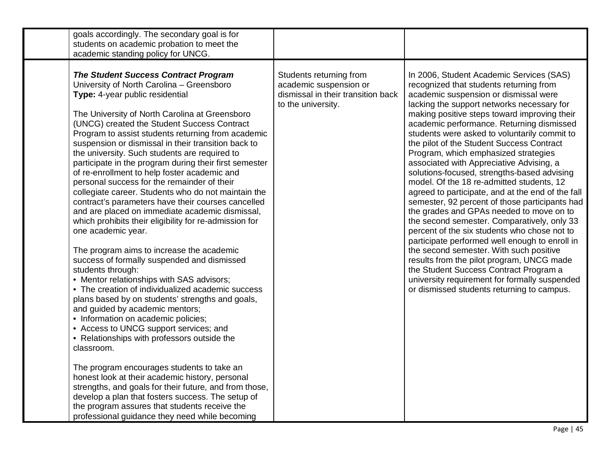| goals accordingly. The secondary goal is for<br>students on academic probation to meet the<br>academic standing policy for UNCG.                                                                                                                                                                                                                                                                                                                                                                                                                                                                                                                                                                                                                                                                                                                                                                                                                                                                                                                                                                                                                                                                                                                                                                                                                                                                                                                                                                                                                                               |                                                                                                               |                                                                                                                                                                                                                                                                                                                                                                                                                                                                                                                                                                                                                                                                                                                                                                                                                                                                                                                                                                                                                                                                                           |
|--------------------------------------------------------------------------------------------------------------------------------------------------------------------------------------------------------------------------------------------------------------------------------------------------------------------------------------------------------------------------------------------------------------------------------------------------------------------------------------------------------------------------------------------------------------------------------------------------------------------------------------------------------------------------------------------------------------------------------------------------------------------------------------------------------------------------------------------------------------------------------------------------------------------------------------------------------------------------------------------------------------------------------------------------------------------------------------------------------------------------------------------------------------------------------------------------------------------------------------------------------------------------------------------------------------------------------------------------------------------------------------------------------------------------------------------------------------------------------------------------------------------------------------------------------------------------------|---------------------------------------------------------------------------------------------------------------|-------------------------------------------------------------------------------------------------------------------------------------------------------------------------------------------------------------------------------------------------------------------------------------------------------------------------------------------------------------------------------------------------------------------------------------------------------------------------------------------------------------------------------------------------------------------------------------------------------------------------------------------------------------------------------------------------------------------------------------------------------------------------------------------------------------------------------------------------------------------------------------------------------------------------------------------------------------------------------------------------------------------------------------------------------------------------------------------|
| <b>The Student Success Contract Program</b><br>University of North Carolina - Greensboro<br>Type: 4-year public residential<br>The University of North Carolina at Greensboro<br>(UNCG) created the Student Success Contract<br>Program to assist students returning from academic<br>suspension or dismissal in their transition back to<br>the university. Such students are required to<br>participate in the program during their first semester<br>of re-enrollment to help foster academic and<br>personal success for the remainder of their<br>collegiate career. Students who do not maintain the<br>contract's parameters have their courses cancelled<br>and are placed on immediate academic dismissal,<br>which prohibits their eligibility for re-admission for<br>one academic year.<br>The program aims to increase the academic<br>success of formally suspended and dismissed<br>students through:<br>• Mentor relationships with SAS advisors;<br>• The creation of individualized academic success<br>plans based by on students' strengths and goals,<br>and guided by academic mentors;<br>• Information on academic policies;<br>• Access to UNCG support services; and<br>• Relationships with professors outside the<br>classroom.<br>The program encourages students to take an<br>honest look at their academic history, personal<br>strengths, and goals for their future, and from those,<br>develop a plan that fosters success. The setup of<br>the program assures that students receive the<br>professional guidance they need while becoming | Students returning from<br>academic suspension or<br>dismissal in their transition back<br>to the university. | In 2006, Student Academic Services (SAS)<br>recognized that students returning from<br>academic suspension or dismissal were<br>lacking the support networks necessary for<br>making positive steps toward improving their<br>academic performance. Returning dismissed<br>students were asked to voluntarily commit to<br>the pilot of the Student Success Contract<br>Program, which emphasized strategies<br>associated with Appreciative Advising, a<br>solutions-focused, strengths-based advising<br>model. Of the 18 re-admitted students, 12<br>agreed to participate, and at the end of the fall<br>semester, 92 percent of those participants had<br>the grades and GPAs needed to move on to<br>the second semester. Comparatively, only 33<br>percent of the six students who chose not to<br>participate performed well enough to enroll in<br>the second semester. With such positive<br>results from the pilot program, UNCG made<br>the Student Success Contract Program a<br>university requirement for formally suspended<br>or dismissed students returning to campus. |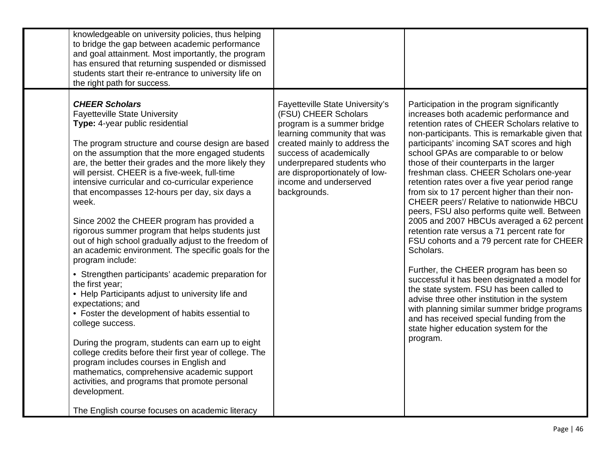| knowledgeable on university policies, thus helping<br>to bridge the gap between academic performance<br>and goal attainment. Most importantly, the program<br>has ensured that returning suspended or dismissed<br>students start their re-entrance to university life on<br>the right path for success.                                                                                                                                                                                                                                                                                                                                                                                                                                                                                                                                                                                                                                                                                                                                                                                                                                                                                                                            |                                                                                                                                                                                                                                                                                            |                                                                                                                                                                                                                                                                                                                                                                                                                                                                                                                                                                                                                                                                                                                                                                                                                                                                                                                                                                                                                                                                           |
|-------------------------------------------------------------------------------------------------------------------------------------------------------------------------------------------------------------------------------------------------------------------------------------------------------------------------------------------------------------------------------------------------------------------------------------------------------------------------------------------------------------------------------------------------------------------------------------------------------------------------------------------------------------------------------------------------------------------------------------------------------------------------------------------------------------------------------------------------------------------------------------------------------------------------------------------------------------------------------------------------------------------------------------------------------------------------------------------------------------------------------------------------------------------------------------------------------------------------------------|--------------------------------------------------------------------------------------------------------------------------------------------------------------------------------------------------------------------------------------------------------------------------------------------|---------------------------------------------------------------------------------------------------------------------------------------------------------------------------------------------------------------------------------------------------------------------------------------------------------------------------------------------------------------------------------------------------------------------------------------------------------------------------------------------------------------------------------------------------------------------------------------------------------------------------------------------------------------------------------------------------------------------------------------------------------------------------------------------------------------------------------------------------------------------------------------------------------------------------------------------------------------------------------------------------------------------------------------------------------------------------|
| <b>CHEER Scholars</b><br><b>Fayetteville State University</b><br>Type: 4-year public residential<br>The program structure and course design are based<br>on the assumption that the more engaged students<br>are, the better their grades and the more likely they<br>will persist. CHEER is a five-week, full-time<br>intensive curricular and co-curricular experience<br>that encompasses 12-hours per day, six days a<br>week.<br>Since 2002 the CHEER program has provided a<br>rigorous summer program that helps students just<br>out of high school gradually adjust to the freedom of<br>an academic environment. The specific goals for the<br>program include:<br>• Strengthen participants' academic preparation for<br>the first year;<br>• Help Participants adjust to university life and<br>expectations; and<br>• Foster the development of habits essential to<br>college success.<br>During the program, students can earn up to eight<br>college credits before their first year of college. The<br>program includes courses in English and<br>mathematics, comprehensive academic support<br>activities, and programs that promote personal<br>development.<br>The English course focuses on academic literacy | Fayetteville State University's<br>(FSU) CHEER Scholars<br>program is a summer bridge<br>learning community that was<br>created mainly to address the<br>success of academically<br>underprepared students who<br>are disproportionately of low-<br>income and underserved<br>backgrounds. | Participation in the program significantly<br>increases both academic performance and<br>retention rates of CHEER Scholars relative to<br>non-participants. This is remarkable given that<br>participants' incoming SAT scores and high<br>school GPAs are comparable to or below<br>those of their counterparts in the larger<br>freshman class. CHEER Scholars one-year<br>retention rates over a five year period range<br>from six to 17 percent higher than their non-<br>CHEER peers'/ Relative to nationwide HBCU<br>peers, FSU also performs quite well. Between<br>2005 and 2007 HBCUs averaged a 62 percent<br>retention rate versus a 71 percent rate for<br>FSU cohorts and a 79 percent rate for CHEER<br>Scholars.<br>Further, the CHEER program has been so<br>successful it has been designated a model for<br>the state system. FSU has been called to<br>advise three other institution in the system<br>with planning similar summer bridge programs<br>and has received special funding from the<br>state higher education system for the<br>program. |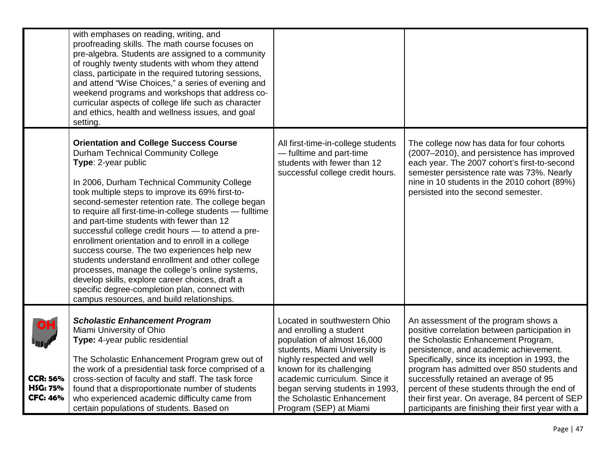|                                                       | with emphases on reading, writing, and<br>proofreading skills. The math course focuses on<br>pre-algebra. Students are assigned to a community<br>of roughly twenty students with whom they attend<br>class, participate in the required tutoring sessions,<br>and attend "Wise Choices," a series of evening and<br>weekend programs and workshops that address co-<br>curricular aspects of college life such as character<br>and ethics, health and wellness issues, and goal<br>setting.                                                                                                                                                                                                                                                                                                           |                                                                                                                                                                                                                                                                                                               |                                                                                                                                                                                                                                                                                                                                                                                                                                                                           |
|-------------------------------------------------------|--------------------------------------------------------------------------------------------------------------------------------------------------------------------------------------------------------------------------------------------------------------------------------------------------------------------------------------------------------------------------------------------------------------------------------------------------------------------------------------------------------------------------------------------------------------------------------------------------------------------------------------------------------------------------------------------------------------------------------------------------------------------------------------------------------|---------------------------------------------------------------------------------------------------------------------------------------------------------------------------------------------------------------------------------------------------------------------------------------------------------------|---------------------------------------------------------------------------------------------------------------------------------------------------------------------------------------------------------------------------------------------------------------------------------------------------------------------------------------------------------------------------------------------------------------------------------------------------------------------------|
|                                                       | <b>Orientation and College Success Course</b><br><b>Durham Technical Community College</b><br>Type: 2-year public<br>In 2006, Durham Technical Community College<br>took multiple steps to improve its 69% first-to-<br>second-semester retention rate. The college began<br>to require all first-time-in-college students - fulltime<br>and part-time students with fewer than 12<br>successful college credit hours - to attend a pre-<br>enrollment orientation and to enroll in a college<br>success course. The two experiences help new<br>students understand enrollment and other college<br>processes, manage the college's online systems,<br>develop skills, explore career choices, draft a<br>specific degree-completion plan, connect with<br>campus resources, and build relationships. | All first-time-in-college students<br>- fulltime and part-time<br>students with fewer than 12<br>successful college credit hours.                                                                                                                                                                             | The college now has data for four cohorts<br>(2007-2010), and persistence has improved<br>each year. The 2007 cohort's first-to-second<br>semester persistence rate was 73%. Nearly<br>nine in 10 students in the 2010 cohort (89%)<br>persisted into the second semester.                                                                                                                                                                                                |
| <b>CCR: 56%</b><br><b>HSG: 75%</b><br><b>CFC: 46%</b> | <b>Scholastic Enhancement Program</b><br>Miami University of Ohio<br>Type: 4-year public residential<br>The Scholastic Enhancement Program grew out of<br>the work of a presidential task force comprised of a<br>cross-section of faculty and staff. The task force<br>found that a disproportionate number of students<br>who experienced academic difficulty came from<br>certain populations of students. Based on                                                                                                                                                                                                                                                                                                                                                                                 | Located in southwestern Ohio<br>and enrolling a student<br>population of almost 16,000<br>students, Miami University is<br>highly respected and well<br>known for its challenging<br>academic curriculum. Since it<br>began serving students in 1993,<br>the Scholastic Enhancement<br>Program (SEP) at Miami | An assessment of the program shows a<br>positive correlation between participation in<br>the Scholastic Enhancement Program,<br>persistence, and academic achievement.<br>Specifically, since its inception in 1993, the<br>program has admitted over 850 students and<br>successfully retained an average of 95<br>percent of these students through the end of<br>their first year. On average, 84 percent of SEP<br>participants are finishing their first year with a |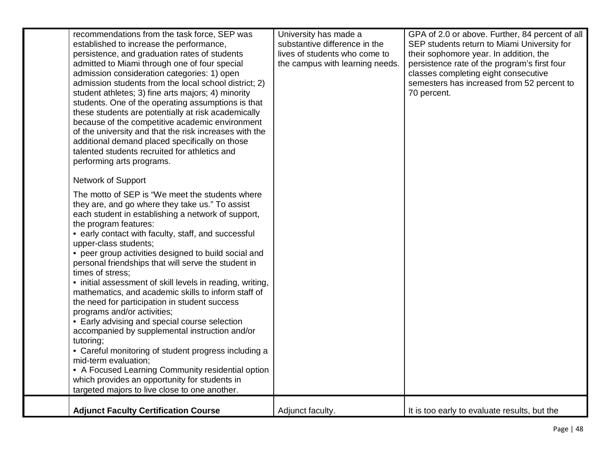| recommendations from the task force, SEP was<br>established to increase the performance,<br>persistence, and graduation rates of students<br>admitted to Miami through one of four special<br>admission consideration categories: 1) open<br>admission students from the local school district; 2)<br>student athletes; 3) fine arts majors; 4) minority<br>students. One of the operating assumptions is that<br>these students are potentially at risk academically<br>because of the competitive academic environment<br>of the university and that the risk increases with the<br>additional demand placed specifically on those<br>talented students recruited for athletics and<br>performing arts programs.<br>Network of Support<br>The motto of SEP is "We meet the students where<br>they are, and go where they take us." To assist<br>each student in establishing a network of support,<br>the program features:<br>• early contact with faculty, staff, and successful<br>upper-class students;<br>• peer group activities designed to build social and<br>personal friendships that will serve the student in<br>times of stress;<br>• initial assessment of skill levels in reading, writing,<br>mathematics, and academic skills to inform staff of<br>the need for participation in student success<br>programs and/or activities;<br>• Early advising and special course selection<br>accompanied by supplemental instruction and/or<br>tutoring;<br>• Careful monitoring of student progress including a<br>mid-term evaluation;<br>• A Focused Learning Community residential option | University has made a<br>substantive difference in the<br>lives of students who come to<br>the campus with learning needs. | GPA of 2.0 or above. Further, 84 percent of all<br>SEP students return to Miami University for<br>their sophomore year. In addition, the<br>persistence rate of the program's first four<br>classes completing eight consecutive<br>semesters has increased from 52 percent to<br>70 percent. |
|-----------------------------------------------------------------------------------------------------------------------------------------------------------------------------------------------------------------------------------------------------------------------------------------------------------------------------------------------------------------------------------------------------------------------------------------------------------------------------------------------------------------------------------------------------------------------------------------------------------------------------------------------------------------------------------------------------------------------------------------------------------------------------------------------------------------------------------------------------------------------------------------------------------------------------------------------------------------------------------------------------------------------------------------------------------------------------------------------------------------------------------------------------------------------------------------------------------------------------------------------------------------------------------------------------------------------------------------------------------------------------------------------------------------------------------------------------------------------------------------------------------------------------------------------------------------------------------------------------------|----------------------------------------------------------------------------------------------------------------------------|-----------------------------------------------------------------------------------------------------------------------------------------------------------------------------------------------------------------------------------------------------------------------------------------------|
| which provides an opportunity for students in<br>targeted majors to live close to one another.                                                                                                                                                                                                                                                                                                                                                                                                                                                                                                                                                                                                                                                                                                                                                                                                                                                                                                                                                                                                                                                                                                                                                                                                                                                                                                                                                                                                                                                                                                            |                                                                                                                            |                                                                                                                                                                                                                                                                                               |
| <b>Adjunct Faculty Certification Course</b>                                                                                                                                                                                                                                                                                                                                                                                                                                                                                                                                                                                                                                                                                                                                                                                                                                                                                                                                                                                                                                                                                                                                                                                                                                                                                                                                                                                                                                                                                                                                                               | Adjunct faculty.                                                                                                           | It is too early to evaluate results, but the                                                                                                                                                                                                                                                  |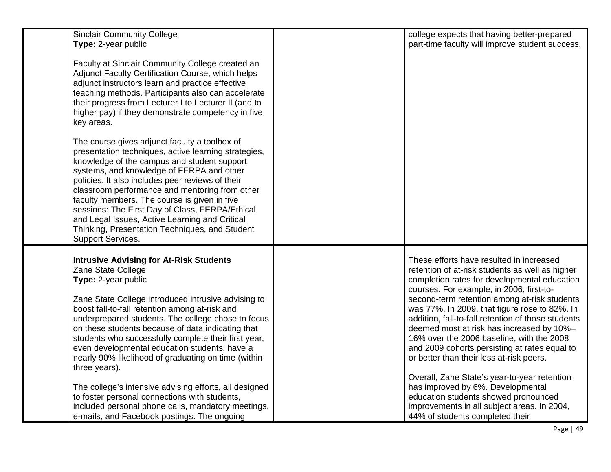| <b>Sinclair Community College</b><br>Type: 2-year public                                                                                                                                                                                                                                                                                                                                                                                                                                                                            | college expects that having better-prepared<br>part-time faculty will improve student success.                                                                                                                                                                                                                                                                                                                                                                                                                                                                                        |
|-------------------------------------------------------------------------------------------------------------------------------------------------------------------------------------------------------------------------------------------------------------------------------------------------------------------------------------------------------------------------------------------------------------------------------------------------------------------------------------------------------------------------------------|---------------------------------------------------------------------------------------------------------------------------------------------------------------------------------------------------------------------------------------------------------------------------------------------------------------------------------------------------------------------------------------------------------------------------------------------------------------------------------------------------------------------------------------------------------------------------------------|
| Faculty at Sinclair Community College created an<br>Adjunct Faculty Certification Course, which helps<br>adjunct instructors learn and practice effective<br>teaching methods. Participants also can accelerate<br>their progress from Lecturer I to Lecturer II (and to<br>higher pay) if they demonstrate competency in five<br>key areas.                                                                                                                                                                                        |                                                                                                                                                                                                                                                                                                                                                                                                                                                                                                                                                                                       |
| The course gives adjunct faculty a toolbox of<br>presentation techniques, active learning strategies,<br>knowledge of the campus and student support<br>systems, and knowledge of FERPA and other<br>policies. It also includes peer reviews of their<br>classroom performance and mentoring from other<br>faculty members. The course is given in five<br>sessions: The First Day of Class, FERPA/Ethical<br>and Legal Issues, Active Learning and Critical<br>Thinking, Presentation Techniques, and Student<br>Support Services. |                                                                                                                                                                                                                                                                                                                                                                                                                                                                                                                                                                                       |
| <b>Intrusive Advising for At-Risk Students</b><br>Zane State College<br>Type: 2-year public<br>Zane State College introduced intrusive advising to<br>boost fall-to-fall retention among at-risk and<br>underprepared students. The college chose to focus<br>on these students because of data indicating that<br>students who successfully complete their first year,<br>even developmental education students, have a<br>nearly 90% likelihood of graduating on time (within<br>three years).                                    | These efforts have resulted in increased<br>retention of at-risk students as well as higher<br>completion rates for developmental education<br>courses. For example, in 2006, first-to-<br>second-term retention among at-risk students<br>was 77%. In 2009, that figure rose to 82%. In<br>addition, fall-to-fall retention of those students<br>deemed most at risk has increased by 10%-<br>16% over the 2006 baseline, with the 2008<br>and 2009 cohorts persisting at rates equal to<br>or better than their less at-risk peers.<br>Overall, Zane State's year-to-year retention |
| The college's intensive advising efforts, all designed<br>to foster personal connections with students,<br>included personal phone calls, mandatory meetings,<br>e-mails, and Facebook postings. The ongoing                                                                                                                                                                                                                                                                                                                        | has improved by 6%. Developmental<br>education students showed pronounced<br>improvements in all subject areas. In 2004,<br>44% of students completed their                                                                                                                                                                                                                                                                                                                                                                                                                           |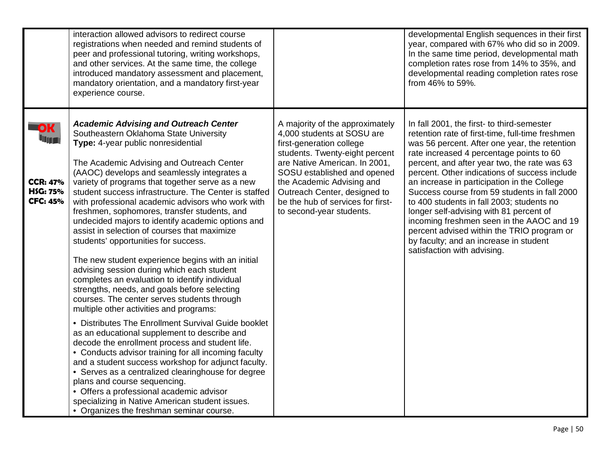|                                                                    | interaction allowed advisors to redirect course<br>registrations when needed and remind students of<br>peer and professional tutoring, writing workshops,<br>and other services. At the same time, the college<br>introduced mandatory assessment and placement,<br>mandatory orientation, and a mandatory first-year<br>experience course.                                                                                                                                                                                                                                                                                                                                                                                                                                                                                                                                                                                                                                                                                                                                                                                                                                                                                                                                                                                                                                                      |                                                                                                                                                                                                                                                                                                                           | developmental English sequences in their first<br>year, compared with 67% who did so in 2009.<br>In the same time period, developmental math<br>completion rates rose from 14% to 35%, and<br>developmental reading completion rates rose<br>from 46% to 59%.                                                                                                                                                                                                                                                                                                                                                                                           |
|--------------------------------------------------------------------|--------------------------------------------------------------------------------------------------------------------------------------------------------------------------------------------------------------------------------------------------------------------------------------------------------------------------------------------------------------------------------------------------------------------------------------------------------------------------------------------------------------------------------------------------------------------------------------------------------------------------------------------------------------------------------------------------------------------------------------------------------------------------------------------------------------------------------------------------------------------------------------------------------------------------------------------------------------------------------------------------------------------------------------------------------------------------------------------------------------------------------------------------------------------------------------------------------------------------------------------------------------------------------------------------------------------------------------------------------------------------------------------------|---------------------------------------------------------------------------------------------------------------------------------------------------------------------------------------------------------------------------------------------------------------------------------------------------------------------------|---------------------------------------------------------------------------------------------------------------------------------------------------------------------------------------------------------------------------------------------------------------------------------------------------------------------------------------------------------------------------------------------------------------------------------------------------------------------------------------------------------------------------------------------------------------------------------------------------------------------------------------------------------|
| <b>OK</b><br><b>CCR: 47%</b><br><b>HSG: 75%</b><br><b>CFC: 45%</b> | <b>Academic Advising and Outreach Center</b><br>Southeastern Oklahoma State University<br>Type: 4-year public nonresidential<br>The Academic Advising and Outreach Center<br>(AAOC) develops and seamlessly integrates a<br>variety of programs that together serve as a new<br>student success infrastructure. The Center is staffed<br>with professional academic advisors who work with<br>freshmen, sophomores, transfer students, and<br>undecided majors to identify academic options and<br>assist in selection of courses that maximize<br>students' opportunities for success.<br>The new student experience begins with an initial<br>advising session during which each student<br>completes an evaluation to identify individual<br>strengths, needs, and goals before selecting<br>courses. The center serves students through<br>multiple other activities and programs:<br>• Distributes The Enrollment Survival Guide booklet<br>as an educational supplement to describe and<br>decode the enrollment process and student life.<br>• Conducts advisor training for all incoming faculty<br>and a student success workshop for adjunct faculty.<br>• Serves as a centralized clearinghouse for degree<br>plans and course sequencing.<br>• Offers a professional academic advisor<br>specializing in Native American student issues.<br>• Organizes the freshman seminar course. | A majority of the approximately<br>4,000 students at SOSU are<br>first-generation college<br>students. Twenty-eight percent<br>are Native American. In 2001,<br>SOSU established and opened<br>the Academic Advising and<br>Outreach Center, designed to<br>be the hub of services for first-<br>to second-year students. | In fall 2001, the first- to third-semester<br>retention rate of first-time, full-time freshmen<br>was 56 percent. After one year, the retention<br>rate increased 4 percentage points to 60<br>percent, and after year two, the rate was 63<br>percent. Other indications of success include<br>an increase in participation in the College<br>Success course from 59 students in fall 2000<br>to 400 students in fall 2003; students no<br>longer self-advising with 81 percent of<br>incoming freshmen seen in the AAOC and 19<br>percent advised within the TRIO program or<br>by faculty; and an increase in student<br>satisfaction with advising. |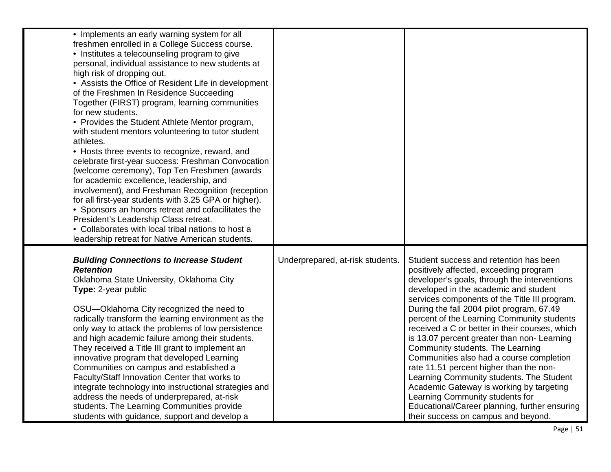| • Implements an early warning system for all<br>freshmen enrolled in a College Success course.<br>• Institutes a telecounseling program to give<br>personal, individual assistance to new students at<br>high risk of dropping out.<br>• Assists the Office of Resident Life in development<br>of the Freshmen In Residence Succeeding<br>Together (FIRST) program, learning communities<br>for new students.<br>• Provides the Student Athlete Mentor program,<br>with student mentors volunteering to tutor student<br>athletes.<br>• Hosts three events to recognize, reward, and<br>celebrate first-year success: Freshman Convocation<br>(welcome ceremony), Top Ten Freshmen (awards<br>for academic excellence, leadership, and<br>involvement), and Freshman Recognition (reception<br>for all first-year students with 3.25 GPA or higher).<br>• Sponsors an honors retreat and cofacilitates the<br>President's Leadership Class retreat.<br>• Collaborates with local tribal nations to host a<br>leadership retreat for Native American students. |                                  |                                                                                                                                                                                                                                                                                                                                                                                                                                                                                                                                                                                                                                                                                                                                                                     |
|---------------------------------------------------------------------------------------------------------------------------------------------------------------------------------------------------------------------------------------------------------------------------------------------------------------------------------------------------------------------------------------------------------------------------------------------------------------------------------------------------------------------------------------------------------------------------------------------------------------------------------------------------------------------------------------------------------------------------------------------------------------------------------------------------------------------------------------------------------------------------------------------------------------------------------------------------------------------------------------------------------------------------------------------------------------|----------------------------------|---------------------------------------------------------------------------------------------------------------------------------------------------------------------------------------------------------------------------------------------------------------------------------------------------------------------------------------------------------------------------------------------------------------------------------------------------------------------------------------------------------------------------------------------------------------------------------------------------------------------------------------------------------------------------------------------------------------------------------------------------------------------|
| <b>Building Connections to Increase Student</b><br><b>Retention</b><br>Oklahoma State University, Oklahoma City<br>Type: 2-year public<br>OSU-Oklahoma City recognized the need to<br>radically transform the learning environment as the<br>only way to attack the problems of low persistence<br>and high academic failure among their students.<br>They received a Title III grant to implement an<br>innovative program that developed Learning<br>Communities on campus and established a<br>Faculty/Staff Innovation Center that works to<br>integrate technology into instructional strategies and<br>address the needs of underprepared, at-risk<br>students. The Learning Communities provide<br>students with guidance, support and develop a                                                                                                                                                                                                                                                                                                       | Underprepared, at-risk students. | Student success and retention has been<br>positively affected, exceeding program<br>developer's goals, through the interventions<br>developed in the academic and student<br>services components of the Title III program.<br>During the fall 2004 pilot program, 67.49<br>percent of the Learning Community students<br>received a C or better in their courses, which<br>is 13.07 percent greater than non-Learning<br>Community students. The Learning<br>Communities also had a course completion<br>rate 11.51 percent higher than the non-<br>Learning Community students. The Student<br>Academic Gateway is working by targeting<br>Learning Community students for<br>Educational/Career planning, further ensuring<br>their success on campus and beyond. |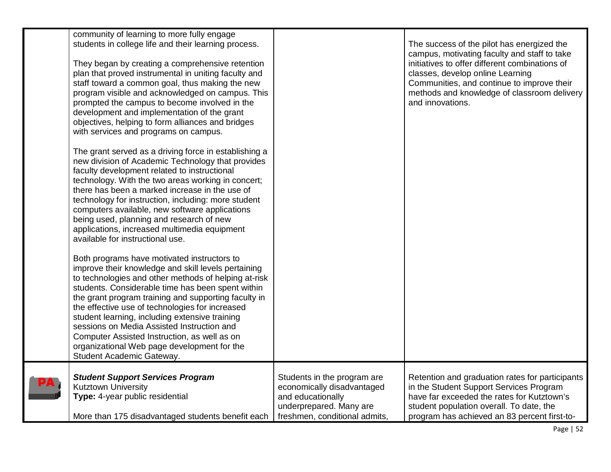| community of learning to more fully engage<br>students in college life and their learning process.<br>They began by creating a comprehensive retention<br>plan that proved instrumental in uniting faculty and<br>staff toward a common goal, thus making the new<br>program visible and acknowledged on campus. This<br>prompted the campus to become involved in the<br>development and implementation of the grant<br>objectives, helping to form alliances and bridges<br>with services and programs on campus.                                    |                                                                                                                                            | The success of the pilot has energized the<br>campus, motivating faculty and staff to take<br>initiatives to offer different combinations of<br>classes, develop online Learning<br>Communities, and continue to improve their<br>methods and knowledge of classroom delivery<br>and innovations. |
|--------------------------------------------------------------------------------------------------------------------------------------------------------------------------------------------------------------------------------------------------------------------------------------------------------------------------------------------------------------------------------------------------------------------------------------------------------------------------------------------------------------------------------------------------------|--------------------------------------------------------------------------------------------------------------------------------------------|---------------------------------------------------------------------------------------------------------------------------------------------------------------------------------------------------------------------------------------------------------------------------------------------------|
| The grant served as a driving force in establishing a<br>new division of Academic Technology that provides<br>faculty development related to instructional<br>technology. With the two areas working in concert;<br>there has been a marked increase in the use of<br>technology for instruction, including: more student<br>computers available, new software applications<br>being used, planning and research of new<br>applications, increased multimedia equipment<br>available for instructional use.                                            |                                                                                                                                            |                                                                                                                                                                                                                                                                                                   |
| Both programs have motivated instructors to<br>improve their knowledge and skill levels pertaining<br>to technologies and other methods of helping at-risk<br>students. Considerable time has been spent within<br>the grant program training and supporting faculty in<br>the effective use of technologies for increased<br>student learning, including extensive training<br>sessions on Media Assisted Instruction and<br>Computer Assisted Instruction, as well as on<br>organizational Web page development for the<br>Student Academic Gateway. |                                                                                                                                            |                                                                                                                                                                                                                                                                                                   |
| <b>Student Support Services Program</b><br><b>Kutztown University</b><br>Type: 4-year public residential<br>More than 175 disadvantaged students benefit each                                                                                                                                                                                                                                                                                                                                                                                          | Students in the program are<br>economically disadvantaged<br>and educationally<br>underprepared. Many are<br>freshmen, conditional admits, | Retention and graduation rates for participants<br>in the Student Support Services Program<br>have far exceeded the rates for Kutztown's<br>student population overall. To date, the<br>program has achieved an 83 percent first-to-                                                              |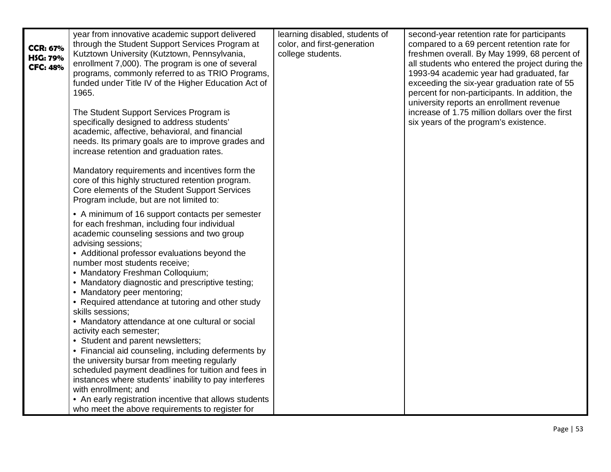| <b>CCR: 67%</b><br><b>HSG: 79%</b><br><b>CFC: 48%</b> | year from innovative academic support delivered<br>through the Student Support Services Program at<br>Kutztown University (Kutztown, Pennsylvania,<br>enrollment 7,000). The program is one of several<br>programs, commonly referred to as TRIO Programs,<br>funded under Title IV of the Higher Education Act of<br>1965.<br>The Student Support Services Program is<br>specifically designed to address students'                                  | learning disabled, students of<br>color, and first-generation<br>college students. | second-year retention rate for participants<br>compared to a 69 percent retention rate for<br>freshmen overall. By May 1999, 68 percent of<br>all students who entered the project during the<br>1993-94 academic year had graduated, far<br>exceeding the six-year graduation rate of 55<br>percent for non-participants. In addition, the<br>university reports an enrollment revenue<br>increase of 1.75 million dollars over the first<br>six years of the program's existence. |
|-------------------------------------------------------|-------------------------------------------------------------------------------------------------------------------------------------------------------------------------------------------------------------------------------------------------------------------------------------------------------------------------------------------------------------------------------------------------------------------------------------------------------|------------------------------------------------------------------------------------|-------------------------------------------------------------------------------------------------------------------------------------------------------------------------------------------------------------------------------------------------------------------------------------------------------------------------------------------------------------------------------------------------------------------------------------------------------------------------------------|
|                                                       | academic, affective, behavioral, and financial<br>needs. Its primary goals are to improve grades and<br>increase retention and graduation rates.                                                                                                                                                                                                                                                                                                      |                                                                                    |                                                                                                                                                                                                                                                                                                                                                                                                                                                                                     |
|                                                       | Mandatory requirements and incentives form the<br>core of this highly structured retention program.<br>Core elements of the Student Support Services<br>Program include, but are not limited to:                                                                                                                                                                                                                                                      |                                                                                    |                                                                                                                                                                                                                                                                                                                                                                                                                                                                                     |
|                                                       | • A minimum of 16 support contacts per semester<br>for each freshman, including four individual<br>academic counseling sessions and two group<br>advising sessions;<br>• Additional professor evaluations beyond the<br>number most students receive;<br>• Mandatory Freshman Colloquium;<br>• Mandatory diagnostic and prescriptive testing;<br>• Mandatory peer mentoring;<br>• Required attendance at tutoring and other study<br>skills sessions; |                                                                                    |                                                                                                                                                                                                                                                                                                                                                                                                                                                                                     |
|                                                       | • Mandatory attendance at one cultural or social<br>activity each semester;<br>• Student and parent newsletters;<br>• Financial aid counseling, including deferments by<br>the university bursar from meeting regularly<br>scheduled payment deadlines for tuition and fees in<br>instances where students' inability to pay interferes<br>with enrollment; and                                                                                       |                                                                                    |                                                                                                                                                                                                                                                                                                                                                                                                                                                                                     |
|                                                       | • An early registration incentive that allows students<br>who meet the above requirements to register for                                                                                                                                                                                                                                                                                                                                             |                                                                                    |                                                                                                                                                                                                                                                                                                                                                                                                                                                                                     |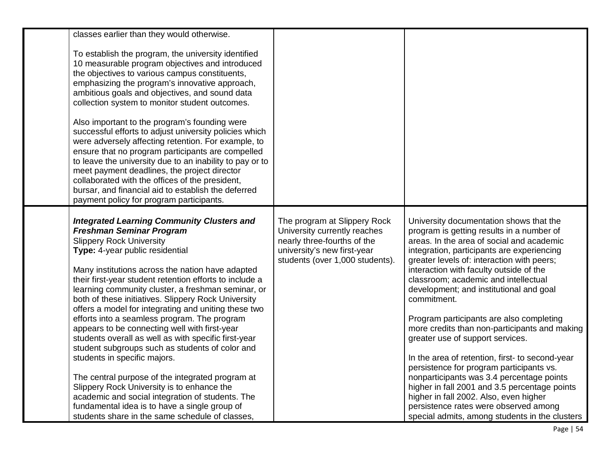| classes earlier than they would otherwise.<br>To establish the program, the university identified<br>10 measurable program objectives and introduced<br>the objectives to various campus constituents,<br>emphasizing the program's innovative approach,<br>ambitious goals and objectives, and sound data<br>collection system to monitor student outcomes.<br>Also important to the program's founding were<br>successful efforts to adjust university policies which<br>were adversely affecting retention. For example, to<br>ensure that no program participants are compelled<br>to leave the university due to an inability to pay or to<br>meet payment deadlines, the project director<br>collaborated with the offices of the president,<br>bursar, and financial aid to establish the deferred<br>payment policy for program participants.                                                                                                |                                                                                                                                                               |                                                                                                                                                                                                                                                                                                                                                                                                                                                                                                                                                                                                                                                                                                                                                                                                                                               |
|------------------------------------------------------------------------------------------------------------------------------------------------------------------------------------------------------------------------------------------------------------------------------------------------------------------------------------------------------------------------------------------------------------------------------------------------------------------------------------------------------------------------------------------------------------------------------------------------------------------------------------------------------------------------------------------------------------------------------------------------------------------------------------------------------------------------------------------------------------------------------------------------------------------------------------------------------|---------------------------------------------------------------------------------------------------------------------------------------------------------------|-----------------------------------------------------------------------------------------------------------------------------------------------------------------------------------------------------------------------------------------------------------------------------------------------------------------------------------------------------------------------------------------------------------------------------------------------------------------------------------------------------------------------------------------------------------------------------------------------------------------------------------------------------------------------------------------------------------------------------------------------------------------------------------------------------------------------------------------------|
| <b>Integrated Learning Community Clusters and</b><br><b>Freshman Seminar Program</b><br><b>Slippery Rock University</b><br>Type: 4-year public residential<br>Many institutions across the nation have adapted<br>their first-year student retention efforts to include a<br>learning community cluster, a freshman seminar, or<br>both of these initiatives. Slippery Rock University<br>offers a model for integrating and uniting these two<br>efforts into a seamless program. The program<br>appears to be connecting well with first-year<br>students overall as well as with specific first-year<br>student subgroups such as students of color and<br>students in specific majors.<br>The central purpose of the integrated program at<br>Slippery Rock University is to enhance the<br>academic and social integration of students. The<br>fundamental idea is to have a single group of<br>students share in the same schedule of classes. | The program at Slippery Rock<br>University currently reaches<br>nearly three-fourths of the<br>university's new first-year<br>students (over 1,000 students). | University documentation shows that the<br>program is getting results in a number of<br>areas. In the area of social and academic<br>integration, participants are experiencing<br>greater levels of: interaction with peers;<br>interaction with faculty outside of the<br>classroom; academic and intellectual<br>development; and institutional and goal<br>commitment.<br>Program participants are also completing<br>more credits than non-participants and making<br>greater use of support services.<br>In the area of retention, first- to second-year<br>persistence for program participants vs.<br>nonparticipants was 3.4 percentage points<br>higher in fall 2001 and 3.5 percentage points<br>higher in fall 2002. Also, even higher<br>persistence rates were observed among<br>special admits, among students in the clusters |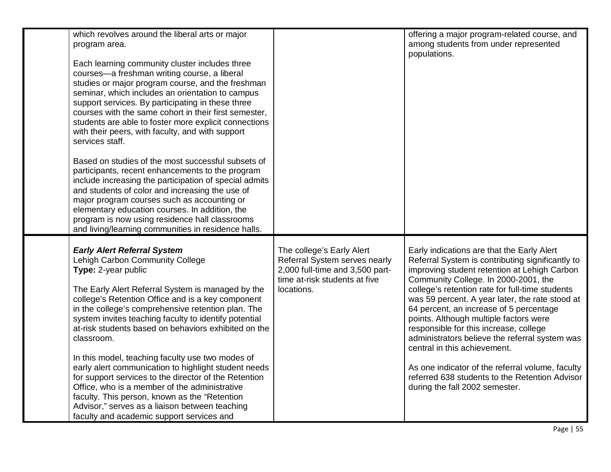| which revolves around the liberal arts or major<br>program area.<br>Each learning community cluster includes three<br>courses-a freshman writing course, a liberal<br>studies or major program course, and the freshman<br>seminar, which includes an orientation to campus<br>support services. By participating in these three<br>courses with the same cohort in their first semester,<br>students are able to foster more explicit connections<br>with their peers, with faculty, and with support<br>services staff.<br>Based on studies of the most successful subsets of<br>participants, recent enhancements to the program<br>include increasing the participation of special admits<br>and students of color and increasing the use of<br>major program courses such as accounting or<br>elementary education courses. In addition, the<br>program is now using residence hall classrooms |                                                                                                                                              | offering a major program-related course, and<br>among students from under represented<br>populations.                                                                                                                                                                                                                                                                                                                                                                                                                                                                                                                                                 |
|-----------------------------------------------------------------------------------------------------------------------------------------------------------------------------------------------------------------------------------------------------------------------------------------------------------------------------------------------------------------------------------------------------------------------------------------------------------------------------------------------------------------------------------------------------------------------------------------------------------------------------------------------------------------------------------------------------------------------------------------------------------------------------------------------------------------------------------------------------------------------------------------------------|----------------------------------------------------------------------------------------------------------------------------------------------|-------------------------------------------------------------------------------------------------------------------------------------------------------------------------------------------------------------------------------------------------------------------------------------------------------------------------------------------------------------------------------------------------------------------------------------------------------------------------------------------------------------------------------------------------------------------------------------------------------------------------------------------------------|
| and living/learning communities in residence halls.<br><b>Early Alert Referral System</b><br>Lehigh Carbon Community College<br>Type: 2-year public<br>The Early Alert Referral System is managed by the<br>college's Retention Office and is a key component<br>in the college's comprehensive retention plan. The<br>system invites teaching faculty to identify potential<br>at-risk students based on behaviors exhibited on the<br>classroom.<br>In this model, teaching faculty use two modes of<br>early alert communication to highlight student needs<br>for support services to the director of the Retention<br>Office, who is a member of the administrative<br>faculty. This person, known as the "Retention<br>Advisor," serves as a liaison between teaching<br>faculty and academic support services and                                                                            | The college's Early Alert<br>Referral System serves nearly<br>2,000 full-time and 3,500 part-<br>time at-risk students at five<br>locations. | Early indications are that the Early Alert<br>Referral System is contributing significantly to<br>improving student retention at Lehigh Carbon<br>Community College. In 2000-2001, the<br>college's retention rate for full-time students<br>was 59 percent. A year later, the rate stood at<br>64 percent, an increase of 5 percentage<br>points. Although multiple factors were<br>responsible for this increase, college<br>administrators believe the referral system was<br>central in this achievement.<br>As one indicator of the referral volume, faculty<br>referred 638 students to the Retention Advisor<br>during the fall 2002 semester. |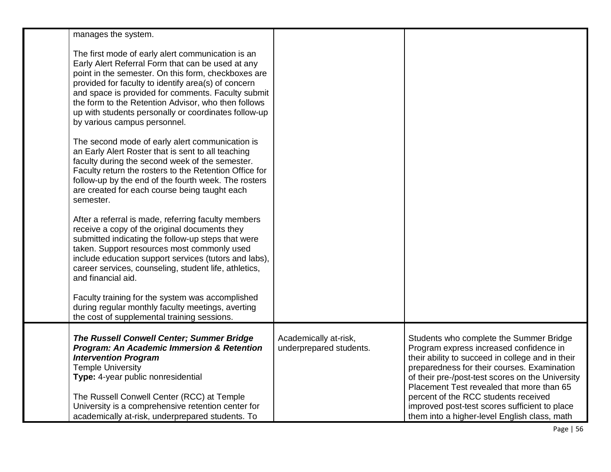| manages the system.                                                                                                                                                                                                                                                                                                                                                                                                       |                                                  |                                                                                                                                                                                                                                                                                                                                                                                                                                 |
|---------------------------------------------------------------------------------------------------------------------------------------------------------------------------------------------------------------------------------------------------------------------------------------------------------------------------------------------------------------------------------------------------------------------------|--------------------------------------------------|---------------------------------------------------------------------------------------------------------------------------------------------------------------------------------------------------------------------------------------------------------------------------------------------------------------------------------------------------------------------------------------------------------------------------------|
| The first mode of early alert communication is an<br>Early Alert Referral Form that can be used at any<br>point in the semester. On this form, checkboxes are<br>provided for faculty to identify area(s) of concern<br>and space is provided for comments. Faculty submit<br>the form to the Retention Advisor, who then follows<br>up with students personally or coordinates follow-up<br>by various campus personnel. |                                                  |                                                                                                                                                                                                                                                                                                                                                                                                                                 |
| The second mode of early alert communication is<br>an Early Alert Roster that is sent to all teaching<br>faculty during the second week of the semester.<br>Faculty return the rosters to the Retention Office for<br>follow-up by the end of the fourth week. The rosters<br>are created for each course being taught each<br>semester.                                                                                  |                                                  |                                                                                                                                                                                                                                                                                                                                                                                                                                 |
| After a referral is made, referring faculty members<br>receive a copy of the original documents they<br>submitted indicating the follow-up steps that were<br>taken. Support resources most commonly used<br>include education support services (tutors and labs),<br>career services, counseling, student life, athletics,<br>and financial aid.                                                                         |                                                  |                                                                                                                                                                                                                                                                                                                                                                                                                                 |
| Faculty training for the system was accomplished<br>during regular monthly faculty meetings, averting<br>the cost of supplemental training sessions.                                                                                                                                                                                                                                                                      |                                                  |                                                                                                                                                                                                                                                                                                                                                                                                                                 |
| The Russell Conwell Center; Summer Bridge<br><b>Program: An Academic Immersion &amp; Retention</b><br><b>Intervention Program</b><br><b>Temple University</b><br>Type: 4-year public nonresidential<br>The Russell Conwell Center (RCC) at Temple<br>University is a comprehensive retention center for<br>academically at-risk, underprepared students. To                                                               | Academically at-risk,<br>underprepared students. | Students who complete the Summer Bridge<br>Program express increased confidence in<br>their ability to succeed in college and in their<br>preparedness for their courses. Examination<br>of their pre-/post-test scores on the University<br>Placement Test revealed that more than 65<br>percent of the RCC students received<br>improved post-test scores sufficient to place<br>them into a higher-level English class, math |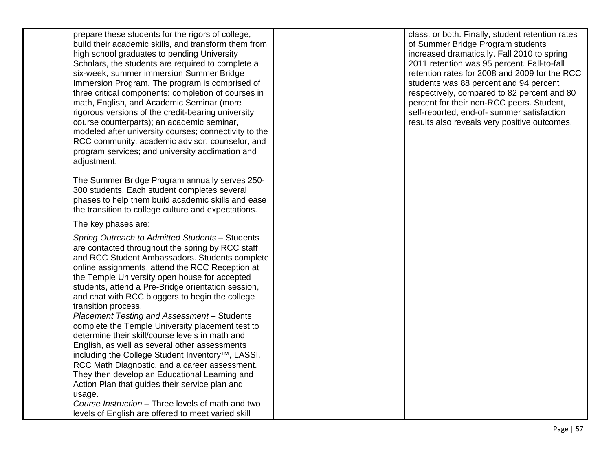prepare these students for the rigors of college, build their academic skills, and transform them from high school graduates to pending University Scholars, the students are required to complete a six -week, summer immersion Summer Bridge Immersion Program. The program is comprised of three critical components: completion of courses in math, English, and Academic Seminar (more rigorous versions of the credit -bearing university course counterparts); an academic seminar, modeled after university courses; connectivity to the RCC community, academic advisor, counselor, and program services; and university acclimation and adiustment.

The Summer Bridge Program annually serves 250- 300 students. Each student completes several phases to help them build academic skills and ease the transition to college culture and expectations.

## The key phases are:

*Spring Outreach to Admitted Students* – Students are contacted throughout the spring by RCC staff and RCC Student Ambassadors. Students complete online assignments, attend the RCC Reception at the Temple University open house for accepted students, attend a Pre -Bridge orientation session, and chat with RCC bloggers to begin the college transition process. *Placement Testing and Assessment* – Students

complete the Temple University placement test to determine their skill/course levels in math and English, as well as several other assessments including the College Student Inventory™, LASSI, RCC Math Diagnostic, and a career assessment. They then develop an Educational Learning and Action Plan that guides their service plan and usage.

*Course Instruction* – Three levels of math and two levels of English are offered to meet varied skill

class, or both. Finally, student retention rates of Summer Bridge Program students increased dramatically. Fall 2010 to spring 2011 retention was 95 percent. Fall -to -fall retention rates for 2008 and 2009 for the RCC students was 88 percent and 94 percent respectively, compared to 82 percent and 80 percent for their non -RCC peers. Student, self -reported, end -of- summer satisfaction results also reveals very positive outcomes.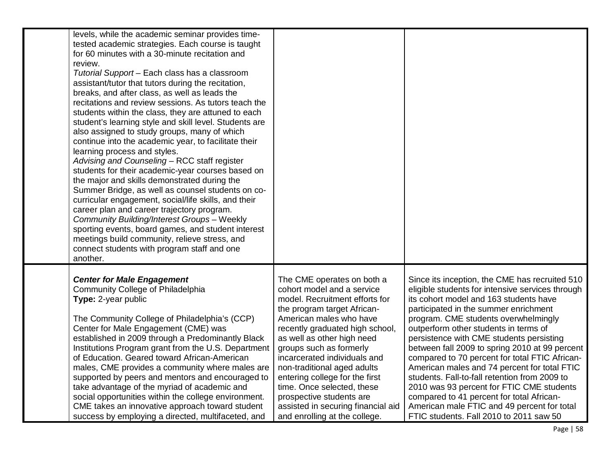| levels, while the academic seminar provides time-<br>tested academic strategies. Each course is taught<br>for 60 minutes with a 30-minute recitation and<br>review.<br>Tutorial Support - Each class has a classroom<br>assistant/tutor that tutors during the recitation,<br>breaks, and after class, as well as leads the<br>recitations and review sessions. As tutors teach the<br>students within the class, they are attuned to each<br>student's learning style and skill level. Students are<br>also assigned to study groups, many of which<br>continue into the academic year, to facilitate their<br>learning process and styles.<br>Advising and Counseling - RCC staff register<br>students for their academic-year courses based on<br>the major and skills demonstrated during the<br>Summer Bridge, as well as counsel students on co-<br>curricular engagement, social/life skills, and their<br>career plan and career trajectory program.<br>Community Building/Interest Groups - Weekly<br>sporting events, board games, and student interest<br>meetings build community, relieve stress, and<br>connect students with program staff and one<br>another. |                                                                                                                                                                                                                                                                                                                                                                                                                                                                                    |                                                                                                                                                                                                                                                                                                                                                                                                                                                                                                                                                                                                                                                                                                             |
|-------------------------------------------------------------------------------------------------------------------------------------------------------------------------------------------------------------------------------------------------------------------------------------------------------------------------------------------------------------------------------------------------------------------------------------------------------------------------------------------------------------------------------------------------------------------------------------------------------------------------------------------------------------------------------------------------------------------------------------------------------------------------------------------------------------------------------------------------------------------------------------------------------------------------------------------------------------------------------------------------------------------------------------------------------------------------------------------------------------------------------------------------------------------------------|------------------------------------------------------------------------------------------------------------------------------------------------------------------------------------------------------------------------------------------------------------------------------------------------------------------------------------------------------------------------------------------------------------------------------------------------------------------------------------|-------------------------------------------------------------------------------------------------------------------------------------------------------------------------------------------------------------------------------------------------------------------------------------------------------------------------------------------------------------------------------------------------------------------------------------------------------------------------------------------------------------------------------------------------------------------------------------------------------------------------------------------------------------------------------------------------------------|
| <b>Center for Male Engagement</b><br><b>Community College of Philadelphia</b><br>Type: 2-year public<br>The Community College of Philadelphia's (CCP)<br>Center for Male Engagement (CME) was<br>established in 2009 through a Predominantly Black<br>Institutions Program grant from the U.S. Department<br>of Education. Geared toward African-American<br>males, CME provides a community where males are<br>supported by peers and mentors and encouraged to<br>take advantage of the myriad of academic and<br>social opportunities within the college environment.<br>CME takes an innovative approach toward student<br>success by employing a directed, multifaceted, and                                                                                                                                                                                                                                                                                                                                                                                                                                                                                             | The CME operates on both a<br>cohort model and a service<br>model. Recruitment efforts for<br>the program target African-<br>American males who have<br>recently graduated high school,<br>as well as other high need<br>groups such as formerly<br>incarcerated individuals and<br>non-traditional aged adults<br>entering college for the first<br>time. Once selected, these<br>prospective students are<br>assisted in securing financial aid<br>and enrolling at the college. | Since its inception, the CME has recruited 510<br>eligible students for intensive services through<br>its cohort model and 163 students have<br>participated in the summer enrichment<br>program. CME students overwhelmingly<br>outperform other students in terms of<br>persistence with CME students persisting<br>between fall 2009 to spring 2010 at 99 percent<br>compared to 70 percent for total FTIC African-<br>American males and 74 percent for total FTIC<br>students. Fall-to-fall retention from 2009 to<br>2010 was 93 percent for FTIC CME students<br>compared to 41 percent for total African-<br>American male FTIC and 49 percent for total<br>FTIC students. Fall 2010 to 2011 saw 50 |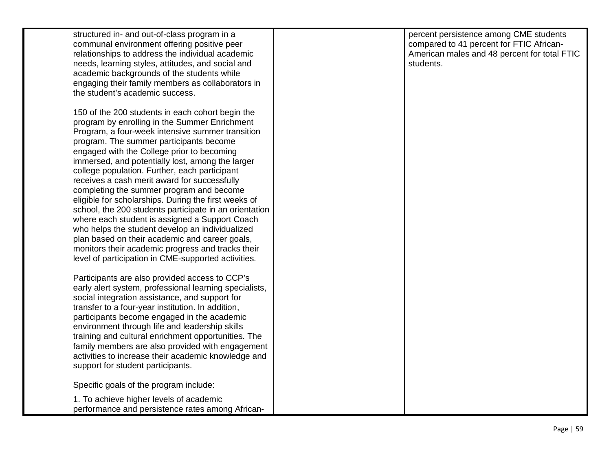| structured in- and out-of-class program in a<br>communal environment offering positive peer<br>relationships to address the individual academic<br>needs, learning styles, attitudes, and social and<br>academic backgrounds of the students while<br>engaging their family members as collaborators in<br>the student's academic success.                                                                                                                                                                                                                                                                                                                                                                                                                                                                                           | percent persistence among CME students<br>compared to 41 percent for FTIC African-<br>American males and 48 percent for total FTIC<br>students. |
|--------------------------------------------------------------------------------------------------------------------------------------------------------------------------------------------------------------------------------------------------------------------------------------------------------------------------------------------------------------------------------------------------------------------------------------------------------------------------------------------------------------------------------------------------------------------------------------------------------------------------------------------------------------------------------------------------------------------------------------------------------------------------------------------------------------------------------------|-------------------------------------------------------------------------------------------------------------------------------------------------|
| 150 of the 200 students in each cohort begin the<br>program by enrolling in the Summer Enrichment<br>Program, a four-week intensive summer transition<br>program. The summer participants become<br>engaged with the College prior to becoming<br>immersed, and potentially lost, among the larger<br>college population. Further, each participant<br>receives a cash merit award for successfully<br>completing the summer program and become<br>eligible for scholarships. During the first weeks of<br>school, the 200 students participate in an orientation<br>where each student is assigned a Support Coach<br>who helps the student develop an individualized<br>plan based on their academic and career goals,<br>monitors their academic progress and tracks their<br>level of participation in CME-supported activities. |                                                                                                                                                 |
| Participants are also provided access to CCP's<br>early alert system, professional learning specialists,<br>social integration assistance, and support for<br>transfer to a four-year institution. In addition,<br>participants become engaged in the academic<br>environment through life and leadership skills<br>training and cultural enrichment opportunities. The<br>family members are also provided with engagement<br>activities to increase their academic knowledge and<br>support for student participants.                                                                                                                                                                                                                                                                                                              |                                                                                                                                                 |
| Specific goals of the program include:                                                                                                                                                                                                                                                                                                                                                                                                                                                                                                                                                                                                                                                                                                                                                                                               |                                                                                                                                                 |
| 1. To achieve higher levels of academic<br>performance and persistence rates among African-                                                                                                                                                                                                                                                                                                                                                                                                                                                                                                                                                                                                                                                                                                                                          |                                                                                                                                                 |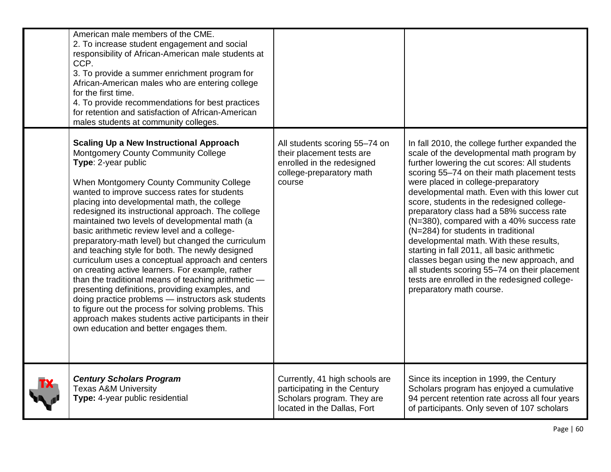| American male members of the CME.<br>2. To increase student engagement and social<br>responsibility of African-American male students at<br>CCP.<br>3. To provide a summer enrichment program for<br>African-American males who are entering college<br>for the first time.<br>4. To provide recommendations for best practices<br>for retention and satisfaction of African-American<br>males students at community colleges.                                                                                                                                                                                                                                                                                                                                                                                                                                                                                                                               |                                                                                                                                |                                                                                                                                                                                                                                                                                                                                                                                                                                                                                                                                                                                                                                                                                                                                       |
|--------------------------------------------------------------------------------------------------------------------------------------------------------------------------------------------------------------------------------------------------------------------------------------------------------------------------------------------------------------------------------------------------------------------------------------------------------------------------------------------------------------------------------------------------------------------------------------------------------------------------------------------------------------------------------------------------------------------------------------------------------------------------------------------------------------------------------------------------------------------------------------------------------------------------------------------------------------|--------------------------------------------------------------------------------------------------------------------------------|---------------------------------------------------------------------------------------------------------------------------------------------------------------------------------------------------------------------------------------------------------------------------------------------------------------------------------------------------------------------------------------------------------------------------------------------------------------------------------------------------------------------------------------------------------------------------------------------------------------------------------------------------------------------------------------------------------------------------------------|
| <b>Scaling Up a New Instructional Approach</b><br>Montgomery County Community College<br>Type: 2-year public<br>When Montgomery County Community College<br>wanted to improve success rates for students<br>placing into developmental math, the college<br>redesigned its instructional approach. The college<br>maintained two levels of developmental math (a<br>basic arithmetic review level and a college-<br>preparatory-math level) but changed the curriculum<br>and teaching style for both. The newly designed<br>curriculum uses a conceptual approach and centers<br>on creating active learners. For example, rather<br>than the traditional means of teaching arithmetic -<br>presenting definitions, providing examples, and<br>doing practice problems - instructors ask students<br>to figure out the process for solving problems. This<br>approach makes students active participants in their<br>own education and better engages them. | All students scoring 55-74 on<br>their placement tests are<br>enrolled in the redesigned<br>college-preparatory math<br>course | In fall 2010, the college further expanded the<br>scale of the developmental math program by<br>further lowering the cut scores: All students<br>scoring 55-74 on their math placement tests<br>were placed in college-preparatory<br>developmental math. Even with this lower cut<br>score, students in the redesigned college-<br>preparatory class had a 58% success rate<br>(N=380), compared with a 40% success rate<br>(N=284) for students in traditional<br>developmental math. With these results,<br>starting in fall 2011, all basic arithmetic<br>classes began using the new approach, and<br>all students scoring 55-74 on their placement<br>tests are enrolled in the redesigned college-<br>preparatory math course. |
| <b>Century Scholars Program</b><br><b>Texas A&amp;M University</b><br>Type: 4-year public residential                                                                                                                                                                                                                                                                                                                                                                                                                                                                                                                                                                                                                                                                                                                                                                                                                                                        | Currently, 41 high schools are<br>participating in the Century<br>Scholars program. They are<br>located in the Dallas, Fort    | Since its inception in 1999, the Century<br>Scholars program has enjoyed a cumulative<br>94 percent retention rate across all four years<br>of participants. Only seven of 107 scholars                                                                                                                                                                                                                                                                                                                                                                                                                                                                                                                                               |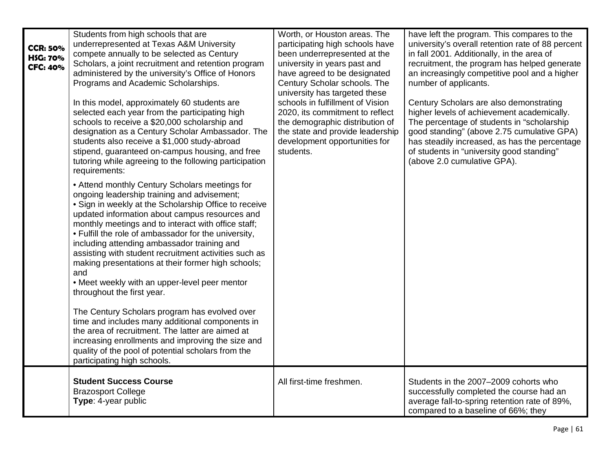| <b>CCR: 50%</b><br><b>HSG: 70%</b><br><b>CFC: 40%</b> | Students from high schools that are<br>underrepresented at Texas A&M University<br>compete annually to be selected as Century<br>Scholars, a joint recruitment and retention program<br>administered by the university's Office of Honors<br>Programs and Academic Scholarships.<br>In this model, approximately 60 students are<br>selected each year from the participating high<br>schools to receive a \$20,000 scholarship and<br>designation as a Century Scholar Ambassador. The<br>students also receive a \$1,000 study-abroad<br>stipend, guaranteed on-campus housing, and free<br>tutoring while agreeing to the following participation<br>requirements:<br>• Attend monthly Century Scholars meetings for<br>ongoing leadership training and advisement;<br>• Sign in weekly at the Scholarship Office to receive<br>updated information about campus resources and<br>monthly meetings and to interact with office staff;<br>• Fulfill the role of ambassador for the university,<br>including attending ambassador training and<br>assisting with student recruitment activities such as<br>making presentations at their former high schools;<br>and<br>• Meet weekly with an upper-level peer mentor<br>throughout the first year.<br>The Century Scholars program has evolved over<br>time and includes many additional components in<br>the area of recruitment. The latter are aimed at<br>increasing enrollments and improving the size and<br>quality of the pool of potential scholars from the<br>participating high schools. | Worth, or Houston areas. The<br>participating high schools have<br>been underrepresented at the<br>university in years past and<br>have agreed to be designated<br>Century Scholar schools. The<br>university has targeted these<br>schools in fulfillment of Vision<br>2020, its commitment to reflect<br>the demographic distribution of<br>the state and provide leadership<br>development opportunities for<br>students. | have left the program. This compares to the<br>university's overall retention rate of 88 percent<br>in fall 2001. Additionally, in the area of<br>recruitment, the program has helped generate<br>an increasingly competitive pool and a higher<br>number of applicants.<br>Century Scholars are also demonstrating<br>higher levels of achievement academically.<br>The percentage of students in "scholarship"<br>good standing" (above 2.75 cumulative GPA)<br>has steadily increased, as has the percentage<br>of students in "university good standing"<br>(above 2.0 cumulative GPA). |
|-------------------------------------------------------|--------------------------------------------------------------------------------------------------------------------------------------------------------------------------------------------------------------------------------------------------------------------------------------------------------------------------------------------------------------------------------------------------------------------------------------------------------------------------------------------------------------------------------------------------------------------------------------------------------------------------------------------------------------------------------------------------------------------------------------------------------------------------------------------------------------------------------------------------------------------------------------------------------------------------------------------------------------------------------------------------------------------------------------------------------------------------------------------------------------------------------------------------------------------------------------------------------------------------------------------------------------------------------------------------------------------------------------------------------------------------------------------------------------------------------------------------------------------------------------------------------------------------------------------------------|------------------------------------------------------------------------------------------------------------------------------------------------------------------------------------------------------------------------------------------------------------------------------------------------------------------------------------------------------------------------------------------------------------------------------|---------------------------------------------------------------------------------------------------------------------------------------------------------------------------------------------------------------------------------------------------------------------------------------------------------------------------------------------------------------------------------------------------------------------------------------------------------------------------------------------------------------------------------------------------------------------------------------------|
|                                                       | <b>Student Success Course</b><br><b>Brazosport College</b><br>Type: 4-year public                                                                                                                                                                                                                                                                                                                                                                                                                                                                                                                                                                                                                                                                                                                                                                                                                                                                                                                                                                                                                                                                                                                                                                                                                                                                                                                                                                                                                                                                      | All first-time freshmen.                                                                                                                                                                                                                                                                                                                                                                                                     | Students in the 2007-2009 cohorts who<br>successfully completed the course had an<br>average fall-to-spring retention rate of 89%,<br>compared to a baseline of 66%; they                                                                                                                                                                                                                                                                                                                                                                                                                   |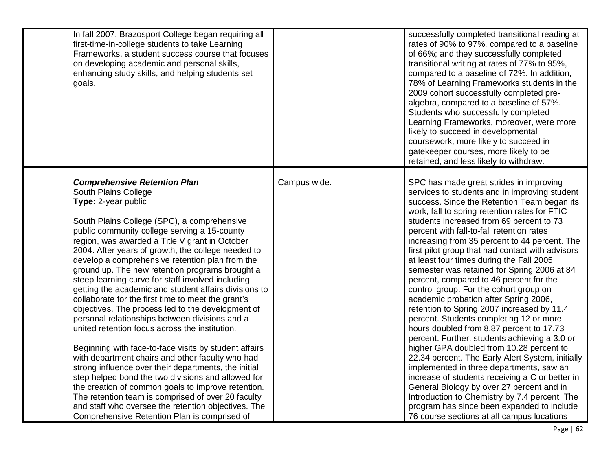| In fall 2007, Brazosport College began requiring all<br>first-time-in-college students to take Learning<br>Frameworks, a student success course that focuses<br>on developing academic and personal skills,<br>enhancing study skills, and helping students set<br>goals.                                                                                                                                                                                                                                                                                                                                                                                                                                                                                                                                                                                                                                                                                                                                                                                                                                                                                                  |              | successfully completed transitional reading at<br>rates of 90% to 97%, compared to a baseline<br>of 66%; and they successfully completed<br>transitional writing at rates of 77% to 95%,<br>compared to a baseline of 72%. In addition,<br>78% of Learning Frameworks students in the<br>2009 cohort successfully completed pre-<br>algebra, compared to a baseline of 57%.<br>Students who successfully completed<br>Learning Frameworks, moreover, were more<br>likely to succeed in developmental<br>coursework, more likely to succeed in<br>gatekeeper courses, more likely to be<br>retained, and less likely to withdraw.                                                                                                                                                                                                                                                                                                                                                                                                                                                                                                                                                               |
|----------------------------------------------------------------------------------------------------------------------------------------------------------------------------------------------------------------------------------------------------------------------------------------------------------------------------------------------------------------------------------------------------------------------------------------------------------------------------------------------------------------------------------------------------------------------------------------------------------------------------------------------------------------------------------------------------------------------------------------------------------------------------------------------------------------------------------------------------------------------------------------------------------------------------------------------------------------------------------------------------------------------------------------------------------------------------------------------------------------------------------------------------------------------------|--------------|------------------------------------------------------------------------------------------------------------------------------------------------------------------------------------------------------------------------------------------------------------------------------------------------------------------------------------------------------------------------------------------------------------------------------------------------------------------------------------------------------------------------------------------------------------------------------------------------------------------------------------------------------------------------------------------------------------------------------------------------------------------------------------------------------------------------------------------------------------------------------------------------------------------------------------------------------------------------------------------------------------------------------------------------------------------------------------------------------------------------------------------------------------------------------------------------|
| <b>Comprehensive Retention Plan</b><br>South Plains College<br>Type: 2-year public<br>South Plains College (SPC), a comprehensive<br>public community college serving a 15-county<br>region, was awarded a Title V grant in October<br>2004. After years of growth, the college needed to<br>develop a comprehensive retention plan from the<br>ground up. The new retention programs brought a<br>steep learning curve for staff involved including<br>getting the academic and student affairs divisions to<br>collaborate for the first time to meet the grant's<br>objectives. The process led to the development of<br>personal relationships between divisions and a<br>united retention focus across the institution.<br>Beginning with face-to-face visits by student affairs<br>with department chairs and other faculty who had<br>strong influence over their departments, the initial<br>step helped bond the two divisions and allowed for<br>the creation of common goals to improve retention.<br>The retention team is comprised of over 20 faculty<br>and staff who oversee the retention objectives. The<br>Comprehensive Retention Plan is comprised of | Campus wide. | SPC has made great strides in improving<br>services to students and in improving student<br>success. Since the Retention Team began its<br>work, fall to spring retention rates for FTIC<br>students increased from 69 percent to 73<br>percent with fall-to-fall retention rates<br>increasing from 35 percent to 44 percent. The<br>first pilot group that had contact with advisors<br>at least four times during the Fall 2005<br>semester was retained for Spring 2006 at 84<br>percent, compared to 46 percent for the<br>control group. For the cohort group on<br>academic probation after Spring 2006,<br>retention to Spring 2007 increased by 11.4<br>percent. Students completing 12 or more<br>hours doubled from 8.87 percent to 17.73<br>percent. Further, students achieving a 3.0 or<br>higher GPA doubled from 10.28 percent to<br>22.34 percent. The Early Alert System, initially<br>implemented in three departments, saw an<br>increase of students receiving a C or better in<br>General Biology by over 27 percent and in<br>Introduction to Chemistry by 7.4 percent. The<br>program has since been expanded to include<br>76 course sections at all campus locations |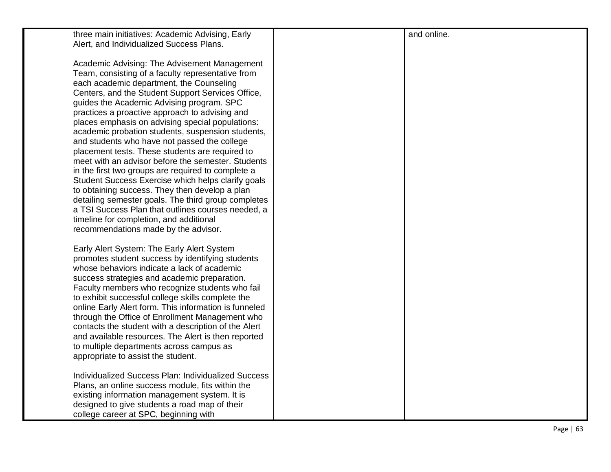| three main initiatives: Academic Advising, Early                                                                                                                                                                                                                                                                                                                                                                                                                                                                                                                                                                                                                                                                                                                                                                                                                                                                                  | and online. |
|-----------------------------------------------------------------------------------------------------------------------------------------------------------------------------------------------------------------------------------------------------------------------------------------------------------------------------------------------------------------------------------------------------------------------------------------------------------------------------------------------------------------------------------------------------------------------------------------------------------------------------------------------------------------------------------------------------------------------------------------------------------------------------------------------------------------------------------------------------------------------------------------------------------------------------------|-------------|
| Alert, and Individualized Success Plans.                                                                                                                                                                                                                                                                                                                                                                                                                                                                                                                                                                                                                                                                                                                                                                                                                                                                                          |             |
| Academic Advising: The Advisement Management<br>Team, consisting of a faculty representative from<br>each academic department, the Counseling<br>Centers, and the Student Support Services Office,<br>guides the Academic Advising program. SPC<br>practices a proactive approach to advising and<br>places emphasis on advising special populations:<br>academic probation students, suspension students,<br>and students who have not passed the college<br>placement tests. These students are required to<br>meet with an advisor before the semester. Students<br>in the first two groups are required to complete a<br>Student Success Exercise which helps clarify goals<br>to obtaining success. They then develop a plan<br>detailing semester goals. The third group completes<br>a TSI Success Plan that outlines courses needed, a<br>timeline for completion, and additional<br>recommendations made by the advisor. |             |
| Early Alert System: The Early Alert System<br>promotes student success by identifying students<br>whose behaviors indicate a lack of academic<br>success strategies and academic preparation.<br>Faculty members who recognize students who fail<br>to exhibit successful college skills complete the<br>online Early Alert form. This information is funneled<br>through the Office of Enrollment Management who<br>contacts the student with a description of the Alert<br>and available resources. The Alert is then reported<br>to multiple departments across campus as<br>appropriate to assist the student.                                                                                                                                                                                                                                                                                                                |             |
| Individualized Success Plan: Individualized Success<br>Plans, an online success module, fits within the<br>existing information management system. It is<br>designed to give students a road map of their<br>college career at SPC, beginning with                                                                                                                                                                                                                                                                                                                                                                                                                                                                                                                                                                                                                                                                                |             |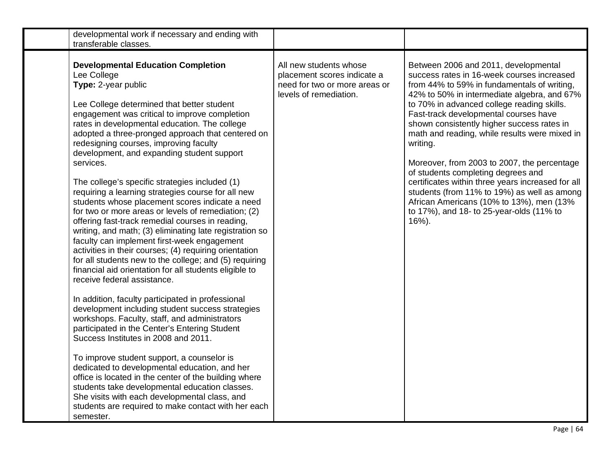| developmental work if necessary and ending with<br>transferable classes.                                                                                                                                                                                                                                                                                                                                                                                                                                                                                                                                                                                                                                                                                                                                                                                                                                                                                                                                                                                                                                                                                                                                                                                                                                                                                                                                                                                                                                                                                                 |                                                                                                                  |                                                                                                                                                                                                                                                                                                                                                                                                                                                                                                                                                                                                                                                                                 |
|--------------------------------------------------------------------------------------------------------------------------------------------------------------------------------------------------------------------------------------------------------------------------------------------------------------------------------------------------------------------------------------------------------------------------------------------------------------------------------------------------------------------------------------------------------------------------------------------------------------------------------------------------------------------------------------------------------------------------------------------------------------------------------------------------------------------------------------------------------------------------------------------------------------------------------------------------------------------------------------------------------------------------------------------------------------------------------------------------------------------------------------------------------------------------------------------------------------------------------------------------------------------------------------------------------------------------------------------------------------------------------------------------------------------------------------------------------------------------------------------------------------------------------------------------------------------------|------------------------------------------------------------------------------------------------------------------|---------------------------------------------------------------------------------------------------------------------------------------------------------------------------------------------------------------------------------------------------------------------------------------------------------------------------------------------------------------------------------------------------------------------------------------------------------------------------------------------------------------------------------------------------------------------------------------------------------------------------------------------------------------------------------|
| <b>Developmental Education Completion</b><br>Lee College<br>Type: 2-year public<br>Lee College determined that better student<br>engagement was critical to improve completion<br>rates in developmental education. The college<br>adopted a three-pronged approach that centered on<br>redesigning courses, improving faculty<br>development, and expanding student support<br>services.<br>The college's specific strategies included (1)<br>requiring a learning strategies course for all new<br>students whose placement scores indicate a need<br>for two or more areas or levels of remediation; (2)<br>offering fast-track remedial courses in reading,<br>writing, and math; (3) eliminating late registration so<br>faculty can implement first-week engagement<br>activities in their courses; (4) requiring orientation<br>for all students new to the college; and (5) requiring<br>financial aid orientation for all students eligible to<br>receive federal assistance.<br>In addition, faculty participated in professional<br>development including student success strategies<br>workshops. Faculty, staff, and administrators<br>participated in the Center's Entering Student<br>Success Institutes in 2008 and 2011.<br>To improve student support, a counselor is<br>dedicated to developmental education, and her<br>office is located in the center of the building where<br>students take developmental education classes.<br>She visits with each developmental class, and<br>students are required to make contact with her each<br>semester. | All new students whose<br>placement scores indicate a<br>need for two or more areas or<br>levels of remediation. | Between 2006 and 2011, developmental<br>success rates in 16-week courses increased<br>from 44% to 59% in fundamentals of writing,<br>42% to 50% in intermediate algebra, and 67%<br>to 70% in advanced college reading skills.<br>Fast-track developmental courses have<br>shown consistently higher success rates in<br>math and reading, while results were mixed in<br>writing.<br>Moreover, from 2003 to 2007, the percentage<br>of students completing degrees and<br>certificates within three years increased for all<br>students (from 11% to 19%) as well as among<br>African Americans (10% to 13%), men (13%<br>to 17%), and 18- to 25-year-olds (11% to<br>$16%$ ). |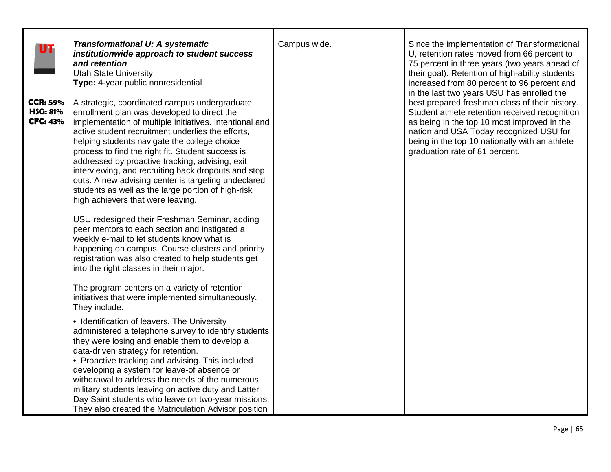| UT                                                    | <b>Transformational U: A systematic</b><br>institutionwide approach to student success<br>and retention<br><b>Utah State University</b><br>Type: 4-year public nonresidential                                                                                                                                                                                                                                                                                                                                                                                                 | Campus wide. | Since the implementation of Transformational<br>U, retention rates moved from 66 percent to<br>75 percent in three years (two years ahead of<br>their goal). Retention of high-ability students<br>increased from 80 percent to 96 percent and                                                                               |
|-------------------------------------------------------|-------------------------------------------------------------------------------------------------------------------------------------------------------------------------------------------------------------------------------------------------------------------------------------------------------------------------------------------------------------------------------------------------------------------------------------------------------------------------------------------------------------------------------------------------------------------------------|--------------|------------------------------------------------------------------------------------------------------------------------------------------------------------------------------------------------------------------------------------------------------------------------------------------------------------------------------|
| <b>CCR: 59%</b><br><b>HSG: 81%</b><br><b>CFC: 43%</b> | A strategic, coordinated campus undergraduate<br>enrollment plan was developed to direct the<br>implementation of multiple initiatives. Intentional and<br>active student recruitment underlies the efforts,<br>helping students navigate the college choice<br>process to find the right fit. Student success is<br>addressed by proactive tracking, advising, exit<br>interviewing, and recruiting back dropouts and stop<br>outs. A new advising center is targeting undeclared<br>students as well as the large portion of high-risk<br>high achievers that were leaving. |              | in the last two years USU has enrolled the<br>best prepared freshman class of their history.<br>Student athlete retention received recognition<br>as being in the top 10 most improved in the<br>nation and USA Today recognized USU for<br>being in the top 10 nationally with an athlete<br>graduation rate of 81 percent. |
|                                                       | USU redesigned their Freshman Seminar, adding<br>peer mentors to each section and instigated a<br>weekly e-mail to let students know what is<br>happening on campus. Course clusters and priority<br>registration was also created to help students get<br>into the right classes in their major.                                                                                                                                                                                                                                                                             |              |                                                                                                                                                                                                                                                                                                                              |
|                                                       | The program centers on a variety of retention<br>initiatives that were implemented simultaneously.<br>They include:                                                                                                                                                                                                                                                                                                                                                                                                                                                           |              |                                                                                                                                                                                                                                                                                                                              |
|                                                       | • Identification of leavers. The University<br>administered a telephone survey to identify students<br>they were losing and enable them to develop a<br>data-driven strategy for retention.<br>• Proactive tracking and advising. This included<br>developing a system for leave-of absence or<br>withdrawal to address the needs of the numerous<br>military students leaving on active duty and Latter<br>Day Saint students who leave on two-year missions.<br>They also created the Matriculation Advisor position                                                        |              |                                                                                                                                                                                                                                                                                                                              |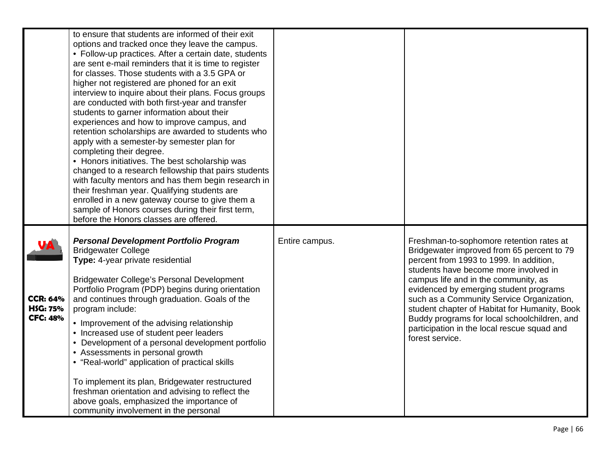|                                                       | to ensure that students are informed of their exit<br>options and tracked once they leave the campus.<br>• Follow-up practices. After a certain date, students<br>are sent e-mail reminders that it is time to register<br>for classes. Those students with a 3.5 GPA or<br>higher not registered are phoned for an exit<br>interview to inquire about their plans. Focus groups<br>are conducted with both first-year and transfer<br>students to garner information about their<br>experiences and how to improve campus, and<br>retention scholarships are awarded to students who<br>apply with a semester-by semester plan for<br>completing their degree.<br>• Honors initiatives. The best scholarship was<br>changed to a research fellowship that pairs students<br>with faculty mentors and has them begin research in<br>their freshman year. Qualifying students are<br>enrolled in a new gateway course to give them a<br>sample of Honors courses during their first term,<br>before the Honors classes are offered. |                |                                                                                                                                                                                                                                                                                                                                                                                                                                                                              |
|-------------------------------------------------------|------------------------------------------------------------------------------------------------------------------------------------------------------------------------------------------------------------------------------------------------------------------------------------------------------------------------------------------------------------------------------------------------------------------------------------------------------------------------------------------------------------------------------------------------------------------------------------------------------------------------------------------------------------------------------------------------------------------------------------------------------------------------------------------------------------------------------------------------------------------------------------------------------------------------------------------------------------------------------------------------------------------------------------|----------------|------------------------------------------------------------------------------------------------------------------------------------------------------------------------------------------------------------------------------------------------------------------------------------------------------------------------------------------------------------------------------------------------------------------------------------------------------------------------------|
| <b>CCR: 64%</b><br><b>HSG: 75%</b><br><b>CFC: 48%</b> | <b>Personal Development Portfolio Program</b><br><b>Bridgewater College</b><br>Type: 4-year private residential<br><b>Bridgewater College's Personal Development</b><br>Portfolio Program (PDP) begins during orientation<br>and continues through graduation. Goals of the<br>program include:<br>• Improvement of the advising relationship<br>• Increased use of student peer leaders<br>• Development of a personal development portfolio<br>• Assessments in personal growth<br>• "Real-world" application of practical skills<br>To implement its plan, Bridgewater restructured<br>freshman orientation and advising to reflect the<br>above goals, emphasized the importance of<br>community involvement in the personal                                                                                                                                                                                                                                                                                                   | Entire campus. | Freshman-to-sophomore retention rates at<br>Bridgewater improved from 65 percent to 79<br>percent from 1993 to 1999. In addition,<br>students have become more involved in<br>campus life and in the community, as<br>evidenced by emerging student programs<br>such as a Community Service Organization,<br>student chapter of Habitat for Humanity, Book<br>Buddy programs for local schoolchildren, and<br>participation in the local rescue squad and<br>forest service. |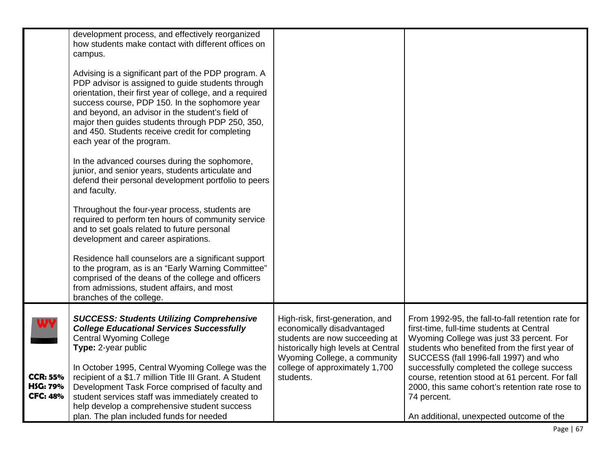|                                                                    | development process, and effectively reorganized<br>how students make contact with different offices on<br>campus.<br>Advising is a significant part of the PDP program. A<br>PDP advisor is assigned to guide students through<br>orientation, their first year of college, and a required<br>success course, PDP 150. In the sophomore year<br>and beyond, an advisor in the student's field of<br>major then guides students through PDP 250, 350,<br>and 450. Students receive credit for completing<br>each year of the program.<br>In the advanced courses during the sophomore,<br>junior, and senior years, students articulate and<br>defend their personal development portfolio to peers<br>and faculty.<br>Throughout the four-year process, students are<br>required to perform ten hours of community service<br>and to set goals related to future personal<br>development and career aspirations.<br>Residence hall counselors are a significant support<br>to the program, as is an "Early Warning Committee"<br>comprised of the deans of the college and officers<br>from admissions, student affairs, and most |                                                                                                                                                                                                                        |                                                                                                                                                                                                                                                                                                                                                                                                         |
|--------------------------------------------------------------------|------------------------------------------------------------------------------------------------------------------------------------------------------------------------------------------------------------------------------------------------------------------------------------------------------------------------------------------------------------------------------------------------------------------------------------------------------------------------------------------------------------------------------------------------------------------------------------------------------------------------------------------------------------------------------------------------------------------------------------------------------------------------------------------------------------------------------------------------------------------------------------------------------------------------------------------------------------------------------------------------------------------------------------------------------------------------------------------------------------------------------------|------------------------------------------------------------------------------------------------------------------------------------------------------------------------------------------------------------------------|---------------------------------------------------------------------------------------------------------------------------------------------------------------------------------------------------------------------------------------------------------------------------------------------------------------------------------------------------------------------------------------------------------|
| <b>WY</b><br><b>CCR: 55%</b><br><b>HSG: 79%</b><br><b>CFC: 48%</b> | branches of the college.<br><b>SUCCESS: Students Utilizing Comprehensive</b><br><b>College Educational Services Successfully</b><br><b>Central Wyoming College</b><br>Type: 2-year public<br>In October 1995, Central Wyoming College was the<br>recipient of a \$1.7 million Title III Grant. A Student<br>Development Task Force comprised of faculty and<br>student services staff was immediately created to<br>help develop a comprehensive student success                                                                                                                                                                                                                                                                                                                                                                                                                                                                                                                                                                                                                                                                   | High-risk, first-generation, and<br>economically disadvantaged<br>students are now succeeding at<br>historically high levels at Central<br>Wyoming College, a community<br>college of approximately 1,700<br>students. | From 1992-95, the fall-to-fall retention rate for<br>first-time, full-time students at Central<br>Wyoming College was just 33 percent. For<br>students who benefited from the first year of<br>SUCCESS (fall 1996-fall 1997) and who<br>successfully completed the college success<br>course, retention stood at 61 percent. For fall<br>2000, this same cohort's retention rate rose to<br>74 percent. |
|                                                                    | plan. The plan included funds for needed                                                                                                                                                                                                                                                                                                                                                                                                                                                                                                                                                                                                                                                                                                                                                                                                                                                                                                                                                                                                                                                                                           |                                                                                                                                                                                                                        | An additional, unexpected outcome of the                                                                                                                                                                                                                                                                                                                                                                |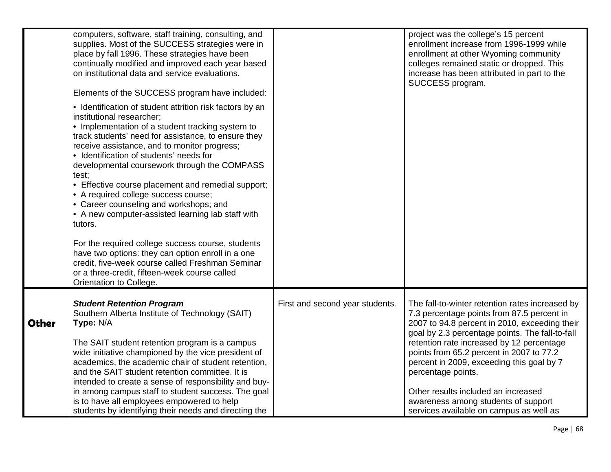|              | computers, software, staff training, consulting, and<br>supplies. Most of the SUCCESS strategies were in<br>place by fall 1996. These strategies have been<br>continually modified and improved each year based<br>on institutional data and service evaluations.<br>Elements of the SUCCESS program have included:<br>• Identification of student attrition risk factors by an<br>institutional researcher;<br>• Implementation of a student tracking system to<br>track students' need for assistance, to ensure they<br>receive assistance, and to monitor progress;<br>• Identification of students' needs for<br>developmental coursework through the COMPASS<br>test:<br>• Effective course placement and remedial support;<br>• A required college success course;<br>• Career counseling and workshops; and<br>• A new computer-assisted learning lab staff with<br>tutors.<br>For the required college success course, students<br>have two options: they can option enroll in a one<br>credit, five-week course called Freshman Seminar<br>or a three-credit, fifteen-week course called<br>Orientation to College. |                                 | project was the college's 15 percent<br>enrollment increase from 1996-1999 while<br>enrollment at other Wyoming community<br>colleges remained static or dropped. This<br>increase has been attributed in part to the<br>SUCCESS program.                                                                                                                                                                                                                                              |
|--------------|-------------------------------------------------------------------------------------------------------------------------------------------------------------------------------------------------------------------------------------------------------------------------------------------------------------------------------------------------------------------------------------------------------------------------------------------------------------------------------------------------------------------------------------------------------------------------------------------------------------------------------------------------------------------------------------------------------------------------------------------------------------------------------------------------------------------------------------------------------------------------------------------------------------------------------------------------------------------------------------------------------------------------------------------------------------------------------------------------------------------------------|---------------------------------|----------------------------------------------------------------------------------------------------------------------------------------------------------------------------------------------------------------------------------------------------------------------------------------------------------------------------------------------------------------------------------------------------------------------------------------------------------------------------------------|
| <b>Other</b> | <b>Student Retention Program</b><br>Southern Alberta Institute of Technology (SAIT)<br>Type: N/A<br>The SAIT student retention program is a campus<br>wide initiative championed by the vice president of<br>academics, the academic chair of student retention,<br>and the SAIT student retention committee. It is<br>intended to create a sense of responsibility and buy-<br>in among campus staff to student success. The goal<br>is to have all employees empowered to help<br>students by identifying their needs and directing the                                                                                                                                                                                                                                                                                                                                                                                                                                                                                                                                                                                     | First and second year students. | The fall-to-winter retention rates increased by<br>7.3 percentage points from 87.5 percent in<br>2007 to 94.8 percent in 2010, exceeding their<br>goal by 2.3 percentage points. The fall-to-fall<br>retention rate increased by 12 percentage<br>points from 65.2 percent in 2007 to 77.2<br>percent in 2009, exceeding this goal by 7<br>percentage points.<br>Other results included an increased<br>awareness among students of support<br>services available on campus as well as |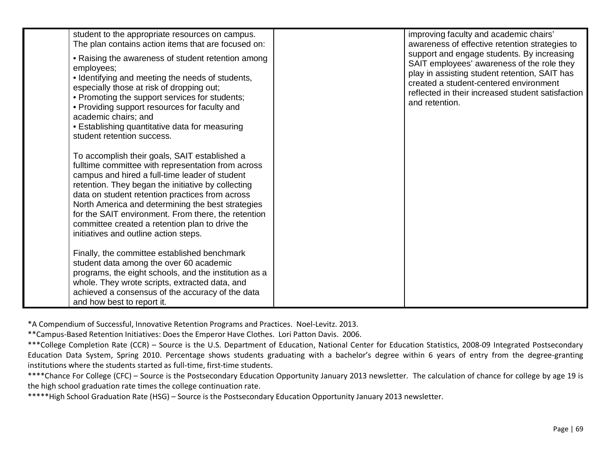| student to the appropriate resources on campus.                                                                                                                                                                                                                                                                                                                                                                                                                        | improving faculty and academic chairs'                                                                                                                                                                                                                     |
|------------------------------------------------------------------------------------------------------------------------------------------------------------------------------------------------------------------------------------------------------------------------------------------------------------------------------------------------------------------------------------------------------------------------------------------------------------------------|------------------------------------------------------------------------------------------------------------------------------------------------------------------------------------------------------------------------------------------------------------|
| The plan contains action items that are focused on:                                                                                                                                                                                                                                                                                                                                                                                                                    | awareness of effective retention strategies to                                                                                                                                                                                                             |
| • Raising the awareness of student retention among<br>employees;<br>• Identifying and meeting the needs of students,<br>especially those at risk of dropping out;<br>• Promoting the support services for students;<br>• Providing support resources for faculty and<br>academic chairs; and<br>• Establishing quantitative data for measuring<br>student retention success.                                                                                           | support and engage students. By increasing<br>SAIT employees' awareness of the role they<br>play in assisting student retention, SAIT has<br>created a student-centered environment<br>reflected in their increased student satisfaction<br>and retention. |
| To accomplish their goals, SAIT established a<br>fulltime committee with representation from across<br>campus and hired a full-time leader of student<br>retention. They began the initiative by collecting<br>data on student retention practices from across<br>North America and determining the best strategies<br>for the SAIT environment. From there, the retention<br>committee created a retention plan to drive the<br>initiatives and outline action steps. |                                                                                                                                                                                                                                                            |
| Finally, the committee established benchmark<br>student data among the over 60 academic<br>programs, the eight schools, and the institution as a<br>whole. They wrote scripts, extracted data, and<br>achieved a consensus of the accuracy of the data<br>and how best to report it.                                                                                                                                                                                   |                                                                                                                                                                                                                                                            |

\*A Compendium of Successful, Innovative Retention Programs and Practices. Noel-Levitz. 2013.

\*\*Campus-Based Retention Initiatives: Does the Emperor Have Clothes. Lori Patton Davis. 2006.

\*\*\*College Completion Rate (CCR) – Source is the U.S. Department of Education, National Center for Education Statistics, 2008-09 Integrated Postsecondary Education Data System, Spring 2010. Percentage shows students graduating with a bachelor's degree within 6 years of entry from the degree-granting institutions where the students started as full-time, first-time students.

\*\*\*\*Chance For College (CFC) – Source is the Postsecondary Education Opportunity January 2013 newsletter. The calculation of chance for college by age 19 is the high school graduation rate times the college continuation rate.

\*\*\*\*\*High School Graduation Rate (HSG) – Source is the Postsecondary Education Opportunity January 2013 newsletter.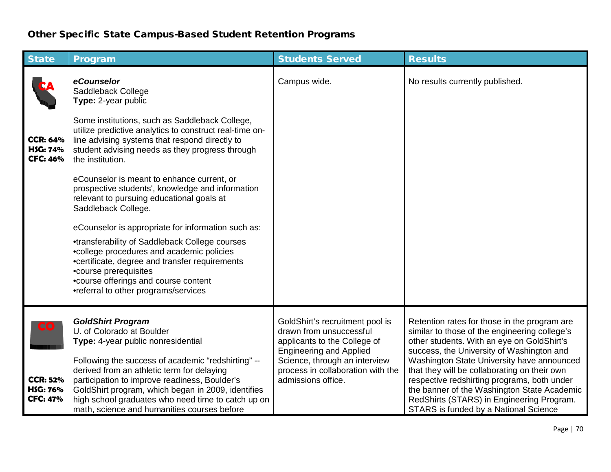## Other Specific State Campus-Based Student Retention Programs

| <b>State</b>                                          | Program                                                                                                                                                                                                                                                                                                      | <b>Students Served</b>                                                                                                       | <b>Results</b>                                                                                                                                                                                                                                                                 |
|-------------------------------------------------------|--------------------------------------------------------------------------------------------------------------------------------------------------------------------------------------------------------------------------------------------------------------------------------------------------------------|------------------------------------------------------------------------------------------------------------------------------|--------------------------------------------------------------------------------------------------------------------------------------------------------------------------------------------------------------------------------------------------------------------------------|
|                                                       | eCounselor<br>Saddleback College<br>Type: 2-year public                                                                                                                                                                                                                                                      | Campus wide.                                                                                                                 | No results currently published.                                                                                                                                                                                                                                                |
| <b>CCR: 64%</b><br><b>HSG: 74%</b><br><b>CFC: 46%</b> | Some institutions, such as Saddleback College,<br>utilize predictive analytics to construct real-time on-<br>line advising systems that respond directly to<br>student advising needs as they progress through<br>the institution.                                                                           |                                                                                                                              |                                                                                                                                                                                                                                                                                |
|                                                       | eCounselor is meant to enhance current, or<br>prospective students', knowledge and information<br>relevant to pursuing educational goals at<br>Saddleback College.                                                                                                                                           |                                                                                                                              |                                                                                                                                                                                                                                                                                |
|                                                       | eCounselor is appropriate for information such as:                                                                                                                                                                                                                                                           |                                                                                                                              |                                                                                                                                                                                                                                                                                |
|                                                       | •transferability of Saddleback College courses<br>•college procedures and academic policies<br>•certificate, degree and transfer requirements<br>•course prerequisites<br>•course offerings and course content<br>•referral to other programs/services                                                       |                                                                                                                              |                                                                                                                                                                                                                                                                                |
| CO                                                    | <b>GoldShirt Program</b><br>U. of Colorado at Boulder<br>Type: 4-year public nonresidential                                                                                                                                                                                                                  | GoldShirt's recruitment pool is<br>drawn from unsuccessful<br>applicants to the College of<br><b>Engineering and Applied</b> | Retention rates for those in the program are<br>similar to those of the engineering college's<br>other students. With an eye on GoldShirt's<br>success, the University of Washington and                                                                                       |
| <b>CCR: 52%</b><br><b>HSG: 76%</b><br><b>CFC: 47%</b> | Following the success of academic "redshirting" --<br>derived from an athletic term for delaying<br>participation to improve readiness, Boulder's<br>GoldShirt program, which began in 2009, identifies<br>high school graduates who need time to catch up on<br>math, science and humanities courses before | Science, through an interview<br>process in collaboration with the<br>admissions office.                                     | Washington State University have announced<br>that they will be collaborating on their own<br>respective redshirting programs, both under<br>the banner of the Washington State Academic<br>RedShirts (STARS) in Engineering Program.<br>STARS is funded by a National Science |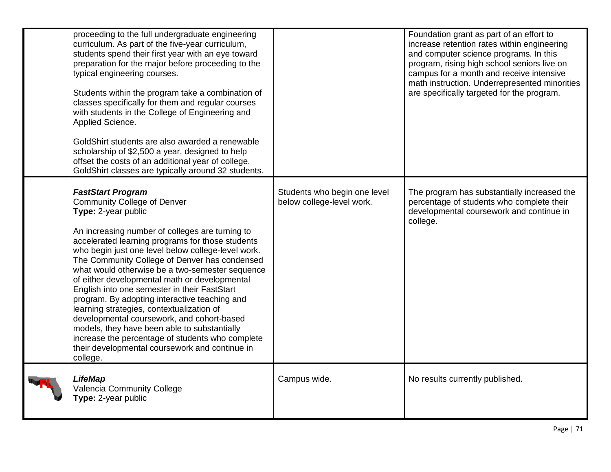| proceeding to the full undergraduate engineering<br>curriculum. As part of the five-year curriculum,<br>students spend their first year with an eye toward<br>preparation for the major before proceeding to the<br>typical engineering courses.<br>Students within the program take a combination of<br>classes specifically for them and regular courses<br>with students in the College of Engineering and<br>Applied Science.<br>GoldShirt students are also awarded a renewable<br>scholarship of \$2,500 a year, designed to help<br>offset the costs of an additional year of college.<br>GoldShirt classes are typically around 32 students.                                                                                                                  |                                                           | Foundation grant as part of an effort to<br>increase retention rates within engineering<br>and computer science programs. In this<br>program, rising high school seniors live on<br>campus for a month and receive intensive<br>math instruction. Underrepresented minorities<br>are specifically targeted for the program. |
|-----------------------------------------------------------------------------------------------------------------------------------------------------------------------------------------------------------------------------------------------------------------------------------------------------------------------------------------------------------------------------------------------------------------------------------------------------------------------------------------------------------------------------------------------------------------------------------------------------------------------------------------------------------------------------------------------------------------------------------------------------------------------|-----------------------------------------------------------|-----------------------------------------------------------------------------------------------------------------------------------------------------------------------------------------------------------------------------------------------------------------------------------------------------------------------------|
| <b>FastStart Program</b><br><b>Community College of Denver</b><br>Type: 2-year public<br>An increasing number of colleges are turning to<br>accelerated learning programs for those students<br>who begin just one level below college-level work.<br>The Community College of Denver has condensed<br>what would otherwise be a two-semester sequence<br>of either developmental math or developmental<br>English into one semester in their FastStart<br>program. By adopting interactive teaching and<br>learning strategies, contextualization of<br>developmental coursework, and cohort-based<br>models, they have been able to substantially<br>increase the percentage of students who complete<br>their developmental coursework and continue in<br>college. | Students who begin one level<br>below college-level work. | The program has substantially increased the<br>percentage of students who complete their<br>developmental coursework and continue in<br>college.                                                                                                                                                                            |
| <b>LifeMap</b><br>Valencia Community College<br>Type: 2-year public                                                                                                                                                                                                                                                                                                                                                                                                                                                                                                                                                                                                                                                                                                   | Campus wide.                                              | No results currently published.                                                                                                                                                                                                                                                                                             |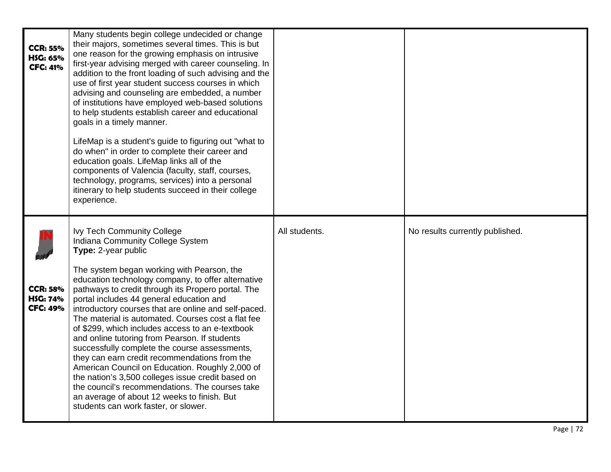| <b>CCR: 55%</b><br>H\$G: 65%<br><b>CFC: 41%</b>       | Many students begin college undecided or change<br>their majors, sometimes several times. This is but<br>one reason for the growing emphasis on intrusive<br>first-year advising merged with career counseling. In<br>addition to the front loading of such advising and the<br>use of first year student success courses in which<br>advising and counseling are embedded, a number<br>of institutions have employed web-based solutions<br>to help students establish career and educational<br>goals in a timely manner.<br>LifeMap is a student's guide to figuring out "what to<br>do when" in order to complete their career and<br>education goals. LifeMap links all of the<br>components of Valencia (faculty, staff, courses,<br>technology, programs, services) into a personal<br>itinerary to help students succeed in their college<br>experience.          |               |                                 |
|-------------------------------------------------------|---------------------------------------------------------------------------------------------------------------------------------------------------------------------------------------------------------------------------------------------------------------------------------------------------------------------------------------------------------------------------------------------------------------------------------------------------------------------------------------------------------------------------------------------------------------------------------------------------------------------------------------------------------------------------------------------------------------------------------------------------------------------------------------------------------------------------------------------------------------------------|---------------|---------------------------------|
| <b>CCR: 58%</b><br><b>HSG: 74%</b><br><b>CFC: 49%</b> | <b>Ivy Tech Community College</b><br>Indiana Community College System<br>Type: 2-year public<br>The system began working with Pearson, the<br>education technology company, to offer alternative<br>pathways to credit through its Propero portal. The<br>portal includes 44 general education and<br>introductory courses that are online and self-paced.<br>The material is automated. Courses cost a flat fee<br>of \$299, which includes access to an e-textbook<br>and online tutoring from Pearson. If students<br>successfully complete the course assessments,<br>they can earn credit recommendations from the<br>American Council on Education. Roughly 2,000 of<br>the nation's 3,500 colleges issue credit based on<br>the council's recommendations. The courses take<br>an average of about 12 weeks to finish. But<br>students can work faster, or slower. | All students. | No results currently published. |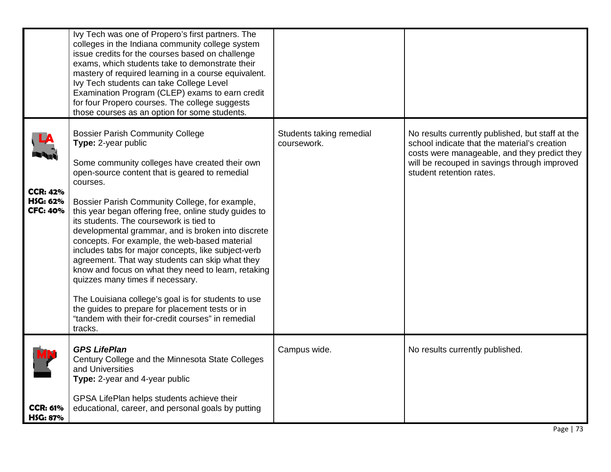|                                                | Ivy Tech was one of Propero's first partners. The<br>colleges in the Indiana community college system<br>issue credits for the courses based on challenge<br>exams, which students take to demonstrate their<br>mastery of required learning in a course equivalent.<br>Ivy Tech students can take College Level<br>Examination Program (CLEP) exams to earn credit<br>for four Propero courses. The college suggests<br>those courses as an option for some students.                                                                                                                                                                                                                                                                                                                                                      |                                         |                                                                                                                                                                                                                              |
|------------------------------------------------|-----------------------------------------------------------------------------------------------------------------------------------------------------------------------------------------------------------------------------------------------------------------------------------------------------------------------------------------------------------------------------------------------------------------------------------------------------------------------------------------------------------------------------------------------------------------------------------------------------------------------------------------------------------------------------------------------------------------------------------------------------------------------------------------------------------------------------|-----------------------------------------|------------------------------------------------------------------------------------------------------------------------------------------------------------------------------------------------------------------------------|
| <b>CCR: 42%</b><br>HSG: 62%<br><b>CFC: 40%</b> | <b>Bossier Parish Community College</b><br>Type: 2-year public<br>Some community colleges have created their own<br>open-source content that is geared to remedial<br>courses.<br>Bossier Parish Community College, for example,<br>this year began offering free, online study guides to<br>its students. The coursework is tied to<br>developmental grammar, and is broken into discrete<br>concepts. For example, the web-based material<br>includes tabs for major concepts, like subject-verb<br>agreement. That way students can skip what they<br>know and focus on what they need to learn, retaking<br>quizzes many times if necessary.<br>The Louisiana college's goal is for students to use<br>the guides to prepare for placement tests or in<br>"tandem with their for-credit courses" in remedial<br>tracks. | Students taking remedial<br>coursework. | No results currently published, but staff at the<br>school indicate that the material's creation<br>costs were manageable, and they predict they<br>will be recouped in savings through improved<br>student retention rates. |
|                                                | <b>GPS LifePlan</b><br>Century College and the Minnesota State Colleges<br>and Universities<br>Type: 2-year and 4-year public                                                                                                                                                                                                                                                                                                                                                                                                                                                                                                                                                                                                                                                                                               | Campus wide.                            | No results currently published.                                                                                                                                                                                              |
| <b>CCR: 61%</b><br><b>HSG: 87%</b>             | GPSA LifePlan helps students achieve their<br>educational, career, and personal goals by putting                                                                                                                                                                                                                                                                                                                                                                                                                                                                                                                                                                                                                                                                                                                            |                                         |                                                                                                                                                                                                                              |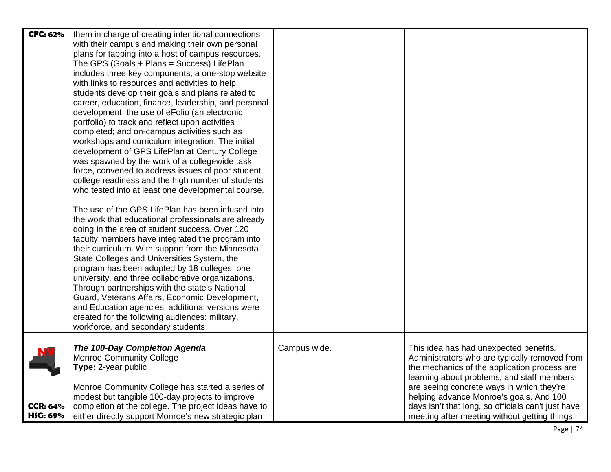| <b>CFC: 62%</b> | them in charge of creating intentional connections<br>with their campus and making their own personal<br>plans for tapping into a host of campus resources.<br>The GPS (Goals + Plans = Success) LifePlan<br>includes three key components; a one-stop website<br>with links to resources and activities to help<br>students develop their goals and plans related to<br>career, education, finance, leadership, and personal<br>development; the use of eFolio (an electronic<br>portfolio) to track and reflect upon activities<br>completed; and on-campus activities such as<br>workshops and curriculum integration. The initial<br>development of GPS LifePlan at Century College<br>was spawned by the work of a collegewide task<br>force, convened to address issues of poor student<br>college readiness and the high number of students<br>who tested into at least one developmental course.<br>The use of the GPS LifePlan has been infused into<br>the work that educational professionals are already<br>doing in the area of student success. Over 120<br>faculty members have integrated the program into<br>their curriculum. With support from the Minnesota<br>State Colleges and Universities System, the<br>program has been adopted by 18 colleges, one<br>university, and three collaborative organizations.<br>Through partnerships with the state's National<br>Guard, Veterans Affairs, Economic Development,<br>and Education agencies, additional versions were<br>created for the following audiences: military, |              |                                                                                                                                                                                                                                                                                                                                     |
|-----------------|------------------------------------------------------------------------------------------------------------------------------------------------------------------------------------------------------------------------------------------------------------------------------------------------------------------------------------------------------------------------------------------------------------------------------------------------------------------------------------------------------------------------------------------------------------------------------------------------------------------------------------------------------------------------------------------------------------------------------------------------------------------------------------------------------------------------------------------------------------------------------------------------------------------------------------------------------------------------------------------------------------------------------------------------------------------------------------------------------------------------------------------------------------------------------------------------------------------------------------------------------------------------------------------------------------------------------------------------------------------------------------------------------------------------------------------------------------------------------------------------------------------------------------------------|--------------|-------------------------------------------------------------------------------------------------------------------------------------------------------------------------------------------------------------------------------------------------------------------------------------------------------------------------------------|
|                 | workforce, and secondary students                                                                                                                                                                                                                                                                                                                                                                                                                                                                                                                                                                                                                                                                                                                                                                                                                                                                                                                                                                                                                                                                                                                                                                                                                                                                                                                                                                                                                                                                                                              |              |                                                                                                                                                                                                                                                                                                                                     |
| <b>CCR: 64%</b> | The 100-Day Completion Agenda<br><b>Monroe Community College</b><br>Type: 2-year public<br>Monroe Community College has started a series of<br>modest but tangible 100-day projects to improve<br>completion at the college. The project ideas have to                                                                                                                                                                                                                                                                                                                                                                                                                                                                                                                                                                                                                                                                                                                                                                                                                                                                                                                                                                                                                                                                                                                                                                                                                                                                                         | Campus wide. | This idea has had unexpected benefits.<br>Administrators who are typically removed from<br>the mechanics of the application process are<br>learning about problems, and staff members<br>are seeing concrete ways in which they're<br>helping advance Monroe's goals. And 100<br>days isn't that long, so officials can't just have |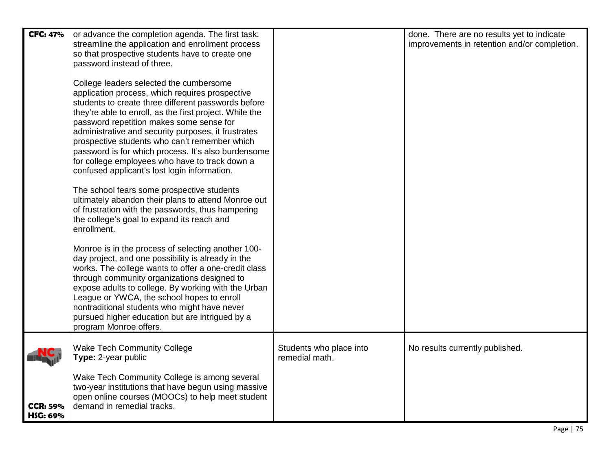| <b>CFC: 47%</b>                    | or advance the completion agenda. The first task:<br>streamline the application and enrollment process<br>so that prospective students have to create one<br>password instead of three.<br>College leaders selected the cumbersome<br>application process, which requires prospective<br>students to create three different passwords before<br>they're able to enroll, as the first project. While the<br>password repetition makes some sense for<br>administrative and security purposes, it frustrates<br>prospective students who can't remember which<br>password is for which process. It's also burdensome<br>for college employees who have to track down a<br>confused applicant's lost login information.<br>The school fears some prospective students<br>ultimately abandon their plans to attend Monroe out<br>of frustration with the passwords, thus hampering<br>the college's goal to expand its reach and<br>enrollment.<br>Monroe is in the process of selecting another 100-<br>day project, and one possibility is already in the<br>works. The college wants to offer a one-credit class<br>through community organizations designed to<br>expose adults to college. By working with the Urban<br>League or YWCA, the school hopes to enroll<br>nontraditional students who might have never<br>pursued higher education but are intrigued by a |                                           | done. There are no results yet to indicate<br>improvements in retention and/or completion. |
|------------------------------------|------------------------------------------------------------------------------------------------------------------------------------------------------------------------------------------------------------------------------------------------------------------------------------------------------------------------------------------------------------------------------------------------------------------------------------------------------------------------------------------------------------------------------------------------------------------------------------------------------------------------------------------------------------------------------------------------------------------------------------------------------------------------------------------------------------------------------------------------------------------------------------------------------------------------------------------------------------------------------------------------------------------------------------------------------------------------------------------------------------------------------------------------------------------------------------------------------------------------------------------------------------------------------------------------------------------------------------------------------------------------|-------------------------------------------|--------------------------------------------------------------------------------------------|
|                                    | program Monroe offers.                                                                                                                                                                                                                                                                                                                                                                                                                                                                                                                                                                                                                                                                                                                                                                                                                                                                                                                                                                                                                                                                                                                                                                                                                                                                                                                                                 |                                           |                                                                                            |
|                                    | <b>Wake Tech Community College</b><br>Type: 2-year public                                                                                                                                                                                                                                                                                                                                                                                                                                                                                                                                                                                                                                                                                                                                                                                                                                                                                                                                                                                                                                                                                                                                                                                                                                                                                                              | Students who place into<br>remedial math. | No results currently published.                                                            |
| <b>CCR: 59%</b><br><b>HSG: 69%</b> | Wake Tech Community College is among several<br>two-year institutions that have begun using massive<br>open online courses (MOOCs) to help meet student<br>demand in remedial tracks.                                                                                                                                                                                                                                                                                                                                                                                                                                                                                                                                                                                                                                                                                                                                                                                                                                                                                                                                                                                                                                                                                                                                                                                  |                                           |                                                                                            |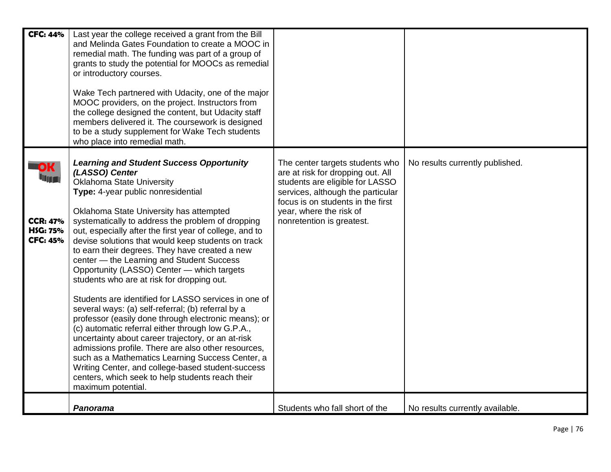| <b>CFC: 44%</b>                                                            | Last year the college received a grant from the Bill<br>and Melinda Gates Foundation to create a MOOC in<br>remedial math. The funding was part of a group of<br>grants to study the potential for MOOCs as remedial<br>or introductory courses.<br>Wake Tech partnered with Udacity, one of the major<br>MOOC providers, on the project. Instructors from<br>the college designed the content, but Udacity staff<br>members delivered it. The coursework is designed<br>to be a study supplement for Wake Tech students<br>who place into remedial math.                                                                                                                                                                                                                                                                                                                                                                                                                                                                                                                          |                                                                                                                                                                                                                                           |                                 |
|----------------------------------------------------------------------------|------------------------------------------------------------------------------------------------------------------------------------------------------------------------------------------------------------------------------------------------------------------------------------------------------------------------------------------------------------------------------------------------------------------------------------------------------------------------------------------------------------------------------------------------------------------------------------------------------------------------------------------------------------------------------------------------------------------------------------------------------------------------------------------------------------------------------------------------------------------------------------------------------------------------------------------------------------------------------------------------------------------------------------------------------------------------------------|-------------------------------------------------------------------------------------------------------------------------------------------------------------------------------------------------------------------------------------------|---------------------------------|
| OK<br><b>Ting</b><br><b>CCR: 47%</b><br><b>HSG: 75%</b><br><b>CFC: 45%</b> | <b>Learning and Student Success Opportunity</b><br>(LASSO) Center<br><b>Oklahoma State University</b><br>Type: 4-year public nonresidential<br>Oklahoma State University has attempted<br>systematically to address the problem of dropping<br>out, especially after the first year of college, and to<br>devise solutions that would keep students on track<br>to earn their degrees. They have created a new<br>center - the Learning and Student Success<br>Opportunity (LASSO) Center - which targets<br>students who are at risk for dropping out.<br>Students are identified for LASSO services in one of<br>several ways: (a) self-referral; (b) referral by a<br>professor (easily done through electronic means); or<br>(c) automatic referral either through low G.P.A.,<br>uncertainty about career trajectory, or an at-risk<br>admissions profile. There are also other resources,<br>such as a Mathematics Learning Success Center, a<br>Writing Center, and college-based student-success<br>centers, which seek to help students reach their<br>maximum potential. | The center targets students who<br>are at risk for dropping out. All<br>students are eligible for LASSO<br>services, although the particular<br>focus is on students in the first<br>year, where the risk of<br>nonretention is greatest. | No results currently published. |
|                                                                            | Panorama                                                                                                                                                                                                                                                                                                                                                                                                                                                                                                                                                                                                                                                                                                                                                                                                                                                                                                                                                                                                                                                                           | Students who fall short of the                                                                                                                                                                                                            | No results currently available. |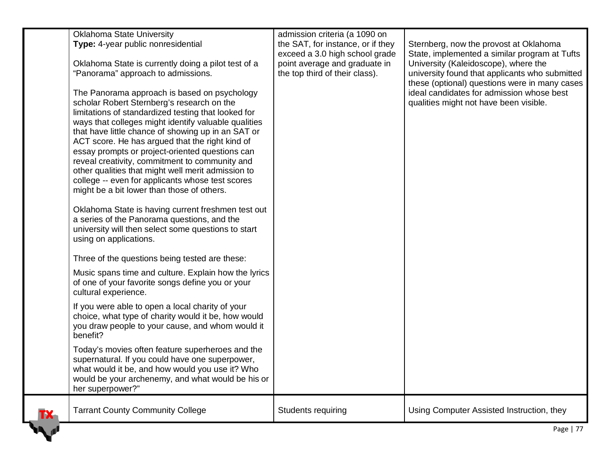| <b>Oklahoma State University</b><br>Type: 4-year public nonresidential<br>Oklahoma State is currently doing a pilot test of a<br>"Panorama" approach to admissions.<br>The Panorama approach is based on psychology<br>scholar Robert Sternberg's research on the<br>limitations of standardized testing that looked for<br>ways that colleges might identify valuable qualities<br>that have little chance of showing up in an SAT or<br>ACT score. He has argued that the right kind of<br>essay prompts or project-oriented questions can<br>reveal creativity, commitment to community and<br>other qualities that might well merit admission to<br>college -- even for applicants whose test scores<br>might be a bit lower than those of others.<br>Oklahoma State is having current freshmen test out<br>a series of the Panorama questions, and the<br>university will then select some questions to start<br>using on applications.<br>Three of the questions being tested are these:<br>Music spans time and culture. Explain how the lyrics<br>of one of your favorite songs define you or your<br>cultural experience.<br>If you were able to open a local charity of your<br>choice, what type of charity would it be, how would<br>you draw people to your cause, and whom would it<br>benefit?<br>Today's movies often feature superheroes and the<br>supernatural. If you could have one superpower, | admission criteria (a 1090 on<br>the SAT, for instance, or if they<br>exceed a 3.0 high school grade<br>point average and graduate in<br>the top third of their class). | Sternberg, now the provost at Oklahoma<br>State, implemented a similar program at Tufts<br>University (Kaleidoscope), where the<br>university found that applicants who submitted<br>these (optional) questions were in many cases<br>ideal candidates for admission whose best<br>qualities might not have been visible. |
|----------------------------------------------------------------------------------------------------------------------------------------------------------------------------------------------------------------------------------------------------------------------------------------------------------------------------------------------------------------------------------------------------------------------------------------------------------------------------------------------------------------------------------------------------------------------------------------------------------------------------------------------------------------------------------------------------------------------------------------------------------------------------------------------------------------------------------------------------------------------------------------------------------------------------------------------------------------------------------------------------------------------------------------------------------------------------------------------------------------------------------------------------------------------------------------------------------------------------------------------------------------------------------------------------------------------------------------------------------------------------------------------------------------------|-------------------------------------------------------------------------------------------------------------------------------------------------------------------------|---------------------------------------------------------------------------------------------------------------------------------------------------------------------------------------------------------------------------------------------------------------------------------------------------------------------------|
| what would it be, and how would you use it? Who<br>would be your archenemy, and what would be his or<br>her superpower?"                                                                                                                                                                                                                                                                                                                                                                                                                                                                                                                                                                                                                                                                                                                                                                                                                                                                                                                                                                                                                                                                                                                                                                                                                                                                                             |                                                                                                                                                                         |                                                                                                                                                                                                                                                                                                                           |
| <b>Tarrant County Community College</b>                                                                                                                                                                                                                                                                                                                                                                                                                                                                                                                                                                                                                                                                                                                                                                                                                                                                                                                                                                                                                                                                                                                                                                                                                                                                                                                                                                              | Students requiring                                                                                                                                                      | Using Computer Assisted Instruction, they                                                                                                                                                                                                                                                                                 |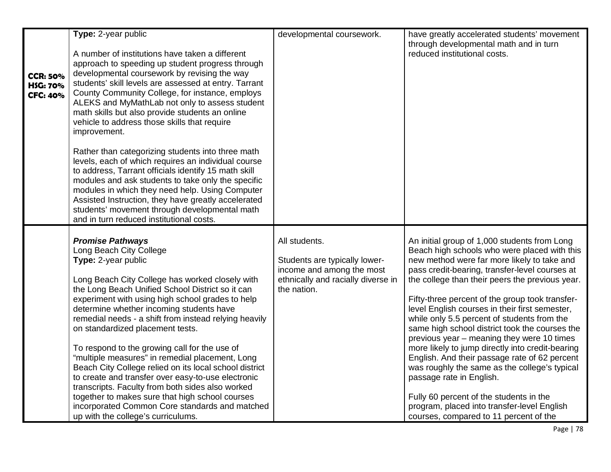| <b>CCR: 50%</b><br><b>HSG: 70%</b><br><b>CFC: 40%</b> | Type: 2-year public<br>A number of institutions have taken a different<br>approach to speeding up student progress through<br>developmental coursework by revising the way<br>students' skill levels are assessed at entry. Tarrant<br>County Community College, for instance, employs<br>ALEKS and MyMathLab not only to assess student<br>math skills but also provide students an online<br>vehicle to address those skills that require<br>improvement.<br>Rather than categorizing students into three math<br>levels, each of which requires an individual course<br>to address, Tarrant officials identify 15 math skill<br>modules and ask students to take only the specific<br>modules in which they need help. Using Computer<br>Assisted Instruction, they have greatly accelerated<br>students' movement through developmental math<br>and in turn reduced institutional costs. | developmental coursework.                                                                                                        | have greatly accelerated students' movement<br>through developmental math and in turn<br>reduced institutional costs.                                                                                                                                                                                                                                                                                                                                                                                                                                                                                                                                                                                                                                                                                                      |
|-------------------------------------------------------|----------------------------------------------------------------------------------------------------------------------------------------------------------------------------------------------------------------------------------------------------------------------------------------------------------------------------------------------------------------------------------------------------------------------------------------------------------------------------------------------------------------------------------------------------------------------------------------------------------------------------------------------------------------------------------------------------------------------------------------------------------------------------------------------------------------------------------------------------------------------------------------------|----------------------------------------------------------------------------------------------------------------------------------|----------------------------------------------------------------------------------------------------------------------------------------------------------------------------------------------------------------------------------------------------------------------------------------------------------------------------------------------------------------------------------------------------------------------------------------------------------------------------------------------------------------------------------------------------------------------------------------------------------------------------------------------------------------------------------------------------------------------------------------------------------------------------------------------------------------------------|
|                                                       | <b>Promise Pathways</b><br>Long Beach City College<br>Type: 2-year public<br>Long Beach City College has worked closely with<br>the Long Beach Unified School District so it can<br>experiment with using high school grades to help<br>determine whether incoming students have<br>remedial needs - a shift from instead relying heavily<br>on standardized placement tests.<br>To respond to the growing call for the use of<br>"multiple measures" in remedial placement, Long<br>Beach City College relied on its local school district<br>to create and transfer over easy-to-use electronic<br>transcripts. Faculty from both sides also worked<br>together to makes sure that high school courses<br>incorporated Common Core standards and matched<br>up with the college's curriculums.                                                                                             | All students.<br>Students are typically lower-<br>income and among the most<br>ethnically and racially diverse in<br>the nation. | An initial group of 1,000 students from Long<br>Beach high schools who were placed with this<br>new method were far more likely to take and<br>pass credit-bearing, transfer-level courses at<br>the college than their peers the previous year.<br>Fifty-three percent of the group took transfer-<br>level English courses in their first semester,<br>while only 5.5 percent of students from the<br>same high school district took the courses the<br>previous year – meaning they were 10 times<br>more likely to jump directly into credit-bearing<br>English. And their passage rate of 62 percent<br>was roughly the same as the college's typical<br>passage rate in English.<br>Fully 60 percent of the students in the<br>program, placed into transfer-level English<br>courses, compared to 11 percent of the |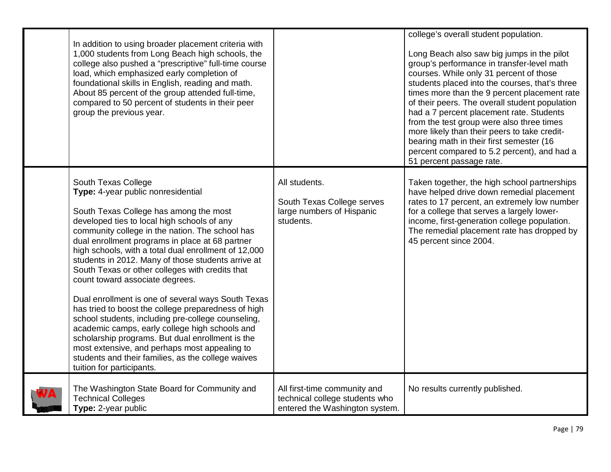| In addition to using broader placement criteria with<br>1,000 students from Long Beach high schools, the<br>college also pushed a "prescriptive" full-time course<br>load, which emphasized early completion of<br>foundational skills in English, reading and math.<br>About 85 percent of the group attended full-time,<br>compared to 50 percent of students in their peer<br>group the previous year.                                                                                                                                                                                                                                                                                                                                                                                                                                                                 |                                                                                                  | college's overall student population.<br>Long Beach also saw big jumps in the pilot<br>group's performance in transfer-level math<br>courses. While only 31 percent of those<br>students placed into the courses, that's three<br>times more than the 9 percent placement rate<br>of their peers. The overall student population<br>had a 7 percent placement rate. Students<br>from the test group were also three times<br>more likely than their peers to take credit-<br>bearing math in their first semester (16<br>percent compared to 5.2 percent), and had a<br>51 percent passage rate. |
|---------------------------------------------------------------------------------------------------------------------------------------------------------------------------------------------------------------------------------------------------------------------------------------------------------------------------------------------------------------------------------------------------------------------------------------------------------------------------------------------------------------------------------------------------------------------------------------------------------------------------------------------------------------------------------------------------------------------------------------------------------------------------------------------------------------------------------------------------------------------------|--------------------------------------------------------------------------------------------------|--------------------------------------------------------------------------------------------------------------------------------------------------------------------------------------------------------------------------------------------------------------------------------------------------------------------------------------------------------------------------------------------------------------------------------------------------------------------------------------------------------------------------------------------------------------------------------------------------|
| South Texas College<br>Type: 4-year public nonresidential<br>South Texas College has among the most<br>developed ties to local high schools of any<br>community college in the nation. The school has<br>dual enrollment programs in place at 68 partner<br>high schools, with a total dual enrollment of 12,000<br>students in 2012. Many of those students arrive at<br>South Texas or other colleges with credits that<br>count toward associate degrees.<br>Dual enrollment is one of several ways South Texas<br>has tried to boost the college preparedness of high<br>school students, including pre-college counseling,<br>academic camps, early college high schools and<br>scholarship programs. But dual enrollment is the<br>most extensive, and perhaps most appealing to<br>students and their families, as the college waives<br>tuition for participants. | All students.<br>South Texas College serves<br>large numbers of Hispanic<br>students.            | Taken together, the high school partnerships<br>have helped drive down remedial placement<br>rates to 17 percent, an extremely low number<br>for a college that serves a largely lower-<br>income, first-generation college population.<br>The remedial placement rate has dropped by<br>45 percent since 2004.                                                                                                                                                                                                                                                                                  |
| The Washington State Board for Community and<br><b>Technical Colleges</b><br>Type: 2-year public                                                                                                                                                                                                                                                                                                                                                                                                                                                                                                                                                                                                                                                                                                                                                                          | All first-time community and<br>technical college students who<br>entered the Washington system. | No results currently published.                                                                                                                                                                                                                                                                                                                                                                                                                                                                                                                                                                  |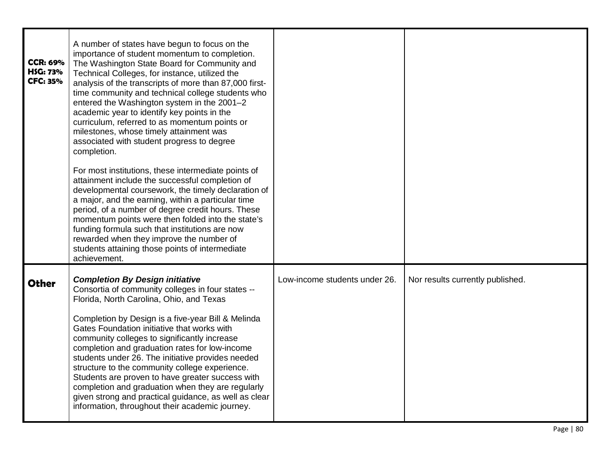| <b>CCR: 69%</b><br><b>HSG: 73%</b><br><b>CFC: 35%</b> | A number of states have begun to focus on the<br>importance of student momentum to completion.<br>The Washington State Board for Community and<br>Technical Colleges, for instance, utilized the<br>analysis of the transcripts of more than 87,000 first-<br>time community and technical college students who<br>entered the Washington system in the 2001-2<br>academic year to identify key points in the<br>curriculum, referred to as momentum points or<br>milestones, whose timely attainment was<br>associated with student progress to degree<br>completion.<br>For most institutions, these intermediate points of<br>attainment include the successful completion of<br>developmental coursework, the timely declaration of<br>a major, and the earning, within a particular time<br>period, of a number of degree credit hours. These<br>momentum points were then folded into the state's<br>funding formula such that institutions are now<br>rewarded when they improve the number of<br>students attaining those points of intermediate<br>achievement. |                               |                                  |
|-------------------------------------------------------|--------------------------------------------------------------------------------------------------------------------------------------------------------------------------------------------------------------------------------------------------------------------------------------------------------------------------------------------------------------------------------------------------------------------------------------------------------------------------------------------------------------------------------------------------------------------------------------------------------------------------------------------------------------------------------------------------------------------------------------------------------------------------------------------------------------------------------------------------------------------------------------------------------------------------------------------------------------------------------------------------------------------------------------------------------------------------|-------------------------------|----------------------------------|
| <b>Other</b>                                          | <b>Completion By Design initiative</b><br>Consortia of community colleges in four states --<br>Florida, North Carolina, Ohio, and Texas<br>Completion by Design is a five-year Bill & Melinda<br>Gates Foundation initiative that works with<br>community colleges to significantly increase<br>completion and graduation rates for low-income<br>students under 26. The initiative provides needed<br>structure to the community college experience.<br>Students are proven to have greater success with<br>completion and graduation when they are regularly<br>given strong and practical guidance, as well as clear<br>information, throughout their academic journey.                                                                                                                                                                                                                                                                                                                                                                                               | Low-income students under 26. | Nor results currently published. |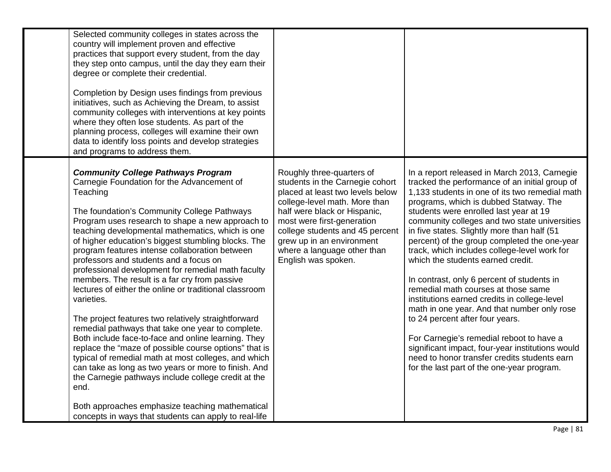| Selected community colleges in states across the<br>country will implement proven and effective<br>practices that support every student, from the day<br>they step onto campus, until the day they earn their<br>degree or complete their credential.<br>Completion by Design uses findings from previous<br>initiatives, such as Achieving the Dream, to assist<br>community colleges with interventions at key points<br>where they often lose students. As part of the<br>planning process, colleges will examine their own<br>data to identify loss points and develop strategies<br>and programs to address them.                                                                                                                                                                                                                                                                                                                                                                                                                                                                                              |                                                                                                                                                                                                                                                                                                                       |                                                                                                                                                                                                                                                                                                                                                                                                                                                                                                                                                                                                                                                                                                                                                                                                                                                                                                |
|---------------------------------------------------------------------------------------------------------------------------------------------------------------------------------------------------------------------------------------------------------------------------------------------------------------------------------------------------------------------------------------------------------------------------------------------------------------------------------------------------------------------------------------------------------------------------------------------------------------------------------------------------------------------------------------------------------------------------------------------------------------------------------------------------------------------------------------------------------------------------------------------------------------------------------------------------------------------------------------------------------------------------------------------------------------------------------------------------------------------|-----------------------------------------------------------------------------------------------------------------------------------------------------------------------------------------------------------------------------------------------------------------------------------------------------------------------|------------------------------------------------------------------------------------------------------------------------------------------------------------------------------------------------------------------------------------------------------------------------------------------------------------------------------------------------------------------------------------------------------------------------------------------------------------------------------------------------------------------------------------------------------------------------------------------------------------------------------------------------------------------------------------------------------------------------------------------------------------------------------------------------------------------------------------------------------------------------------------------------|
| <b>Community College Pathways Program</b><br>Carnegie Foundation for the Advancement of<br>Teaching<br>The foundation's Community College Pathways<br>Program uses research to shape a new approach to<br>teaching developmental mathematics, which is one<br>of higher education's biggest stumbling blocks. The<br>program features intense collaboration between<br>professors and students and a focus on<br>professional development for remedial math faculty<br>members. The result is a far cry from passive<br>lectures of either the online or traditional classroom<br>varieties.<br>The project features two relatively straightforward<br>remedial pathways that take one year to complete.<br>Both include face-to-face and online learning. They<br>replace the "maze of possible course options" that is<br>typical of remedial math at most colleges, and which<br>can take as long as two years or more to finish. And<br>the Carnegie pathways include college credit at the<br>end.<br>Both approaches emphasize teaching mathematical<br>concepts in ways that students can apply to real-life | Roughly three-quarters of<br>students in the Carnegie cohort<br>placed at least two levels below<br>college-level math. More than<br>half were black or Hispanic,<br>most were first-generation<br>college students and 45 percent<br>grew up in an environment<br>where a language other than<br>English was spoken. | In a report released in March 2013, Carnegie<br>tracked the performance of an initial group of<br>1,133 students in one of its two remedial math<br>programs, which is dubbed Statway. The<br>students were enrolled last year at 19<br>community colleges and two state universities<br>in five states. Slightly more than half (51<br>percent) of the group completed the one-year<br>track, which includes college-level work for<br>which the students earned credit.<br>In contrast, only 6 percent of students in<br>remedial math courses at those same<br>institutions earned credits in college-level<br>math in one year. And that number only rose<br>to 24 percent after four years.<br>For Carnegie's remedial reboot to have a<br>significant impact, four-year institutions would<br>need to honor transfer credits students earn<br>for the last part of the one-year program. |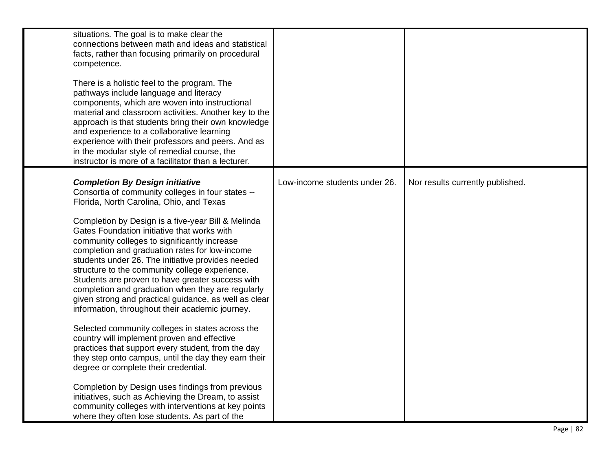| situations. The goal is to make clear the<br>connections between math and ideas and statistical<br>facts, rather than focusing primarily on procedural<br>competence.<br>There is a holistic feel to the program. The<br>pathways include language and literacy<br>components, which are woven into instructional<br>material and classroom activities. Another key to the<br>approach is that students bring their own knowledge<br>and experience to a collaborative learning<br>experience with their professors and peers. And as<br>in the modular style of remedial course, the<br>instructor is more of a facilitator than a lecturer.                                                                                                                                                                                                                                                                                                                                                                                                                                                                                                           |                               |                                  |
|---------------------------------------------------------------------------------------------------------------------------------------------------------------------------------------------------------------------------------------------------------------------------------------------------------------------------------------------------------------------------------------------------------------------------------------------------------------------------------------------------------------------------------------------------------------------------------------------------------------------------------------------------------------------------------------------------------------------------------------------------------------------------------------------------------------------------------------------------------------------------------------------------------------------------------------------------------------------------------------------------------------------------------------------------------------------------------------------------------------------------------------------------------|-------------------------------|----------------------------------|
| <b>Completion By Design initiative</b><br>Consortia of community colleges in four states --<br>Florida, North Carolina, Ohio, and Texas<br>Completion by Design is a five-year Bill & Melinda<br>Gates Foundation initiative that works with<br>community colleges to significantly increase<br>completion and graduation rates for low-income<br>students under 26. The initiative provides needed<br>structure to the community college experience.<br>Students are proven to have greater success with<br>completion and graduation when they are regularly<br>given strong and practical guidance, as well as clear<br>information, throughout their academic journey.<br>Selected community colleges in states across the<br>country will implement proven and effective<br>practices that support every student, from the day<br>they step onto campus, until the day they earn their<br>degree or complete their credential.<br>Completion by Design uses findings from previous<br>initiatives, such as Achieving the Dream, to assist<br>community colleges with interventions at key points<br>where they often lose students. As part of the | Low-income students under 26. | Nor results currently published. |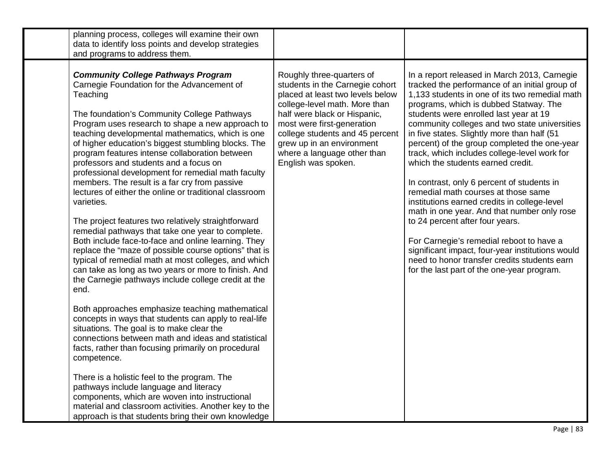| planning process, colleges will examine their own<br>data to identify loss points and develop strategies                                                                                                                                                                                                                                                                                                                                                                                                                                                                                                                                                                                                                                                                                                                                                                                                                                                                                                                                                                                                                                                                                                                                                                                                                                                                                                                                                                                                                                                 |                                                                                                                                                                                                                                                                                                                       |                                                                                                                                                                                                                                                                                                                                                                                                                                                                                                                                                                                                                                                                                                                                                                                                                                                                                                |
|----------------------------------------------------------------------------------------------------------------------------------------------------------------------------------------------------------------------------------------------------------------------------------------------------------------------------------------------------------------------------------------------------------------------------------------------------------------------------------------------------------------------------------------------------------------------------------------------------------------------------------------------------------------------------------------------------------------------------------------------------------------------------------------------------------------------------------------------------------------------------------------------------------------------------------------------------------------------------------------------------------------------------------------------------------------------------------------------------------------------------------------------------------------------------------------------------------------------------------------------------------------------------------------------------------------------------------------------------------------------------------------------------------------------------------------------------------------------------------------------------------------------------------------------------------|-----------------------------------------------------------------------------------------------------------------------------------------------------------------------------------------------------------------------------------------------------------------------------------------------------------------------|------------------------------------------------------------------------------------------------------------------------------------------------------------------------------------------------------------------------------------------------------------------------------------------------------------------------------------------------------------------------------------------------------------------------------------------------------------------------------------------------------------------------------------------------------------------------------------------------------------------------------------------------------------------------------------------------------------------------------------------------------------------------------------------------------------------------------------------------------------------------------------------------|
| and programs to address them.                                                                                                                                                                                                                                                                                                                                                                                                                                                                                                                                                                                                                                                                                                                                                                                                                                                                                                                                                                                                                                                                                                                                                                                                                                                                                                                                                                                                                                                                                                                            |                                                                                                                                                                                                                                                                                                                       |                                                                                                                                                                                                                                                                                                                                                                                                                                                                                                                                                                                                                                                                                                                                                                                                                                                                                                |
| <b>Community College Pathways Program</b><br>Carnegie Foundation for the Advancement of<br>Teaching<br>The foundation's Community College Pathways<br>Program uses research to shape a new approach to<br>teaching developmental mathematics, which is one<br>of higher education's biggest stumbling blocks. The<br>program features intense collaboration between<br>professors and students and a focus on<br>professional development for remedial math faculty<br>members. The result is a far cry from passive<br>lectures of either the online or traditional classroom<br>varieties.<br>The project features two relatively straightforward<br>remedial pathways that take one year to complete.<br>Both include face-to-face and online learning. They<br>replace the "maze of possible course options" that is<br>typical of remedial math at most colleges, and which<br>can take as long as two years or more to finish. And<br>the Carnegie pathways include college credit at the<br>end.<br>Both approaches emphasize teaching mathematical<br>concepts in ways that students can apply to real-life<br>situations. The goal is to make clear the<br>connections between math and ideas and statistical<br>facts, rather than focusing primarily on procedural<br>competence.<br>There is a holistic feel to the program. The<br>pathways include language and literacy<br>components, which are woven into instructional<br>material and classroom activities. Another key to the<br>approach is that students bring their own knowledge | Roughly three-quarters of<br>students in the Carnegie cohort<br>placed at least two levels below<br>college-level math. More than<br>half were black or Hispanic,<br>most were first-generation<br>college students and 45 percent<br>grew up in an environment<br>where a language other than<br>English was spoken. | In a report released in March 2013, Carnegie<br>tracked the performance of an initial group of<br>1,133 students in one of its two remedial math<br>programs, which is dubbed Statway. The<br>students were enrolled last year at 19<br>community colleges and two state universities<br>in five states. Slightly more than half (51<br>percent) of the group completed the one-year<br>track, which includes college-level work for<br>which the students earned credit.<br>In contrast, only 6 percent of students in<br>remedial math courses at those same<br>institutions earned credits in college-level<br>math in one year. And that number only rose<br>to 24 percent after four years.<br>For Carnegie's remedial reboot to have a<br>significant impact, four-year institutions would<br>need to honor transfer credits students earn<br>for the last part of the one-year program. |